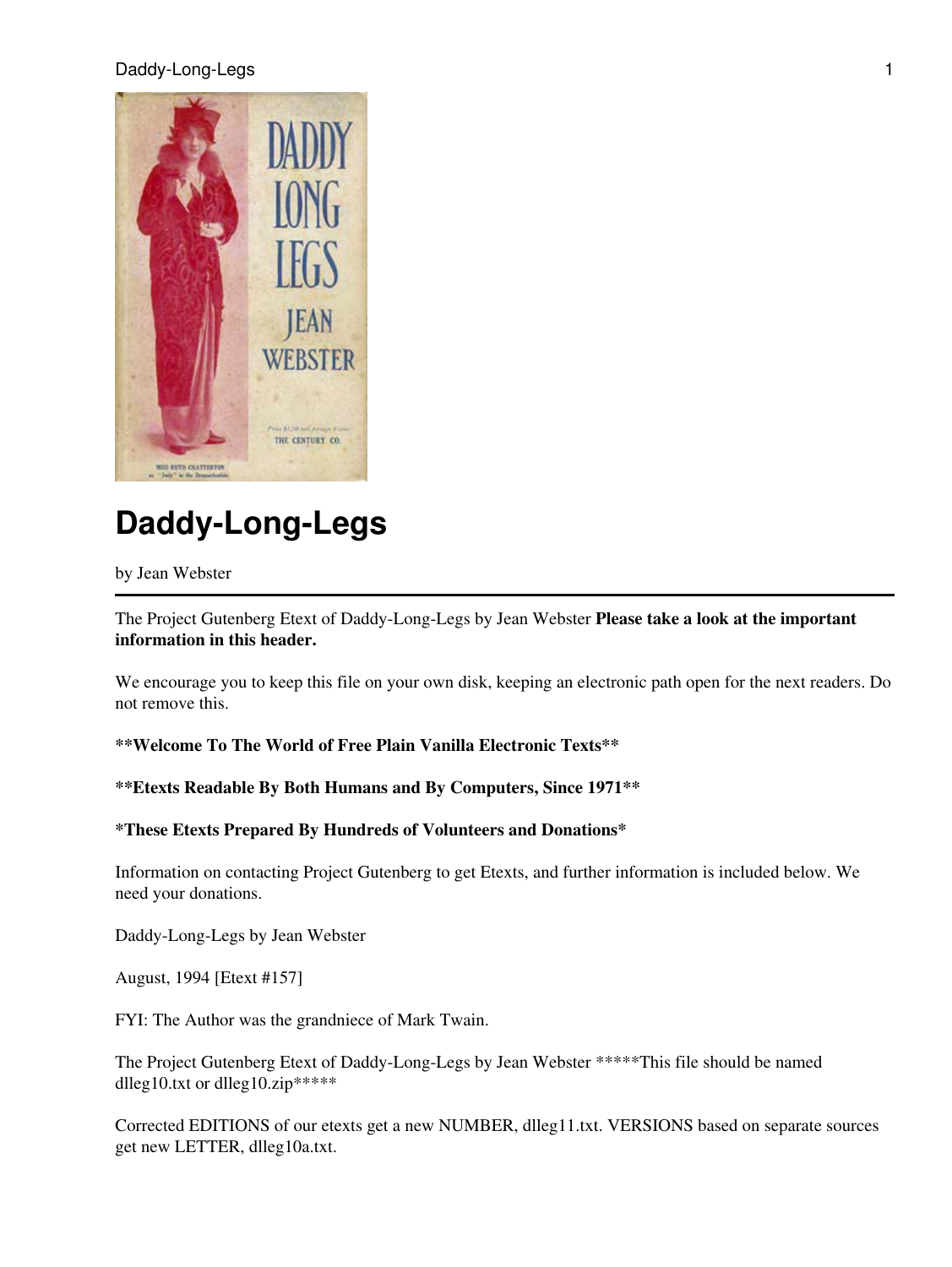#### Daddy-Long-Legs 1



# **Daddy-Long-Legs**

#### by Jean Webster

The Project Gutenberg Etext of Daddy-Long-Legs by Jean Webster **Please take a look at the important information in this header.**

We encourage you to keep this file on your own disk, keeping an electronic path open for the next readers. Do not remove this.

### **\*\*Welcome To The World of Free Plain Vanilla Electronic Texts\*\***

## **\*\*Etexts Readable By Both Humans and By Computers, Since 1971\*\***

## **\*These Etexts Prepared By Hundreds of Volunteers and Donations\***

Information on contacting Project Gutenberg to get Etexts, and further information is included below. We need your donations.

Daddy-Long-Legs by Jean Webster

August, 1994 [Etext #157]

FYI: The Author was the grandniece of Mark Twain.

The Project Gutenberg Etext of Daddy-Long-Legs by Jean Webster \*\*\*\*\*This file should be named dlleg10.txt or dlleg10.zip\*\*\*\*\*

Corrected EDITIONS of our etexts get a new NUMBER, dlleg11.txt. VERSIONS based on separate sources get new LETTER, dlleg10a.txt.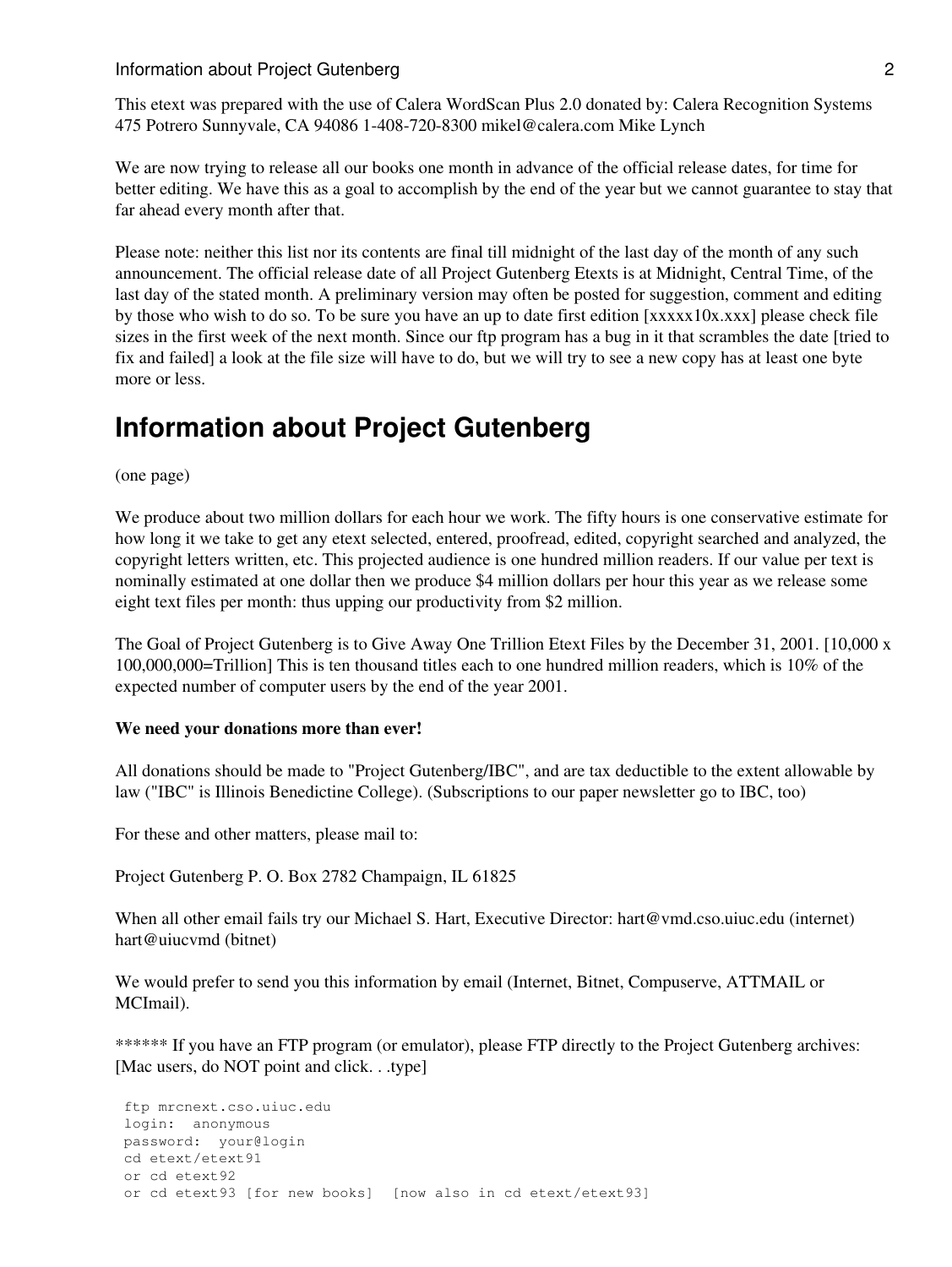#### **Information about Project Gutenberg 2** 2

This etext was prepared with the use of Calera WordScan Plus 2.0 donated by: Calera Recognition Systems 475 Potrero Sunnyvale, CA 94086 1-408-720-8300 mikel@calera.com Mike Lynch

We are now trying to release all our books one month in advance of the official release dates, for time for better editing. We have this as a goal to accomplish by the end of the year but we cannot guarantee to stay that far ahead every month after that.

Please note: neither this list nor its contents are final till midnight of the last day of the month of any such announcement. The official release date of all Project Gutenberg Etexts is at Midnight, Central Time, of the last day of the stated month. A preliminary version may often be posted for suggestion, comment and editing by those who wish to do so. To be sure you have an up to date first edition [xxxxx10x.xxx] please check file sizes in the first week of the next month. Since our ftp program has a bug in it that scrambles the date [tried to fix and failed] a look at the file size will have to do, but we will try to see a new copy has at least one byte more or less.

## **Information about Project Gutenberg**

(one page)

We produce about two million dollars for each hour we work. The fifty hours is one conservative estimate for how long it we take to get any etext selected, entered, proofread, edited, copyright searched and analyzed, the copyright letters written, etc. This projected audience is one hundred million readers. If our value per text is nominally estimated at one dollar then we produce \$4 million dollars per hour this year as we release some eight text files per month: thus upping our productivity from \$2 million.

The Goal of Project Gutenberg is to Give Away One Trillion Etext Files by the December 31, 2001. [10,000 x 100,000,000=Trillion] This is ten thousand titles each to one hundred million readers, which is 10% of the expected number of computer users by the end of the year 2001.

#### **We need your donations more than ever!**

All donations should be made to "Project Gutenberg/IBC", and are tax deductible to the extent allowable by law ("IBC" is Illinois Benedictine College). (Subscriptions to our paper newsletter go to IBC, too)

For these and other matters, please mail to:

Project Gutenberg P. O. Box 2782 Champaign, IL 61825

When all other email fails try our Michael S. Hart, Executive Director: hart@vmd.cso.uiuc.edu (internet) hart@uiucvmd (bitnet)

We would prefer to send you this information by email (Internet, Bitnet, Compuserve, ATTMAIL or MCImail).

\*\*\*\*\*\* If you have an FTP program (or emulator), please FTP directly to the Project Gutenberg archives: [Mac users, do NOT point and click. . .type]

```
 ftp mrcnext.cso.uiuc.edu
login: anonymous
password: your@login
cd etext/etext91
or cd etext92
or cd etext93 [for new books] [now also in cd etext/etext93]
```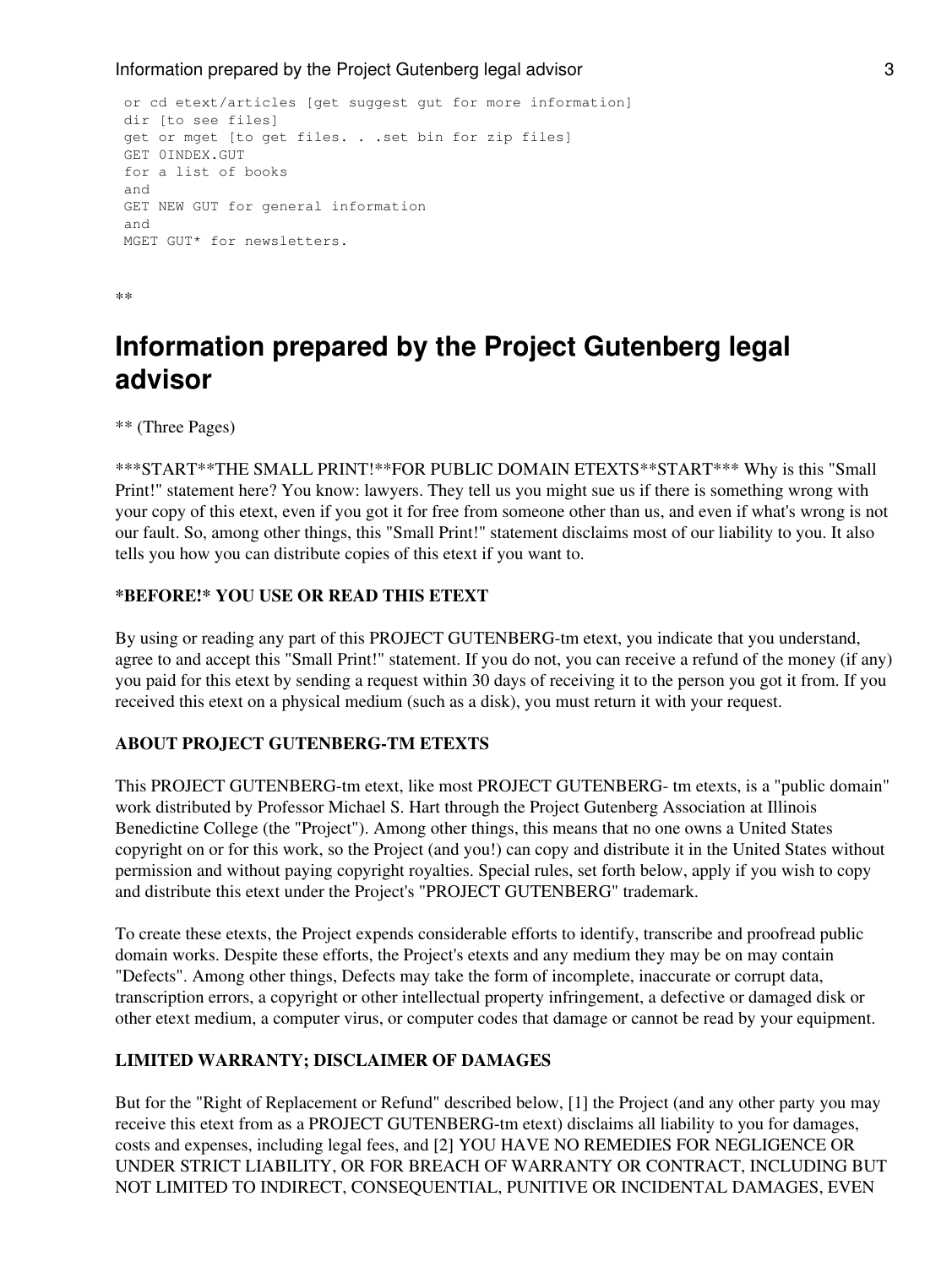```
 or cd etext/articles [get suggest gut for more information]
dir [to see files]
get or mget [to get files. . .set bin for zip files]
GET 0INDEX.GUT
for a list of books
and
GET NEW GUT for general information
and
MGET GUT* for newsletters.
```
\*\*

## **Information prepared by the Project Gutenberg legal advisor**

\*\* (Three Pages)

\*\*\*START\*\*THE SMALL PRINT!\*\*FOR PUBLIC DOMAIN ETEXTS\*\*START\*\*\* Why is this "Small Print!" statement here? You know: lawyers. They tell us you might sue us if there is something wrong with your copy of this etext, even if you got it for free from someone other than us, and even if what's wrong is not our fault. So, among other things, this "Small Print!" statement disclaims most of our liability to you. It also tells you how you can distribute copies of this etext if you want to.

#### **\*BEFORE!\* YOU USE OR READ THIS ETEXT**

By using or reading any part of this PROJECT GUTENBERG-tm etext, you indicate that you understand, agree to and accept this "Small Print!" statement. If you do not, you can receive a refund of the money (if any) you paid for this etext by sending a request within 30 days of receiving it to the person you got it from. If you received this etext on a physical medium (such as a disk), you must return it with your request.

## **ABOUT PROJECT GUTENBERG-TM ETEXTS**

This PROJECT GUTENBERG-tm etext, like most PROJECT GUTENBERG- tm etexts, is a "public domain" work distributed by Professor Michael S. Hart through the Project Gutenberg Association at Illinois Benedictine College (the "Project"). Among other things, this means that no one owns a United States copyright on or for this work, so the Project (and you!) can copy and distribute it in the United States without permission and without paying copyright royalties. Special rules, set forth below, apply if you wish to copy and distribute this etext under the Project's "PROJECT GUTENBERG" trademark.

To create these etexts, the Project expends considerable efforts to identify, transcribe and proofread public domain works. Despite these efforts, the Project's etexts and any medium they may be on may contain "Defects". Among other things, Defects may take the form of incomplete, inaccurate or corrupt data, transcription errors, a copyright or other intellectual property infringement, a defective or damaged disk or other etext medium, a computer virus, or computer codes that damage or cannot be read by your equipment.

## **LIMITED WARRANTY; DISCLAIMER OF DAMAGES**

But for the "Right of Replacement or Refund" described below, [1] the Project (and any other party you may receive this etext from as a PROJECT GUTENBERG-tm etext) disclaims all liability to you for damages, costs and expenses, including legal fees, and [2] YOU HAVE NO REMEDIES FOR NEGLIGENCE OR UNDER STRICT LIABILITY, OR FOR BREACH OF WARRANTY OR CONTRACT, INCLUDING BUT NOT LIMITED TO INDIRECT, CONSEQUENTIAL, PUNITIVE OR INCIDENTAL DAMAGES, EVEN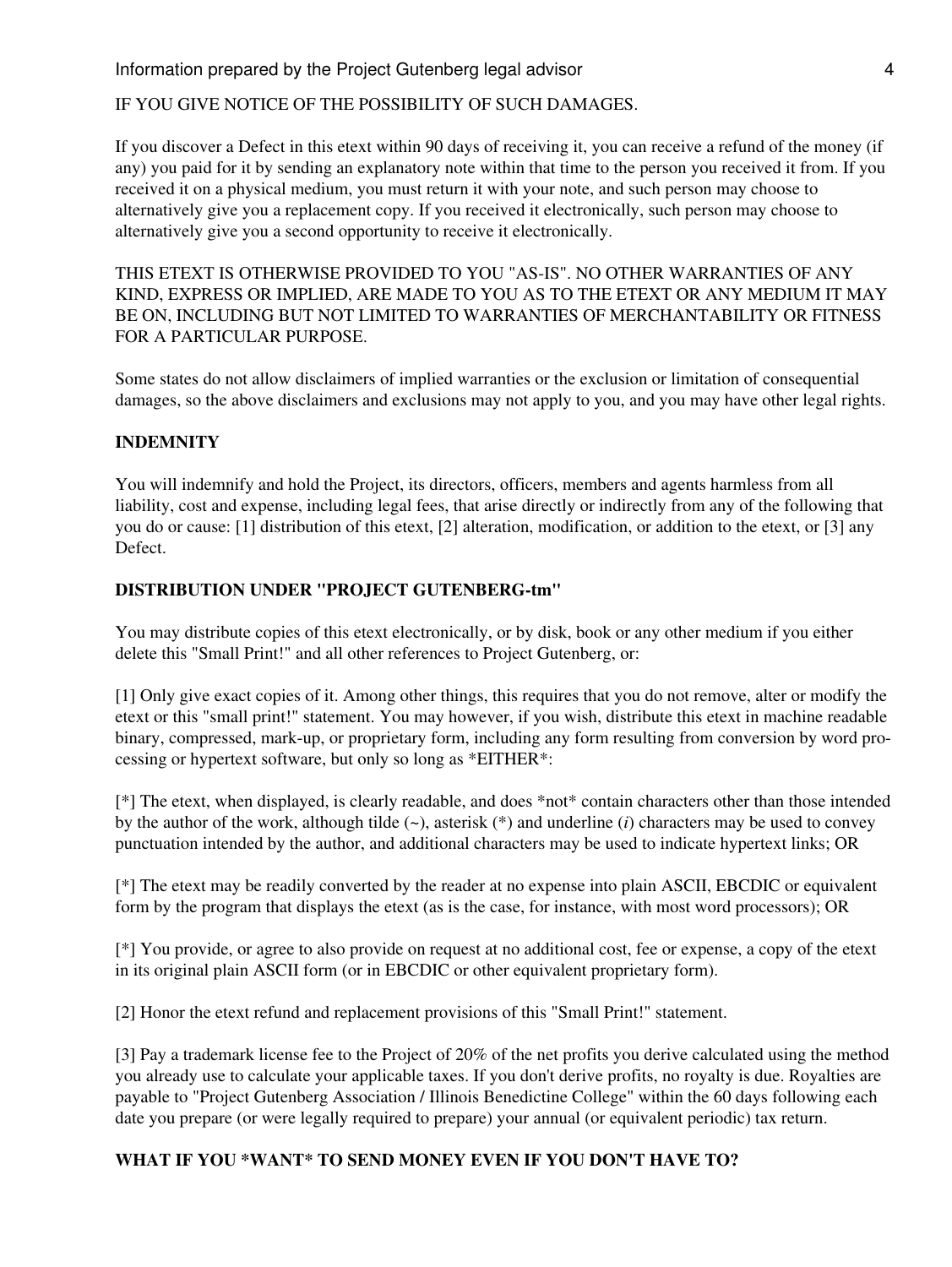#### IF YOU GIVE NOTICE OF THE POSSIBILITY OF SUCH DAMAGES.

If you discover a Defect in this etext within 90 days of receiving it, you can receive a refund of the money (if any) you paid for it by sending an explanatory note within that time to the person you received it from. If you received it on a physical medium, you must return it with your note, and such person may choose to alternatively give you a replacement copy. If you received it electronically, such person may choose to alternatively give you a second opportunity to receive it electronically.

THIS ETEXT IS OTHERWISE PROVIDED TO YOU "AS-IS". NO OTHER WARRANTIES OF ANY KIND, EXPRESS OR IMPLIED, ARE MADE TO YOU AS TO THE ETEXT OR ANY MEDIUM IT MAY BE ON, INCLUDING BUT NOT LIMITED TO WARRANTIES OF MERCHANTABILITY OR FITNESS FOR A PARTICULAR PURPOSE.

Some states do not allow disclaimers of implied warranties or the exclusion or limitation of consequential damages, so the above disclaimers and exclusions may not apply to you, and you may have other legal rights.

#### **INDEMNITY**

You will indemnify and hold the Project, its directors, officers, members and agents harmless from all liability, cost and expense, including legal fees, that arise directly or indirectly from any of the following that you do or cause: [1] distribution of this etext, [2] alteration, modification, or addition to the etext, or [3] any Defect.

#### **DISTRIBUTION UNDER "PROJECT GUTENBERG-tm"**

You may distribute copies of this etext electronically, or by disk, book or any other medium if you either delete this "Small Print!" and all other references to Project Gutenberg, or:

[1] Only give exact copies of it. Among other things, this requires that you do not remove, alter or modify the etext or this "small print!" statement. You may however, if you wish, distribute this etext in machine readable binary, compressed, mark-up, or proprietary form, including any form resulting from conversion by word processing or hypertext software, but only so long as \*EITHER\*:

[\*] The etext, when displayed, is clearly readable, and does \*not\* contain characters other than those intended by the author of the work, although tilde (~), asterisk (\*) and underline (*i*) characters may be used to convey punctuation intended by the author, and additional characters may be used to indicate hypertext links; OR

[\*] The etext may be readily converted by the reader at no expense into plain ASCII, EBCDIC or equivalent form by the program that displays the etext (as is the case, for instance, with most word processors); OR

[\*] You provide, or agree to also provide on request at no additional cost, fee or expense, a copy of the etext in its original plain ASCII form (or in EBCDIC or other equivalent proprietary form).

[2] Honor the etext refund and replacement provisions of this "Small Print!" statement.

[3] Pay a trademark license fee to the Project of 20% of the net profits you derive calculated using the method you already use to calculate your applicable taxes. If you don't derive profits, no royalty is due. Royalties are payable to "Project Gutenberg Association / Illinois Benedictine College" within the 60 days following each date you prepare (or were legally required to prepare) your annual (or equivalent periodic) tax return.

## **WHAT IF YOU \*WANT\* TO SEND MONEY EVEN IF YOU DON'T HAVE TO?**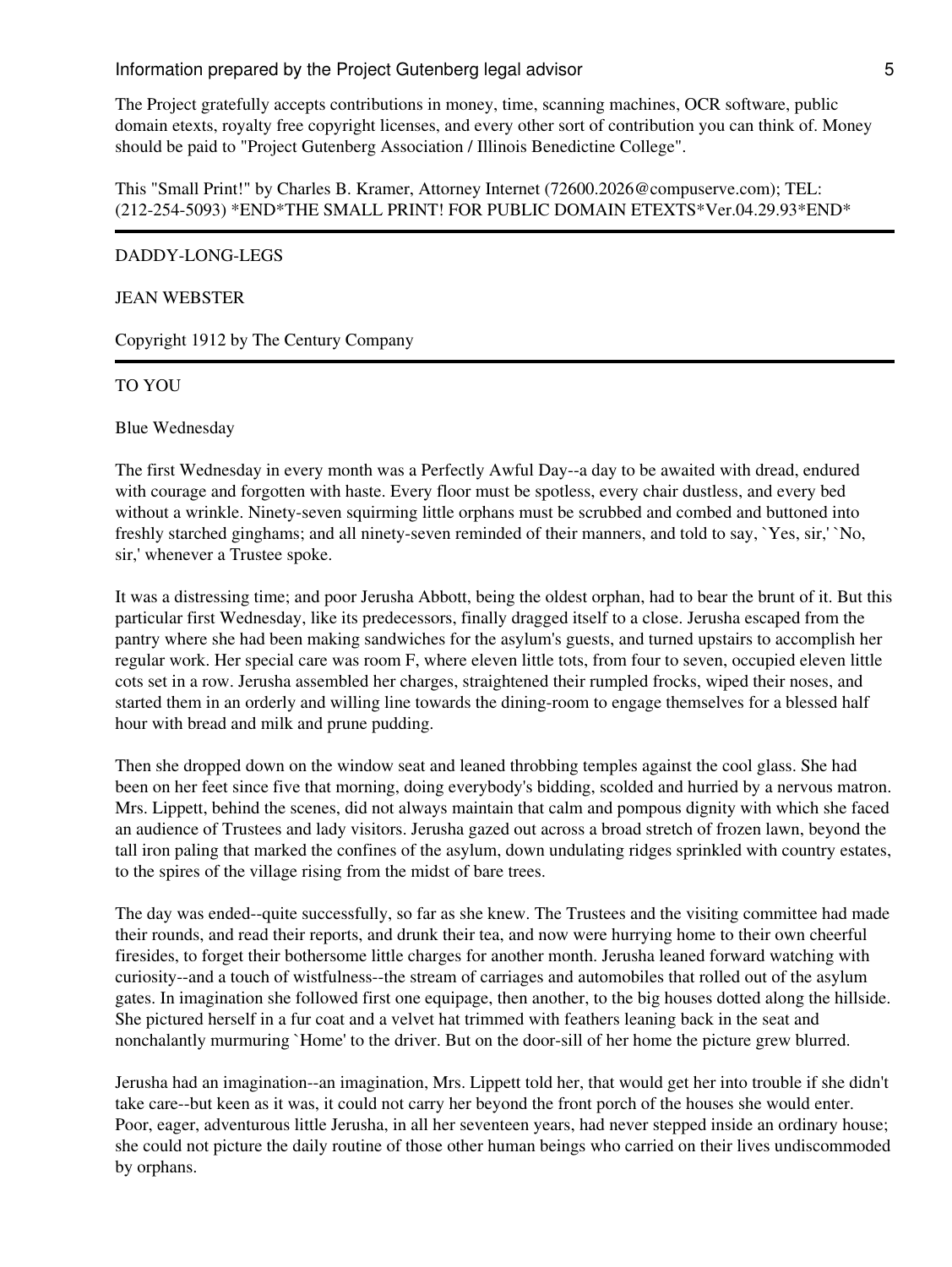The Project gratefully accepts contributions in money, time, scanning machines, OCR software, public domain etexts, royalty free copyright licenses, and every other sort of contribution you can think of. Money should be paid to "Project Gutenberg Association / Illinois Benedictine College".

This "Small Print!" by Charles B. Kramer, Attorney Internet (72600.2026@compuserve.com); TEL: (212-254-5093) \*END\*THE SMALL PRINT! FOR PUBLIC DOMAIN ETEXTS\*Ver.04.29.93\*END\*

#### DADDY-LONG-LEGS

#### JEAN WEBSTER

Copyright 1912 by The Century Company

#### TO YOU

Blue Wednesday

The first Wednesday in every month was a Perfectly Awful Day--a day to be awaited with dread, endured with courage and forgotten with haste. Every floor must be spotless, every chair dustless, and every bed without a wrinkle. Ninety-seven squirming little orphans must be scrubbed and combed and buttoned into freshly starched ginghams; and all ninety-seven reminded of their manners, and told to say, `Yes, sir,' `No, sir,' whenever a Trustee spoke.

It was a distressing time; and poor Jerusha Abbott, being the oldest orphan, had to bear the brunt of it. But this particular first Wednesday, like its predecessors, finally dragged itself to a close. Jerusha escaped from the pantry where she had been making sandwiches for the asylum's guests, and turned upstairs to accomplish her regular work. Her special care was room F, where eleven little tots, from four to seven, occupied eleven little cots set in a row. Jerusha assembled her charges, straightened their rumpled frocks, wiped their noses, and started them in an orderly and willing line towards the dining-room to engage themselves for a blessed half hour with bread and milk and prune pudding.

Then she dropped down on the window seat and leaned throbbing temples against the cool glass. She had been on her feet since five that morning, doing everybody's bidding, scolded and hurried by a nervous matron. Mrs. Lippett, behind the scenes, did not always maintain that calm and pompous dignity with which she faced an audience of Trustees and lady visitors. Jerusha gazed out across a broad stretch of frozen lawn, beyond the tall iron paling that marked the confines of the asylum, down undulating ridges sprinkled with country estates, to the spires of the village rising from the midst of bare trees.

The day was ended--quite successfully, so far as she knew. The Trustees and the visiting committee had made their rounds, and read their reports, and drunk their tea, and now were hurrying home to their own cheerful firesides, to forget their bothersome little charges for another month. Jerusha leaned forward watching with curiosity--and a touch of wistfulness--the stream of carriages and automobiles that rolled out of the asylum gates. In imagination she followed first one equipage, then another, to the big houses dotted along the hillside. She pictured herself in a fur coat and a velvet hat trimmed with feathers leaning back in the seat and nonchalantly murmuring `Home' to the driver. But on the door-sill of her home the picture grew blurred.

Jerusha had an imagination--an imagination, Mrs. Lippett told her, that would get her into trouble if she didn't take care--but keen as it was, it could not carry her beyond the front porch of the houses she would enter. Poor, eager, adventurous little Jerusha, in all her seventeen years, had never stepped inside an ordinary house; she could not picture the daily routine of those other human beings who carried on their lives undiscommoded by orphans.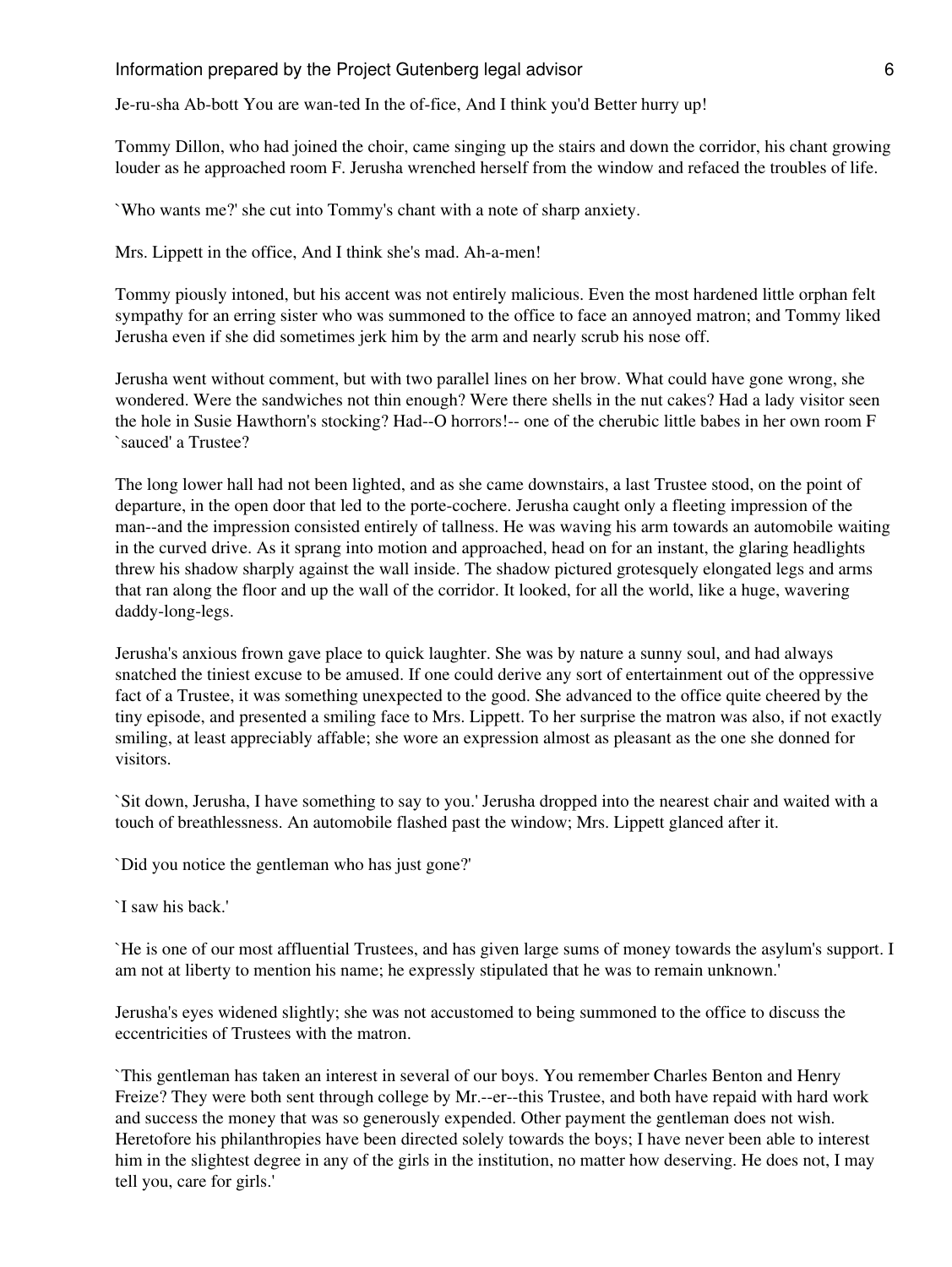Je-ru-sha Ab-bott You are wan-ted In the of-fice, And I think you'd Better hurry up!

Tommy Dillon, who had joined the choir, came singing up the stairs and down the corridor, his chant growing louder as he approached room F. Jerusha wrenched herself from the window and refaced the troubles of life.

`Who wants me?' she cut into Tommy's chant with a note of sharp anxiety.

Mrs. Lippett in the office, And I think she's mad. Ah-a-men!

Tommy piously intoned, but his accent was not entirely malicious. Even the most hardened little orphan felt sympathy for an erring sister who was summoned to the office to face an annoyed matron; and Tommy liked Jerusha even if she did sometimes jerk him by the arm and nearly scrub his nose off.

Jerusha went without comment, but with two parallel lines on her brow. What could have gone wrong, she wondered. Were the sandwiches not thin enough? Were there shells in the nut cakes? Had a lady visitor seen the hole in Susie Hawthorn's stocking? Had--O horrors!-- one of the cherubic little babes in her own room F `sauced' a Trustee?

The long lower hall had not been lighted, and as she came downstairs, a last Trustee stood, on the point of departure, in the open door that led to the porte-cochere. Jerusha caught only a fleeting impression of the man--and the impression consisted entirely of tallness. He was waving his arm towards an automobile waiting in the curved drive. As it sprang into motion and approached, head on for an instant, the glaring headlights threw his shadow sharply against the wall inside. The shadow pictured grotesquely elongated legs and arms that ran along the floor and up the wall of the corridor. It looked, for all the world, like a huge, wavering daddy-long-legs.

Jerusha's anxious frown gave place to quick laughter. She was by nature a sunny soul, and had always snatched the tiniest excuse to be amused. If one could derive any sort of entertainment out of the oppressive fact of a Trustee, it was something unexpected to the good. She advanced to the office quite cheered by the tiny episode, and presented a smiling face to Mrs. Lippett. To her surprise the matron was also, if not exactly smiling, at least appreciably affable; she wore an expression almost as pleasant as the one she donned for visitors.

`Sit down, Jerusha, I have something to say to you.' Jerusha dropped into the nearest chair and waited with a touch of breathlessness. An automobile flashed past the window; Mrs. Lippett glanced after it.

`Did you notice the gentleman who has just gone?'

`I saw his back.'

`He is one of our most affluential Trustees, and has given large sums of money towards the asylum's support. I am not at liberty to mention his name; he expressly stipulated that he was to remain unknown.'

Jerusha's eyes widened slightly; she was not accustomed to being summoned to the office to discuss the eccentricities of Trustees with the matron.

`This gentleman has taken an interest in several of our boys. You remember Charles Benton and Henry Freize? They were both sent through college by Mr.--er--this Trustee, and both have repaid with hard work and success the money that was so generously expended. Other payment the gentleman does not wish. Heretofore his philanthropies have been directed solely towards the boys; I have never been able to interest him in the slightest degree in any of the girls in the institution, no matter how deserving. He does not, I may tell you, care for girls.'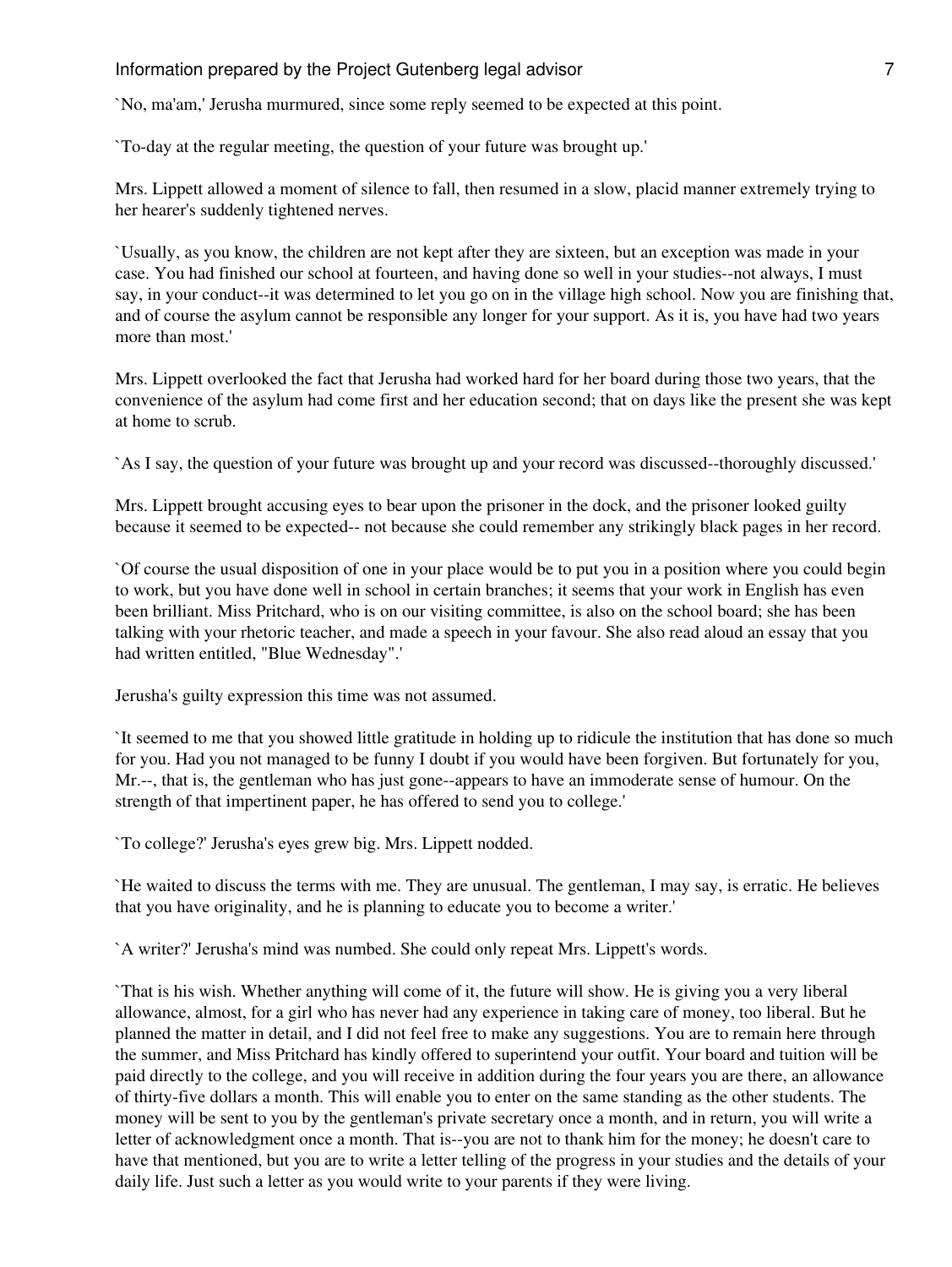`No, ma'am,' Jerusha murmured, since some reply seemed to be expected at this point.

`To-day at the regular meeting, the question of your future was brought up.'

Mrs. Lippett allowed a moment of silence to fall, then resumed in a slow, placid manner extremely trying to her hearer's suddenly tightened nerves.

`Usually, as you know, the children are not kept after they are sixteen, but an exception was made in your case. You had finished our school at fourteen, and having done so well in your studies--not always, I must say, in your conduct--it was determined to let you go on in the village high school. Now you are finishing that, and of course the asylum cannot be responsible any longer for your support. As it is, you have had two years more than most.'

Mrs. Lippett overlooked the fact that Jerusha had worked hard for her board during those two years, that the convenience of the asylum had come first and her education second; that on days like the present she was kept at home to scrub.

`As I say, the question of your future was brought up and your record was discussed--thoroughly discussed.'

Mrs. Lippett brought accusing eyes to bear upon the prisoner in the dock, and the prisoner looked guilty because it seemed to be expected-- not because she could remember any strikingly black pages in her record.

`Of course the usual disposition of one in your place would be to put you in a position where you could begin to work, but you have done well in school in certain branches; it seems that your work in English has even been brilliant. Miss Pritchard, who is on our visiting committee, is also on the school board; she has been talking with your rhetoric teacher, and made a speech in your favour. She also read aloud an essay that you had written entitled, "Blue Wednesday".'

Jerusha's guilty expression this time was not assumed.

`It seemed to me that you showed little gratitude in holding up to ridicule the institution that has done so much for you. Had you not managed to be funny I doubt if you would have been forgiven. But fortunately for you, Mr.--, that is, the gentleman who has just gone--appears to have an immoderate sense of humour. On the strength of that impertinent paper, he has offered to send you to college.'

`To college?' Jerusha's eyes grew big. Mrs. Lippett nodded.

`He waited to discuss the terms with me. They are unusual. The gentleman, I may say, is erratic. He believes that you have originality, and he is planning to educate you to become a writer.'

`A writer?' Jerusha's mind was numbed. She could only repeat Mrs. Lippett's words.

`That is his wish. Whether anything will come of it, the future will show. He is giving you a very liberal allowance, almost, for a girl who has never had any experience in taking care of money, too liberal. But he planned the matter in detail, and I did not feel free to make any suggestions. You are to remain here through the summer, and Miss Pritchard has kindly offered to superintend your outfit. Your board and tuition will be paid directly to the college, and you will receive in addition during the four years you are there, an allowance of thirty-five dollars a month. This will enable you to enter on the same standing as the other students. The money will be sent to you by the gentleman's private secretary once a month, and in return, you will write a letter of acknowledgment once a month. That is--you are not to thank him for the money; he doesn't care to have that mentioned, but you are to write a letter telling of the progress in your studies and the details of your daily life. Just such a letter as you would write to your parents if they were living.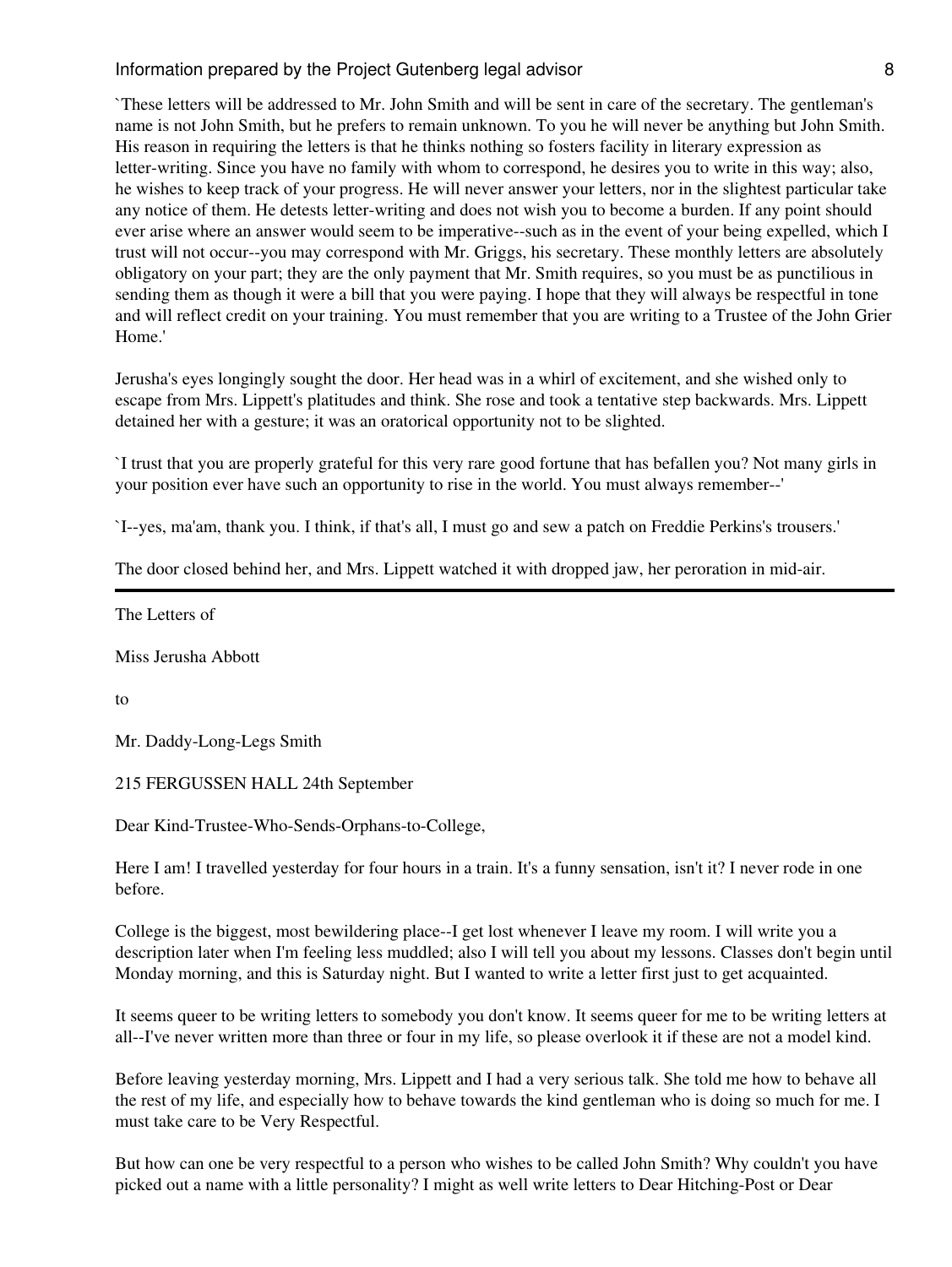`These letters will be addressed to Mr. John Smith and will be sent in care of the secretary. The gentleman's name is not John Smith, but he prefers to remain unknown. To you he will never be anything but John Smith. His reason in requiring the letters is that he thinks nothing so fosters facility in literary expression as letter-writing. Since you have no family with whom to correspond, he desires you to write in this way; also, he wishes to keep track of your progress. He will never answer your letters, nor in the slightest particular take any notice of them. He detests letter-writing and does not wish you to become a burden. If any point should ever arise where an answer would seem to be imperative--such as in the event of your being expelled, which I trust will not occur--you may correspond with Mr. Griggs, his secretary. These monthly letters are absolutely obligatory on your part; they are the only payment that Mr. Smith requires, so you must be as punctilious in sending them as though it were a bill that you were paying. I hope that they will always be respectful in tone and will reflect credit on your training. You must remember that you are writing to a Trustee of the John Grier Home.'

Jerusha's eyes longingly sought the door. Her head was in a whirl of excitement, and she wished only to escape from Mrs. Lippett's platitudes and think. She rose and took a tentative step backwards. Mrs. Lippett detained her with a gesture; it was an oratorical opportunity not to be slighted.

`I trust that you are properly grateful for this very rare good fortune that has befallen you? Not many girls in your position ever have such an opportunity to rise in the world. You must always remember--'

`I--yes, ma'am, thank you. I think, if that's all, I must go and sew a patch on Freddie Perkins's trousers.'

The door closed behind her, and Mrs. Lippett watched it with dropped jaw, her peroration in mid-air.

The Letters of

Miss Jerusha Abbott

to

Mr. Daddy-Long-Legs Smith

215 FERGUSSEN HALL 24th September

Dear Kind-Trustee-Who-Sends-Orphans-to-College,

Here I am! I travelled yesterday for four hours in a train. It's a funny sensation, isn't it? I never rode in one before.

College is the biggest, most bewildering place--I get lost whenever I leave my room. I will write you a description later when I'm feeling less muddled; also I will tell you about my lessons. Classes don't begin until Monday morning, and this is Saturday night. But I wanted to write a letter first just to get acquainted.

It seems queer to be writing letters to somebody you don't know. It seems queer for me to be writing letters at all--I've never written more than three or four in my life, so please overlook it if these are not a model kind.

Before leaving yesterday morning, Mrs. Lippett and I had a very serious talk. She told me how to behave all the rest of my life, and especially how to behave towards the kind gentleman who is doing so much for me. I must take care to be Very Respectful.

But how can one be very respectful to a person who wishes to be called John Smith? Why couldn't you have picked out a name with a little personality? I might as well write letters to Dear Hitching-Post or Dear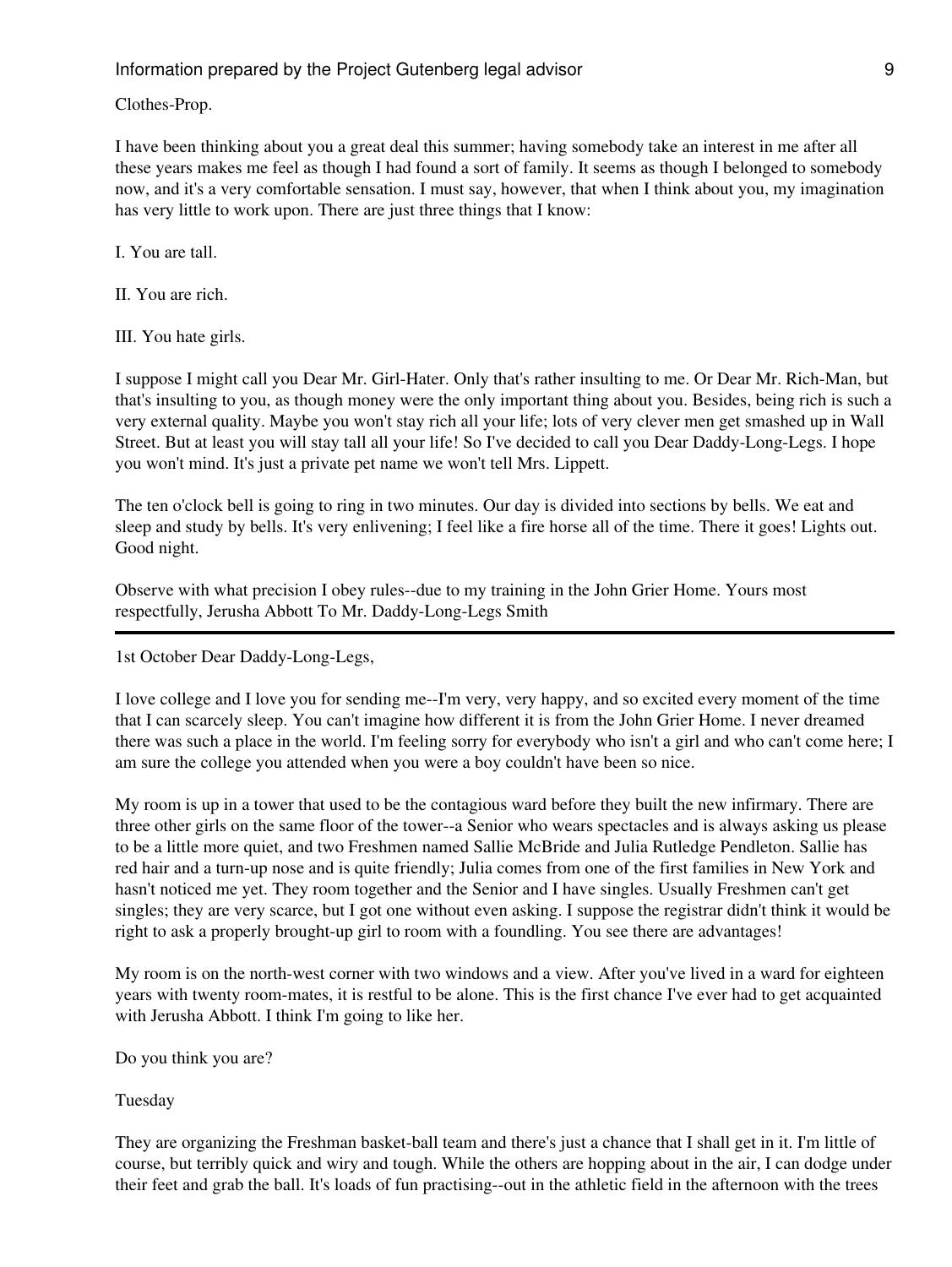Clothes-Prop.

I have been thinking about you a great deal this summer; having somebody take an interest in me after all these years makes me feel as though I had found a sort of family. It seems as though I belonged to somebody now, and it's a very comfortable sensation. I must say, however, that when I think about you, my imagination has very little to work upon. There are just three things that I know:

I. You are tall.

II. You are rich.

III. You hate girls.

I suppose I might call you Dear Mr. Girl-Hater. Only that's rather insulting to me. Or Dear Mr. Rich-Man, but that's insulting to you, as though money were the only important thing about you. Besides, being rich is such a very external quality. Maybe you won't stay rich all your life; lots of very clever men get smashed up in Wall Street. But at least you will stay tall all your life! So I've decided to call you Dear Daddy-Long-Legs. I hope you won't mind. It's just a private pet name we won't tell Mrs. Lippett.

The ten o'clock bell is going to ring in two minutes. Our day is divided into sections by bells. We eat and sleep and study by bells. It's very enlivening; I feel like a fire horse all of the time. There it goes! Lights out. Good night.

Observe with what precision I obey rules--due to my training in the John Grier Home. Yours most respectfully, Jerusha Abbott To Mr. Daddy-Long-Legs Smith

1st October Dear Daddy-Long-Legs,

I love college and I love you for sending me--I'm very, very happy, and so excited every moment of the time that I can scarcely sleep. You can't imagine how different it is from the John Grier Home. I never dreamed there was such a place in the world. I'm feeling sorry for everybody who isn't a girl and who can't come here; I am sure the college you attended when you were a boy couldn't have been so nice.

My room is up in a tower that used to be the contagious ward before they built the new infirmary. There are three other girls on the same floor of the tower--a Senior who wears spectacles and is always asking us please to be a little more quiet, and two Freshmen named Sallie McBride and Julia Rutledge Pendleton. Sallie has red hair and a turn-up nose and is quite friendly; Julia comes from one of the first families in New York and hasn't noticed me yet. They room together and the Senior and I have singles. Usually Freshmen can't get singles; they are very scarce, but I got one without even asking. I suppose the registrar didn't think it would be right to ask a properly brought-up girl to room with a foundling. You see there are advantages!

My room is on the north-west corner with two windows and a view. After you've lived in a ward for eighteen years with twenty room-mates, it is restful to be alone. This is the first chance I've ever had to get acquainted with Jerusha Abbott. I think I'm going to like her.

Do you think you are?

Tuesday

They are organizing the Freshman basket-ball team and there's just a chance that I shall get in it. I'm little of course, but terribly quick and wiry and tough. While the others are hopping about in the air, I can dodge under their feet and grab the ball. It's loads of fun practising--out in the athletic field in the afternoon with the trees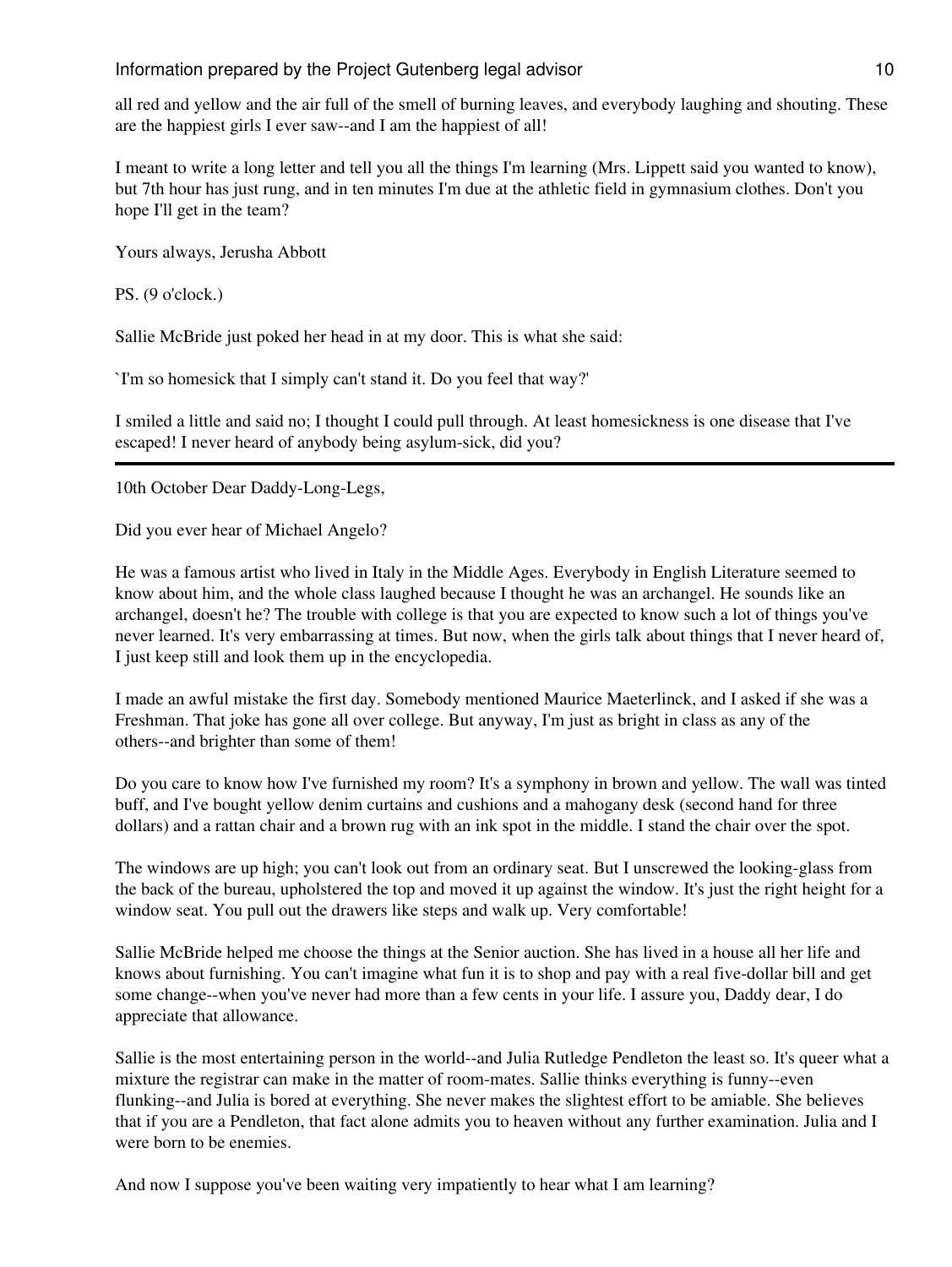## Information prepared by the Project Gutenberg legal advisor and the matrix of 10

all red and yellow and the air full of the smell of burning leaves, and everybody laughing and shouting. These are the happiest girls I ever saw--and I am the happiest of all!

I meant to write a long letter and tell you all the things I'm learning (Mrs. Lippett said you wanted to know), but 7th hour has just rung, and in ten minutes I'm due at the athletic field in gymnasium clothes. Don't you hope I'll get in the team?

Yours always, Jerusha Abbott

PS. (9 o'clock.)

Sallie McBride just poked her head in at my door. This is what she said:

`I'm so homesick that I simply can't stand it. Do you feel that way?'

I smiled a little and said no; I thought I could pull through. At least homesickness is one disease that I've escaped! I never heard of anybody being asylum-sick, did you?

10th October Dear Daddy-Long-Legs,

Did you ever hear of Michael Angelo?

He was a famous artist who lived in Italy in the Middle Ages. Everybody in English Literature seemed to know about him, and the whole class laughed because I thought he was an archangel. He sounds like an archangel, doesn't he? The trouble with college is that you are expected to know such a lot of things you've never learned. It's very embarrassing at times. But now, when the girls talk about things that I never heard of, I just keep still and look them up in the encyclopedia.

I made an awful mistake the first day. Somebody mentioned Maurice Maeterlinck, and I asked if she was a Freshman. That joke has gone all over college. But anyway, I'm just as bright in class as any of the others--and brighter than some of them!

Do you care to know how I've furnished my room? It's a symphony in brown and yellow. The wall was tinted buff, and I've bought yellow denim curtains and cushions and a mahogany desk (second hand for three dollars) and a rattan chair and a brown rug with an ink spot in the middle. I stand the chair over the spot.

The windows are up high; you can't look out from an ordinary seat. But I unscrewed the looking-glass from the back of the bureau, upholstered the top and moved it up against the window. It's just the right height for a window seat. You pull out the drawers like steps and walk up. Very comfortable!

Sallie McBride helped me choose the things at the Senior auction. She has lived in a house all her life and knows about furnishing. You can't imagine what fun it is to shop and pay with a real five-dollar bill and get some change--when you've never had more than a few cents in your life. I assure you, Daddy dear, I do appreciate that allowance.

Sallie is the most entertaining person in the world--and Julia Rutledge Pendleton the least so. It's queer what a mixture the registrar can make in the matter of room-mates. Sallie thinks everything is funny--even flunking--and Julia is bored at everything. She never makes the slightest effort to be amiable. She believes that if you are a Pendleton, that fact alone admits you to heaven without any further examination. Julia and I were born to be enemies.

And now I suppose you've been waiting very impatiently to hear what I am learning?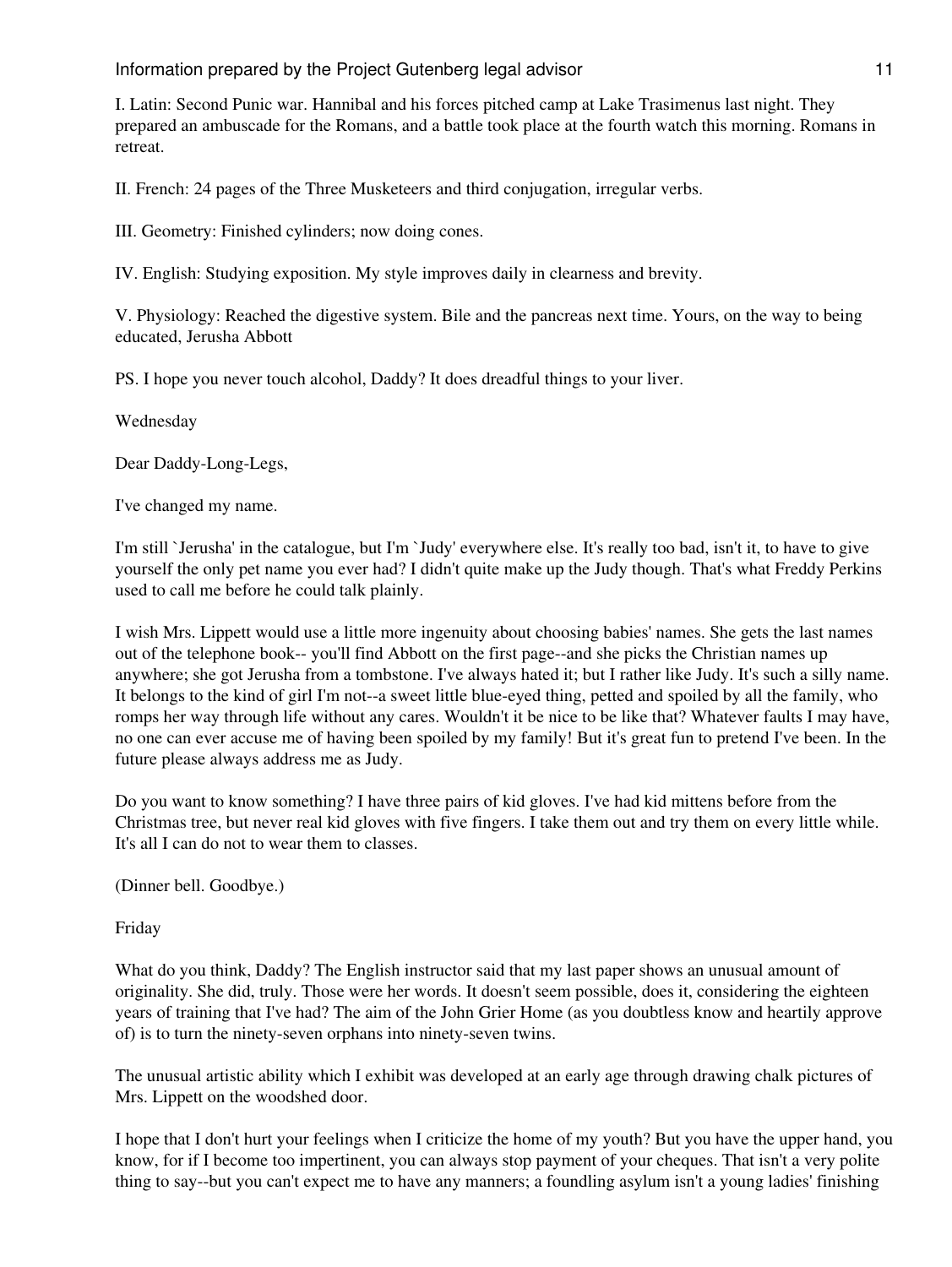I. Latin: Second Punic war. Hannibal and his forces pitched camp at Lake Trasimenus last night. They prepared an ambuscade for the Romans, and a battle took place at the fourth watch this morning. Romans in retreat.

II. French: 24 pages of the Three Musketeers and third conjugation, irregular verbs.

III. Geometry: Finished cylinders; now doing cones.

IV. English: Studying exposition. My style improves daily in clearness and brevity.

V. Physiology: Reached the digestive system. Bile and the pancreas next time. Yours, on the way to being educated, Jerusha Abbott

PS. I hope you never touch alcohol, Daddy? It does dreadful things to your liver.

Wednesday

Dear Daddy-Long-Legs,

I've changed my name.

I'm still `Jerusha' in the catalogue, but I'm `Judy' everywhere else. It's really too bad, isn't it, to have to give yourself the only pet name you ever had? I didn't quite make up the Judy though. That's what Freddy Perkins used to call me before he could talk plainly.

I wish Mrs. Lippett would use a little more ingenuity about choosing babies' names. She gets the last names out of the telephone book-- you'll find Abbott on the first page--and she picks the Christian names up anywhere; she got Jerusha from a tombstone. I've always hated it; but I rather like Judy. It's such a silly name. It belongs to the kind of girl I'm not--a sweet little blue-eyed thing, petted and spoiled by all the family, who romps her way through life without any cares. Wouldn't it be nice to be like that? Whatever faults I may have, no one can ever accuse me of having been spoiled by my family! But it's great fun to pretend I've been. In the future please always address me as Judy.

Do you want to know something? I have three pairs of kid gloves. I've had kid mittens before from the Christmas tree, but never real kid gloves with five fingers. I take them out and try them on every little while. It's all I can do not to wear them to classes.

(Dinner bell. Goodbye.)

Friday

What do you think, Daddy? The English instructor said that my last paper shows an unusual amount of originality. She did, truly. Those were her words. It doesn't seem possible, does it, considering the eighteen years of training that I've had? The aim of the John Grier Home (as you doubtless know and heartily approve of) is to turn the ninety-seven orphans into ninety-seven twins.

The unusual artistic ability which I exhibit was developed at an early age through drawing chalk pictures of Mrs. Lippett on the woodshed door.

I hope that I don't hurt your feelings when I criticize the home of my youth? But you have the upper hand, you know, for if I become too impertinent, you can always stop payment of your cheques. That isn't a very polite thing to say--but you can't expect me to have any manners; a foundling asylum isn't a young ladies' finishing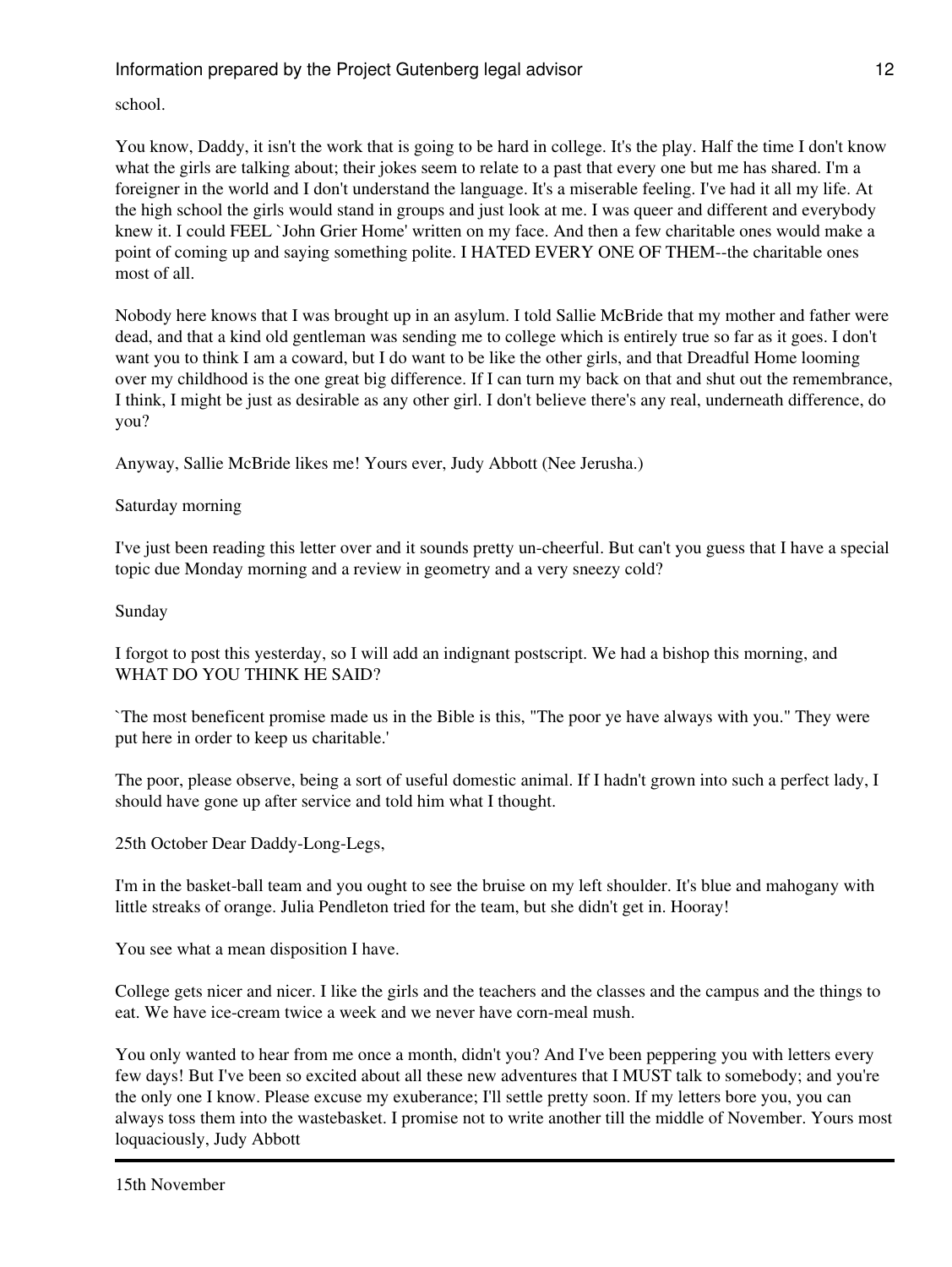school.

You know, Daddy, it isn't the work that is going to be hard in college. It's the play. Half the time I don't know what the girls are talking about; their jokes seem to relate to a past that every one but me has shared. I'm a foreigner in the world and I don't understand the language. It's a miserable feeling. I've had it all my life. At the high school the girls would stand in groups and just look at me. I was queer and different and everybody knew it. I could FEEL `John Grier Home' written on my face. And then a few charitable ones would make a point of coming up and saying something polite. I HATED EVERY ONE OF THEM--the charitable ones most of all.

Nobody here knows that I was brought up in an asylum. I told Sallie McBride that my mother and father were dead, and that a kind old gentleman was sending me to college which is entirely true so far as it goes. I don't want you to think I am a coward, but I do want to be like the other girls, and that Dreadful Home looming over my childhood is the one great big difference. If I can turn my back on that and shut out the remembrance, I think, I might be just as desirable as any other girl. I don't believe there's any real, underneath difference, do you?

Anyway, Sallie McBride likes me! Yours ever, Judy Abbott (Nee Jerusha.)

## Saturday morning

I've just been reading this letter over and it sounds pretty un-cheerful. But can't you guess that I have a special topic due Monday morning and a review in geometry and a very sneezy cold?

## Sunday

I forgot to post this yesterday, so I will add an indignant postscript. We had a bishop this morning, and WHAT DO YOU THINK HE SAID?

`The most beneficent promise made us in the Bible is this, "The poor ye have always with you." They were put here in order to keep us charitable.'

The poor, please observe, being a sort of useful domestic animal. If I hadn't grown into such a perfect lady, I should have gone up after service and told him what I thought.

25th October Dear Daddy-Long-Legs,

I'm in the basket-ball team and you ought to see the bruise on my left shoulder. It's blue and mahogany with little streaks of orange. Julia Pendleton tried for the team, but she didn't get in. Hooray!

You see what a mean disposition I have.

College gets nicer and nicer. I like the girls and the teachers and the classes and the campus and the things to eat. We have ice-cream twice a week and we never have corn-meal mush.

You only wanted to hear from me once a month, didn't you? And I've been peppering you with letters every few days! But I've been so excited about all these new adventures that I MUST talk to somebody; and you're the only one I know. Please excuse my exuberance; I'll settle pretty soon. If my letters bore you, you can always toss them into the wastebasket. I promise not to write another till the middle of November. Yours most loquaciously, Judy Abbott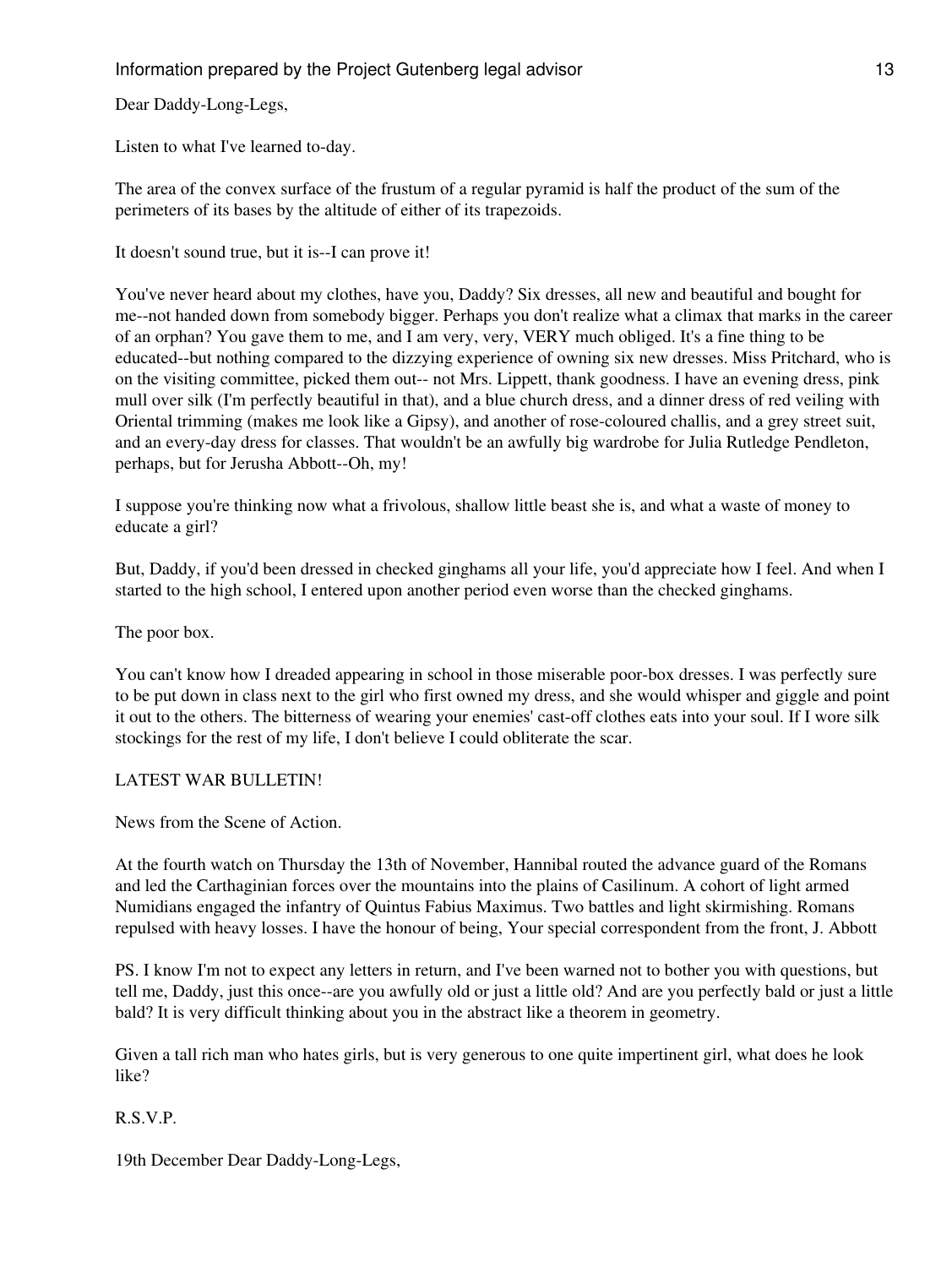Dear Daddy-Long-Legs,

Listen to what I've learned to-day.

The area of the convex surface of the frustum of a regular pyramid is half the product of the sum of the perimeters of its bases by the altitude of either of its trapezoids.

It doesn't sound true, but it is--I can prove it!

You've never heard about my clothes, have you, Daddy? Six dresses, all new and beautiful and bought for me--not handed down from somebody bigger. Perhaps you don't realize what a climax that marks in the career of an orphan? You gave them to me, and I am very, very, VERY much obliged. It's a fine thing to be educated--but nothing compared to the dizzying experience of owning six new dresses. Miss Pritchard, who is on the visiting committee, picked them out-- not Mrs. Lippett, thank goodness. I have an evening dress, pink mull over silk (I'm perfectly beautiful in that), and a blue church dress, and a dinner dress of red veiling with Oriental trimming (makes me look like a Gipsy), and another of rose-coloured challis, and a grey street suit, and an every-day dress for classes. That wouldn't be an awfully big wardrobe for Julia Rutledge Pendleton, perhaps, but for Jerusha Abbott--Oh, my!

I suppose you're thinking now what a frivolous, shallow little beast she is, and what a waste of money to educate a girl?

But, Daddy, if you'd been dressed in checked ginghams all your life, you'd appreciate how I feel. And when I started to the high school, I entered upon another period even worse than the checked ginghams.

The poor box.

You can't know how I dreaded appearing in school in those miserable poor-box dresses. I was perfectly sure to be put down in class next to the girl who first owned my dress, and she would whisper and giggle and point it out to the others. The bitterness of wearing your enemies' cast-off clothes eats into your soul. If I wore silk stockings for the rest of my life, I don't believe I could obliterate the scar.

## LATEST WAR BULLETIN!

News from the Scene of Action.

At the fourth watch on Thursday the 13th of November, Hannibal routed the advance guard of the Romans and led the Carthaginian forces over the mountains into the plains of Casilinum. A cohort of light armed Numidians engaged the infantry of Quintus Fabius Maximus. Two battles and light skirmishing. Romans repulsed with heavy losses. I have the honour of being, Your special correspondent from the front, J. Abbott

PS. I know I'm not to expect any letters in return, and I've been warned not to bother you with questions, but tell me, Daddy, just this once--are you awfully old or just a little old? And are you perfectly bald or just a little bald? It is very difficult thinking about you in the abstract like a theorem in geometry.

Given a tall rich man who hates girls, but is very generous to one quite impertinent girl, what does he look like?

R.S.V.P.

19th December Dear Daddy-Long-Legs,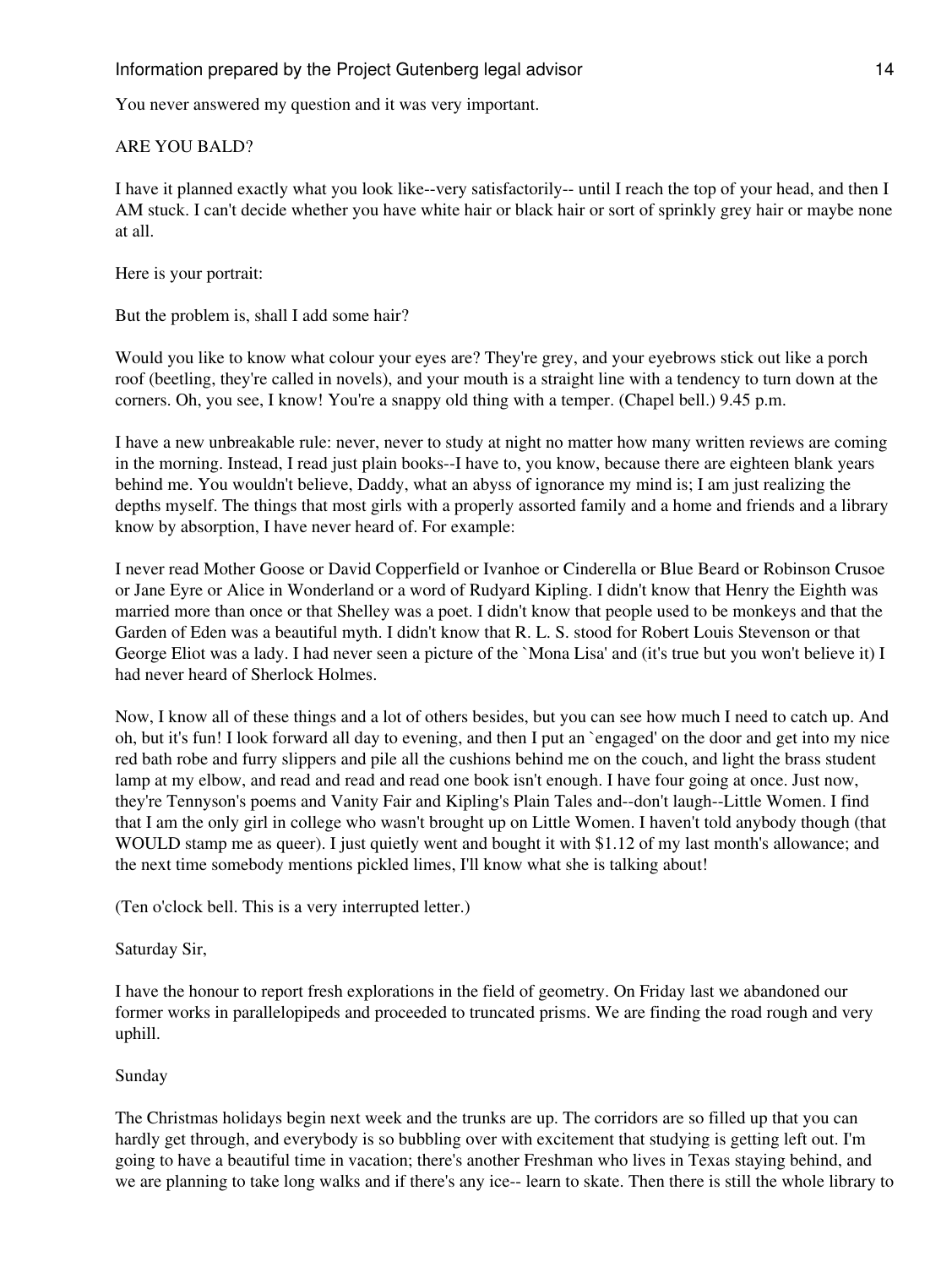You never answered my question and it was very important.

#### ARE YOU BALD?

I have it planned exactly what you look like--very satisfactorily-- until I reach the top of your head, and then I AM stuck. I can't decide whether you have white hair or black hair or sort of sprinkly grey hair or maybe none at all.

Here is your portrait:

But the problem is, shall I add some hair?

Would you like to know what colour your eyes are? They're grey, and your eyebrows stick out like a porch roof (beetling, they're called in novels), and your mouth is a straight line with a tendency to turn down at the corners. Oh, you see, I know! You're a snappy old thing with a temper. (Chapel bell.) 9.45 p.m.

I have a new unbreakable rule: never, never to study at night no matter how many written reviews are coming in the morning. Instead, I read just plain books--I have to, you know, because there are eighteen blank years behind me. You wouldn't believe, Daddy, what an abyss of ignorance my mind is; I am just realizing the depths myself. The things that most girls with a properly assorted family and a home and friends and a library know by absorption, I have never heard of. For example:

I never read Mother Goose or David Copperfield or Ivanhoe or Cinderella or Blue Beard or Robinson Crusoe or Jane Eyre or Alice in Wonderland or a word of Rudyard Kipling. I didn't know that Henry the Eighth was married more than once or that Shelley was a poet. I didn't know that people used to be monkeys and that the Garden of Eden was a beautiful myth. I didn't know that R. L. S. stood for Robert Louis Stevenson or that George Eliot was a lady. I had never seen a picture of the `Mona Lisa' and (it's true but you won't believe it) I had never heard of Sherlock Holmes.

Now, I know all of these things and a lot of others besides, but you can see how much I need to catch up. And oh, but it's fun! I look forward all day to evening, and then I put an `engaged' on the door and get into my nice red bath robe and furry slippers and pile all the cushions behind me on the couch, and light the brass student lamp at my elbow, and read and read and read one book isn't enough. I have four going at once. Just now, they're Tennyson's poems and Vanity Fair and Kipling's Plain Tales and--don't laugh--Little Women. I find that I am the only girl in college who wasn't brought up on Little Women. I haven't told anybody though (that WOULD stamp me as queer). I just quietly went and bought it with \$1.12 of my last month's allowance; and the next time somebody mentions pickled limes, I'll know what she is talking about!

(Ten o'clock bell. This is a very interrupted letter.)

Saturday Sir,

I have the honour to report fresh explorations in the field of geometry. On Friday last we abandoned our former works in parallelopipeds and proceeded to truncated prisms. We are finding the road rough and very uphill.

#### Sunday

The Christmas holidays begin next week and the trunks are up. The corridors are so filled up that you can hardly get through, and everybody is so bubbling over with excitement that studying is getting left out. I'm going to have a beautiful time in vacation; there's another Freshman who lives in Texas staying behind, and we are planning to take long walks and if there's any ice-- learn to skate. Then there is still the whole library to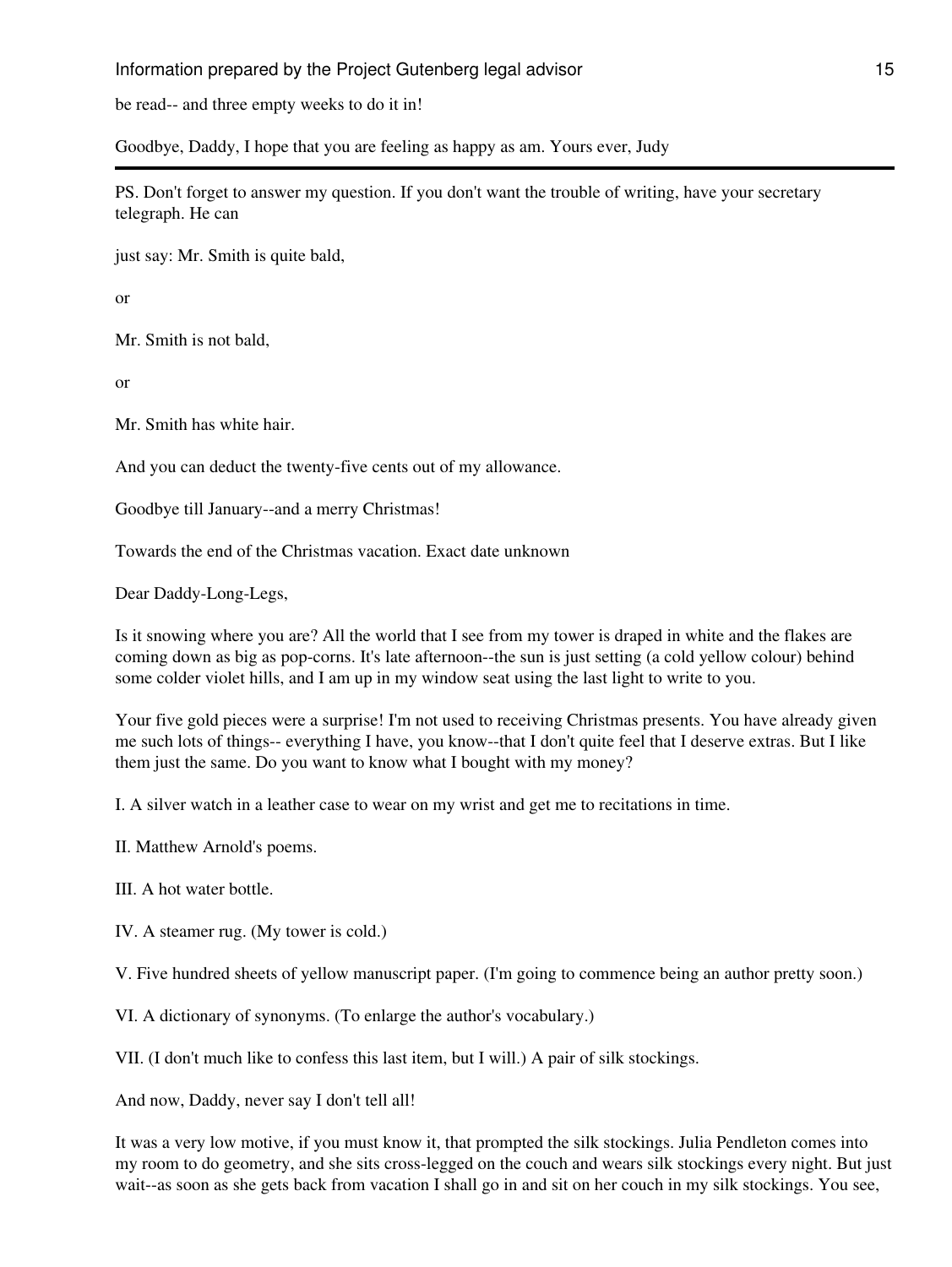be read-- and three empty weeks to do it in!

Goodbye, Daddy, I hope that you are feeling as happy as am. Yours ever, Judy

PS. Don't forget to answer my question. If you don't want the trouble of writing, have your secretary telegraph. He can

just say: Mr. Smith is quite bald,

or

Mr. Smith is not bald,

or

Mr. Smith has white hair.

And you can deduct the twenty-five cents out of my allowance.

Goodbye till January--and a merry Christmas!

Towards the end of the Christmas vacation. Exact date unknown

Dear Daddy-Long-Legs,

Is it snowing where you are? All the world that I see from my tower is draped in white and the flakes are coming down as big as pop-corns. It's late afternoon--the sun is just setting (a cold yellow colour) behind some colder violet hills, and I am up in my window seat using the last light to write to you.

Your five gold pieces were a surprise! I'm not used to receiving Christmas presents. You have already given me such lots of things-- everything I have, you know--that I don't quite feel that I deserve extras. But I like them just the same. Do you want to know what I bought with my money?

I. A silver watch in a leather case to wear on my wrist and get me to recitations in time.

II. Matthew Arnold's poems.

III. A hot water bottle.

IV. A steamer rug. (My tower is cold.)

V. Five hundred sheets of yellow manuscript paper. (I'm going to commence being an author pretty soon.)

VI. A dictionary of synonyms. (To enlarge the author's vocabulary.)

VII. (I don't much like to confess this last item, but I will.) A pair of silk stockings.

And now, Daddy, never say I don't tell all!

It was a very low motive, if you must know it, that prompted the silk stockings. Julia Pendleton comes into my room to do geometry, and she sits cross-legged on the couch and wears silk stockings every night. But just wait--as soon as she gets back from vacation I shall go in and sit on her couch in my silk stockings. You see,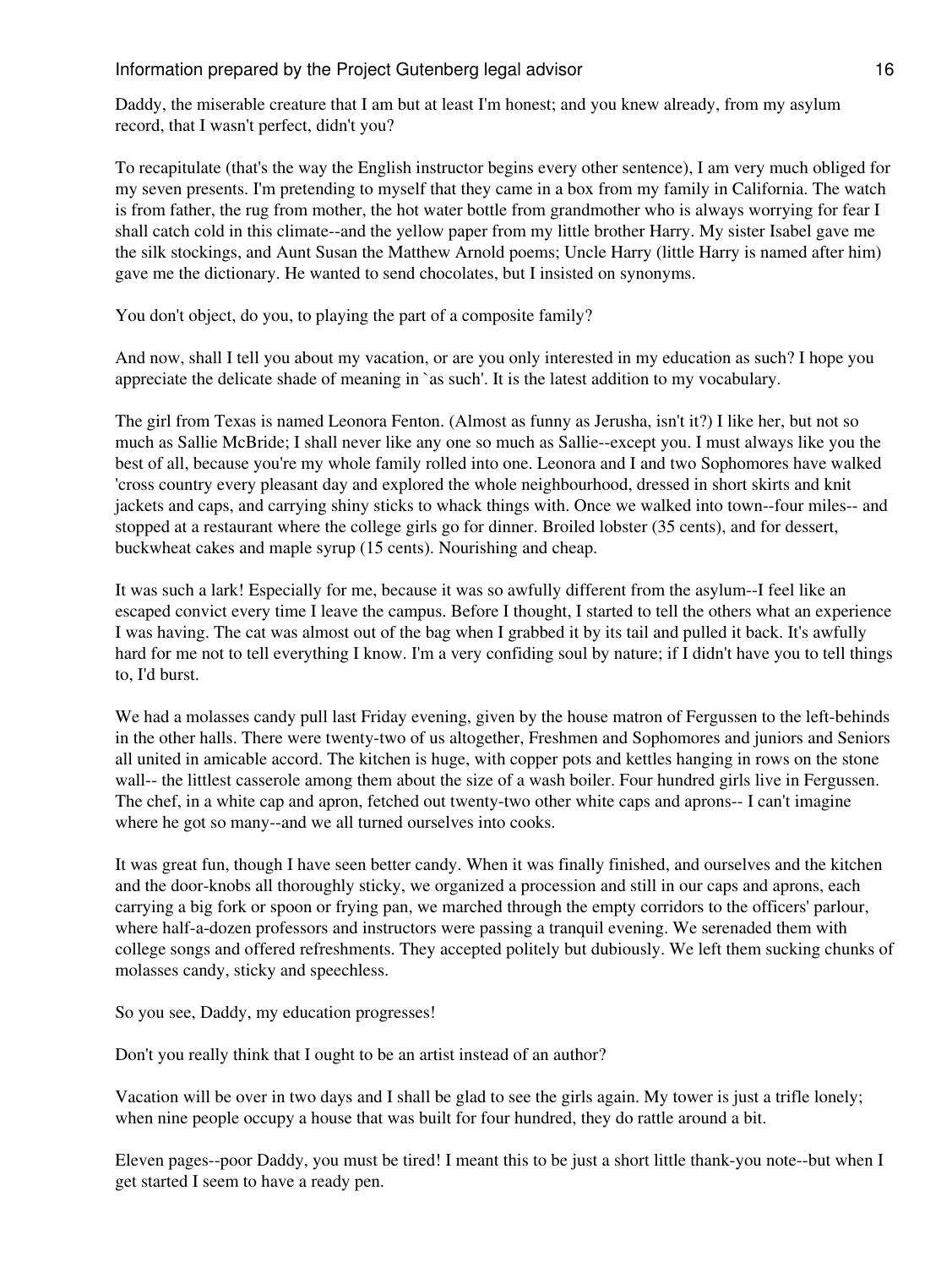Daddy, the miserable creature that I am but at least I'm honest; and you knew already, from my asylum record, that I wasn't perfect, didn't you?

To recapitulate (that's the way the English instructor begins every other sentence), I am very much obliged for my seven presents. I'm pretending to myself that they came in a box from my family in California. The watch is from father, the rug from mother, the hot water bottle from grandmother who is always worrying for fear I shall catch cold in this climate--and the yellow paper from my little brother Harry. My sister Isabel gave me the silk stockings, and Aunt Susan the Matthew Arnold poems; Uncle Harry (little Harry is named after him) gave me the dictionary. He wanted to send chocolates, but I insisted on synonyms.

You don't object, do you, to playing the part of a composite family?

And now, shall I tell you about my vacation, or are you only interested in my education as such? I hope you appreciate the delicate shade of meaning in `as such'. It is the latest addition to my vocabulary.

The girl from Texas is named Leonora Fenton. (Almost as funny as Jerusha, isn't it?) I like her, but not so much as Sallie McBride; I shall never like any one so much as Sallie--except you. I must always like you the best of all, because you're my whole family rolled into one. Leonora and I and two Sophomores have walked 'cross country every pleasant day and explored the whole neighbourhood, dressed in short skirts and knit jackets and caps, and carrying shiny sticks to whack things with. Once we walked into town--four miles-- and stopped at a restaurant where the college girls go for dinner. Broiled lobster (35 cents), and for dessert, buckwheat cakes and maple syrup (15 cents). Nourishing and cheap.

It was such a lark! Especially for me, because it was so awfully different from the asylum--I feel like an escaped convict every time I leave the campus. Before I thought, I started to tell the others what an experience I was having. The cat was almost out of the bag when I grabbed it by its tail and pulled it back. It's awfully hard for me not to tell everything I know. I'm a very confiding soul by nature; if I didn't have you to tell things to, I'd burst.

We had a molasses candy pull last Friday evening, given by the house matron of Fergussen to the left-behinds in the other halls. There were twenty-two of us altogether, Freshmen and Sophomores and juniors and Seniors all united in amicable accord. The kitchen is huge, with copper pots and kettles hanging in rows on the stone wall-- the littlest casserole among them about the size of a wash boiler. Four hundred girls live in Fergussen. The chef, in a white cap and apron, fetched out twenty-two other white caps and aprons-- I can't imagine where he got so many--and we all turned ourselves into cooks.

It was great fun, though I have seen better candy. When it was finally finished, and ourselves and the kitchen and the door-knobs all thoroughly sticky, we organized a procession and still in our caps and aprons, each carrying a big fork or spoon or frying pan, we marched through the empty corridors to the officers' parlour, where half-a-dozen professors and instructors were passing a tranquil evening. We serenaded them with college songs and offered refreshments. They accepted politely but dubiously. We left them sucking chunks of molasses candy, sticky and speechless.

So you see, Daddy, my education progresses!

Don't you really think that I ought to be an artist instead of an author?

Vacation will be over in two days and I shall be glad to see the girls again. My tower is just a trifle lonely; when nine people occupy a house that was built for four hundred, they do rattle around a bit.

Eleven pages--poor Daddy, you must be tired! I meant this to be just a short little thank-you note--but when I get started I seem to have a ready pen.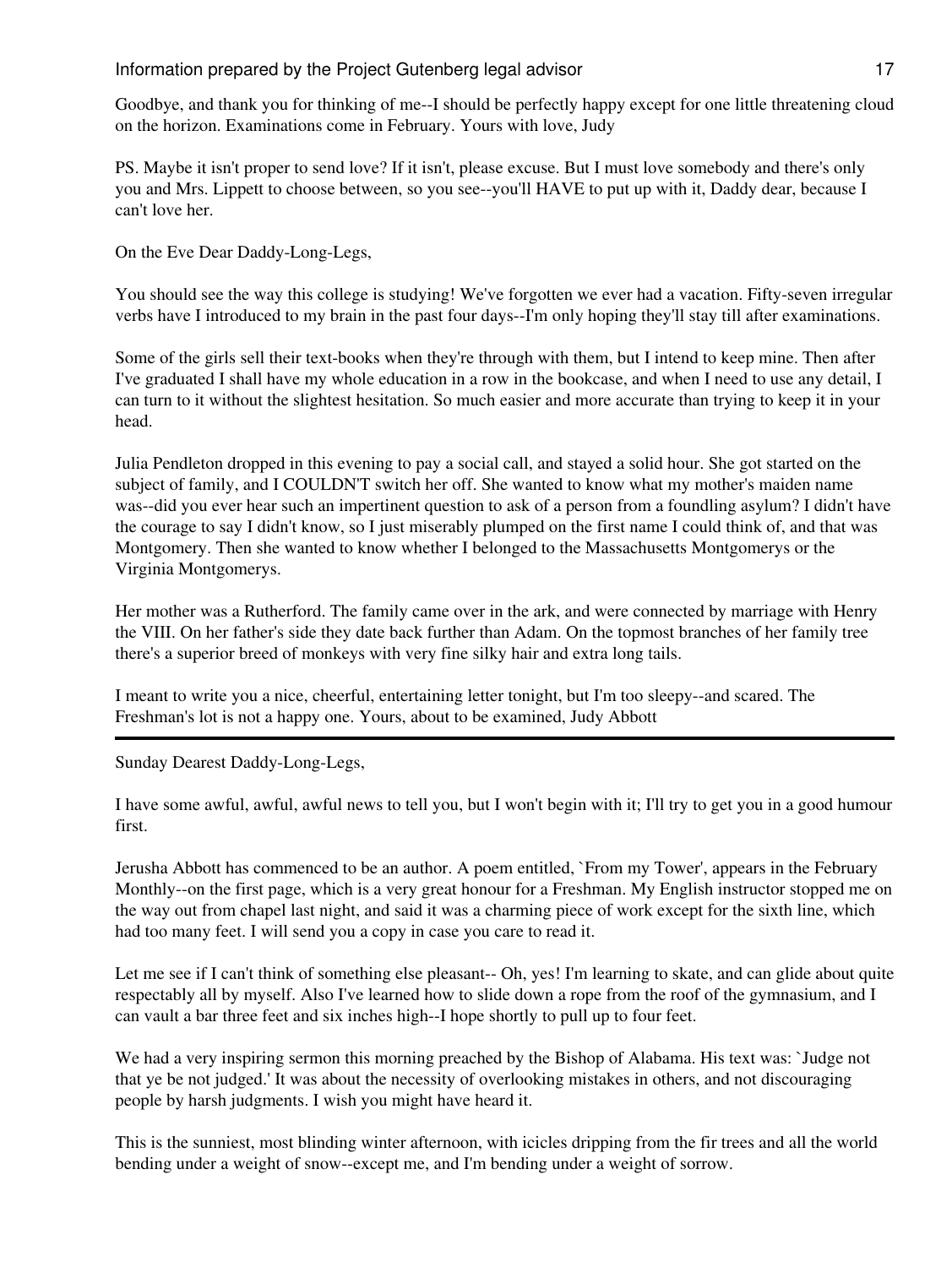Goodbye, and thank you for thinking of me--I should be perfectly happy except for one little threatening cloud on the horizon. Examinations come in February. Yours with love, Judy

PS. Maybe it isn't proper to send love? If it isn't, please excuse. But I must love somebody and there's only you and Mrs. Lippett to choose between, so you see--you'll HAVE to put up with it, Daddy dear, because I can't love her.

On the Eve Dear Daddy-Long-Legs,

You should see the way this college is studying! We've forgotten we ever had a vacation. Fifty-seven irregular verbs have I introduced to my brain in the past four days--I'm only hoping they'll stay till after examinations.

Some of the girls sell their text-books when they're through with them, but I intend to keep mine. Then after I've graduated I shall have my whole education in a row in the bookcase, and when I need to use any detail, I can turn to it without the slightest hesitation. So much easier and more accurate than trying to keep it in your head.

Julia Pendleton dropped in this evening to pay a social call, and stayed a solid hour. She got started on the subject of family, and I COULDN'T switch her off. She wanted to know what my mother's maiden name was--did you ever hear such an impertinent question to ask of a person from a foundling asylum? I didn't have the courage to say I didn't know, so I just miserably plumped on the first name I could think of, and that was Montgomery. Then she wanted to know whether I belonged to the Massachusetts Montgomerys or the Virginia Montgomerys.

Her mother was a Rutherford. The family came over in the ark, and were connected by marriage with Henry the VIII. On her father's side they date back further than Adam. On the topmost branches of her family tree there's a superior breed of monkeys with very fine silky hair and extra long tails.

I meant to write you a nice, cheerful, entertaining letter tonight, but I'm too sleepy--and scared. The Freshman's lot is not a happy one. Yours, about to be examined, Judy Abbott

Sunday Dearest Daddy-Long-Legs,

I have some awful, awful, awful news to tell you, but I won't begin with it; I'll try to get you in a good humour first.

Jerusha Abbott has commenced to be an author. A poem entitled, `From my Tower', appears in the February Monthly--on the first page, which is a very great honour for a Freshman. My English instructor stopped me on the way out from chapel last night, and said it was a charming piece of work except for the sixth line, which had too many feet. I will send you a copy in case you care to read it.

Let me see if I can't think of something else pleasant-- Oh, yes! I'm learning to skate, and can glide about quite respectably all by myself. Also I've learned how to slide down a rope from the roof of the gymnasium, and I can vault a bar three feet and six inches high--I hope shortly to pull up to four feet.

We had a very inspiring sermon this morning preached by the Bishop of Alabama. His text was: `Judge not that ye be not judged.' It was about the necessity of overlooking mistakes in others, and not discouraging people by harsh judgments. I wish you might have heard it.

This is the sunniest, most blinding winter afternoon, with icicles dripping from the fir trees and all the world bending under a weight of snow--except me, and I'm bending under a weight of sorrow.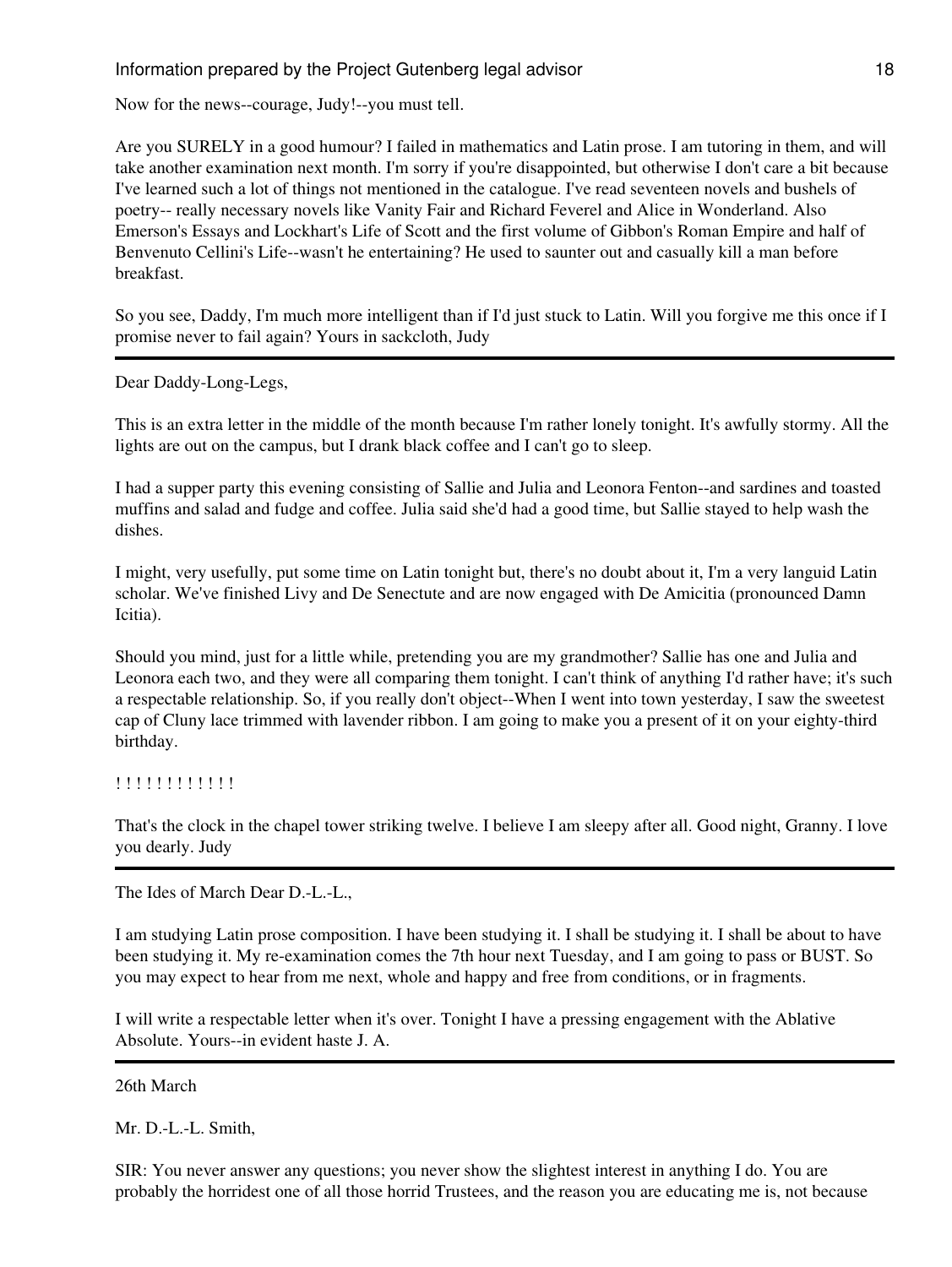Now for the news--courage, Judy!--you must tell.

Are you SURELY in a good humour? I failed in mathematics and Latin prose. I am tutoring in them, and will take another examination next month. I'm sorry if you're disappointed, but otherwise I don't care a bit because I've learned such a lot of things not mentioned in the catalogue. I've read seventeen novels and bushels of poetry-- really necessary novels like Vanity Fair and Richard Feverel and Alice in Wonderland. Also Emerson's Essays and Lockhart's Life of Scott and the first volume of Gibbon's Roman Empire and half of Benvenuto Cellini's Life--wasn't he entertaining? He used to saunter out and casually kill a man before breakfast.

So you see, Daddy, I'm much more intelligent than if I'd just stuck to Latin. Will you forgive me this once if I promise never to fail again? Yours in sackcloth, Judy

Dear Daddy-Long-Legs,

This is an extra letter in the middle of the month because I'm rather lonely tonight. It's awfully stormy. All the lights are out on the campus, but I drank black coffee and I can't go to sleep.

I had a supper party this evening consisting of Sallie and Julia and Leonora Fenton--and sardines and toasted muffins and salad and fudge and coffee. Julia said she'd had a good time, but Sallie stayed to help wash the dishes.

I might, very usefully, put some time on Latin tonight but, there's no doubt about it, I'm a very languid Latin scholar. We've finished Livy and De Senectute and are now engaged with De Amicitia (pronounced Damn Icitia).

Should you mind, just for a little while, pretending you are my grandmother? Sallie has one and Julia and Leonora each two, and they were all comparing them tonight. I can't think of anything I'd rather have; it's such a respectable relationship. So, if you really don't object--When I went into town yesterday, I saw the sweetest cap of Cluny lace trimmed with lavender ribbon. I am going to make you a present of it on your eighty-third birthday.

! ! ! ! ! ! ! ! ! ! ! !

That's the clock in the chapel tower striking twelve. I believe I am sleepy after all. Good night, Granny. I love you dearly. Judy

The Ides of March Dear D.-L.-L.,

I am studying Latin prose composition. I have been studying it. I shall be studying it. I shall be about to have been studying it. My re-examination comes the 7th hour next Tuesday, and I am going to pass or BUST. So you may expect to hear from me next, whole and happy and free from conditions, or in fragments.

I will write a respectable letter when it's over. Tonight I have a pressing engagement with the Ablative Absolute. Yours--in evident haste J. A.

26th March

Mr. D.-L.-L. Smith,

SIR: You never answer any questions; you never show the slightest interest in anything I do. You are probably the horridest one of all those horrid Trustees, and the reason you are educating me is, not because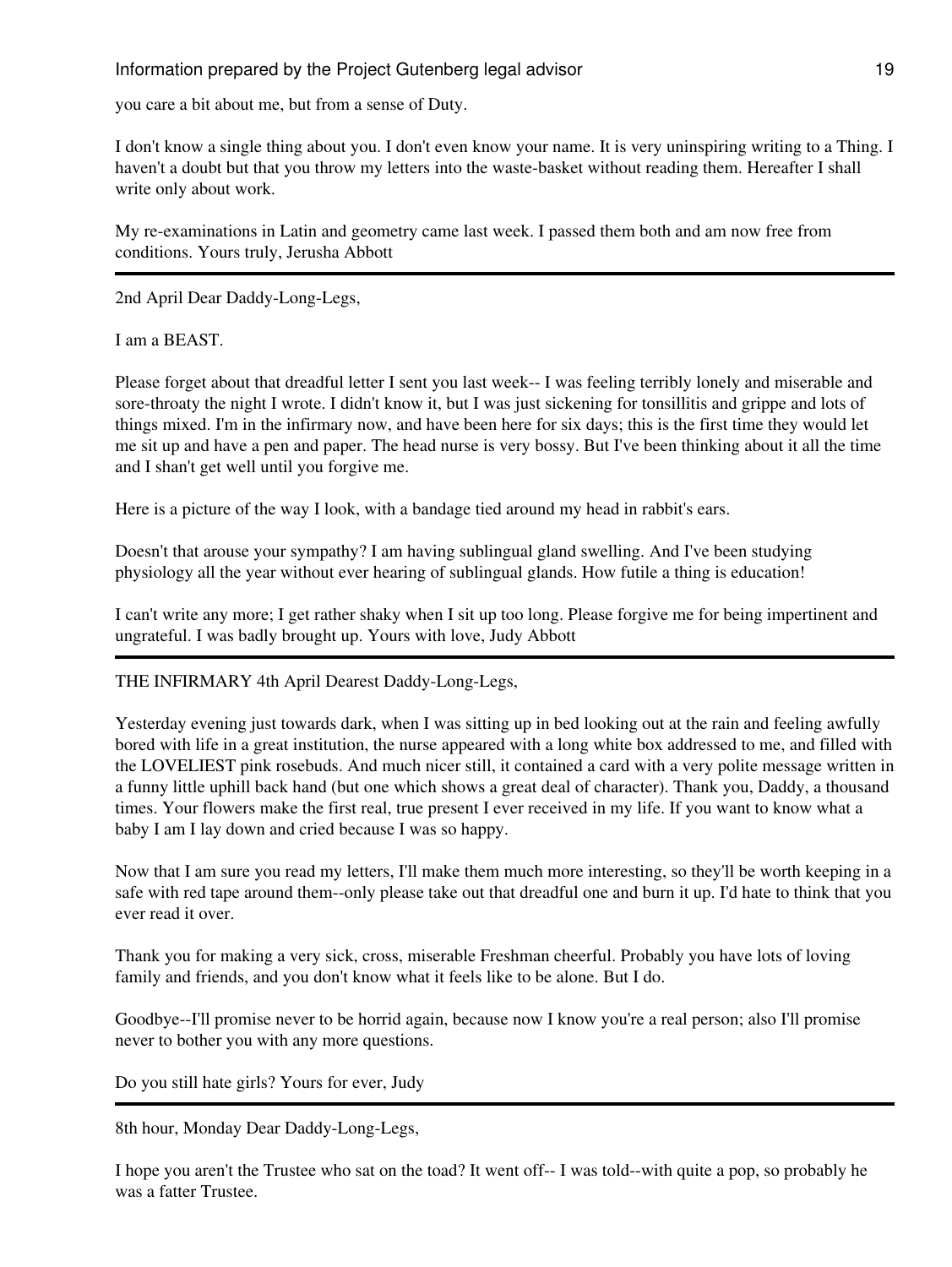you care a bit about me, but from a sense of Duty.

I don't know a single thing about you. I don't even know your name. It is very uninspiring writing to a Thing. I haven't a doubt but that you throw my letters into the waste-basket without reading them. Hereafter I shall write only about work.

My re-examinations in Latin and geometry came last week. I passed them both and am now free from conditions. Yours truly, Jerusha Abbott

2nd April Dear Daddy-Long-Legs,

I am a BEAST.

Please forget about that dreadful letter I sent you last week-- I was feeling terribly lonely and miserable and sore-throaty the night I wrote. I didn't know it, but I was just sickening for tonsillitis and grippe and lots of things mixed. I'm in the infirmary now, and have been here for six days; this is the first time they would let me sit up and have a pen and paper. The head nurse is very bossy. But I've been thinking about it all the time and I shan't get well until you forgive me.

Here is a picture of the way I look, with a bandage tied around my head in rabbit's ears.

Doesn't that arouse your sympathy? I am having sublingual gland swelling. And I've been studying physiology all the year without ever hearing of sublingual glands. How futile a thing is education!

I can't write any more; I get rather shaky when I sit up too long. Please forgive me for being impertinent and ungrateful. I was badly brought up. Yours with love, Judy Abbott

THE INFIRMARY 4th April Dearest Daddy-Long-Legs,

Yesterday evening just towards dark, when I was sitting up in bed looking out at the rain and feeling awfully bored with life in a great institution, the nurse appeared with a long white box addressed to me, and filled with the LOVELIEST pink rosebuds. And much nicer still, it contained a card with a very polite message written in a funny little uphill back hand (but one which shows a great deal of character). Thank you, Daddy, a thousand times. Your flowers make the first real, true present I ever received in my life. If you want to know what a baby I am I lay down and cried because I was so happy.

Now that I am sure you read my letters, I'll make them much more interesting, so they'll be worth keeping in a safe with red tape around them--only please take out that dreadful one and burn it up. I'd hate to think that you ever read it over.

Thank you for making a very sick, cross, miserable Freshman cheerful. Probably you have lots of loving family and friends, and you don't know what it feels like to be alone. But I do.

Goodbye--I'll promise never to be horrid again, because now I know you're a real person; also I'll promise never to bother you with any more questions.

Do you still hate girls? Yours for ever, Judy

8th hour, Monday Dear Daddy-Long-Legs,

I hope you aren't the Trustee who sat on the toad? It went off-- I was told--with quite a pop, so probably he was a fatter Trustee.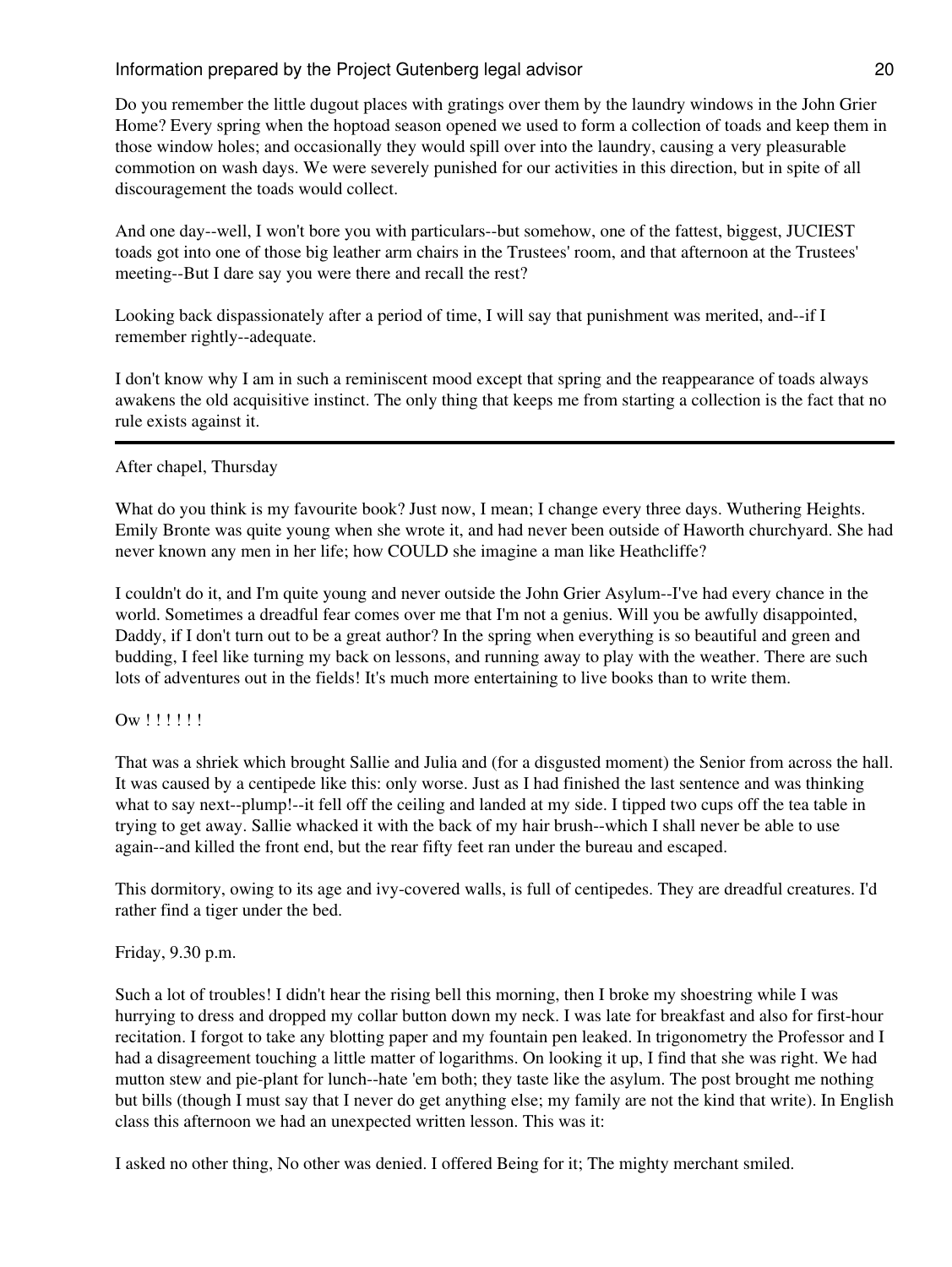Do you remember the little dugout places with gratings over them by the laundry windows in the John Grier Home? Every spring when the hoptoad season opened we used to form a collection of toads and keep them in those window holes; and occasionally they would spill over into the laundry, causing a very pleasurable commotion on wash days. We were severely punished for our activities in this direction, but in spite of all discouragement the toads would collect.

And one day--well, I won't bore you with particulars--but somehow, one of the fattest, biggest, JUCIEST toads got into one of those big leather arm chairs in the Trustees' room, and that afternoon at the Trustees' meeting--But I dare say you were there and recall the rest?

Looking back dispassionately after a period of time, I will say that punishment was merited, and--if I remember rightly--adequate.

I don't know why I am in such a reminiscent mood except that spring and the reappearance of toads always awakens the old acquisitive instinct. The only thing that keeps me from starting a collection is the fact that no rule exists against it.

## After chapel, Thursday

What do you think is my favourite book? Just now, I mean; I change every three days. Wuthering Heights. Emily Bronte was quite young when she wrote it, and had never been outside of Haworth churchyard. She had never known any men in her life; how COULD she imagine a man like Heathcliffe?

I couldn't do it, and I'm quite young and never outside the John Grier Asylum--I've had every chance in the world. Sometimes a dreadful fear comes over me that I'm not a genius. Will you be awfully disappointed, Daddy, if I don't turn out to be a great author? In the spring when everything is so beautiful and green and budding, I feel like turning my back on lessons, and running away to play with the weather. There are such lots of adventures out in the fields! It's much more entertaining to live books than to write them.

#### Ow !!!!!!

That was a shriek which brought Sallie and Julia and (for a disgusted moment) the Senior from across the hall. It was caused by a centipede like this: only worse. Just as I had finished the last sentence and was thinking what to say next--plump!--it fell off the ceiling and landed at my side. I tipped two cups off the tea table in trying to get away. Sallie whacked it with the back of my hair brush--which I shall never be able to use again--and killed the front end, but the rear fifty feet ran under the bureau and escaped.

This dormitory, owing to its age and ivy-covered walls, is full of centipedes. They are dreadful creatures. I'd rather find a tiger under the bed.

#### Friday, 9.30 p.m.

Such a lot of troubles! I didn't hear the rising bell this morning, then I broke my shoestring while I was hurrying to dress and dropped my collar button down my neck. I was late for breakfast and also for first-hour recitation. I forgot to take any blotting paper and my fountain pen leaked. In trigonometry the Professor and I had a disagreement touching a little matter of logarithms. On looking it up, I find that she was right. We had mutton stew and pie-plant for lunch--hate 'em both; they taste like the asylum. The post brought me nothing but bills (though I must say that I never do get anything else; my family are not the kind that write). In English class this afternoon we had an unexpected written lesson. This was it:

I asked no other thing, No other was denied. I offered Being for it; The mighty merchant smiled.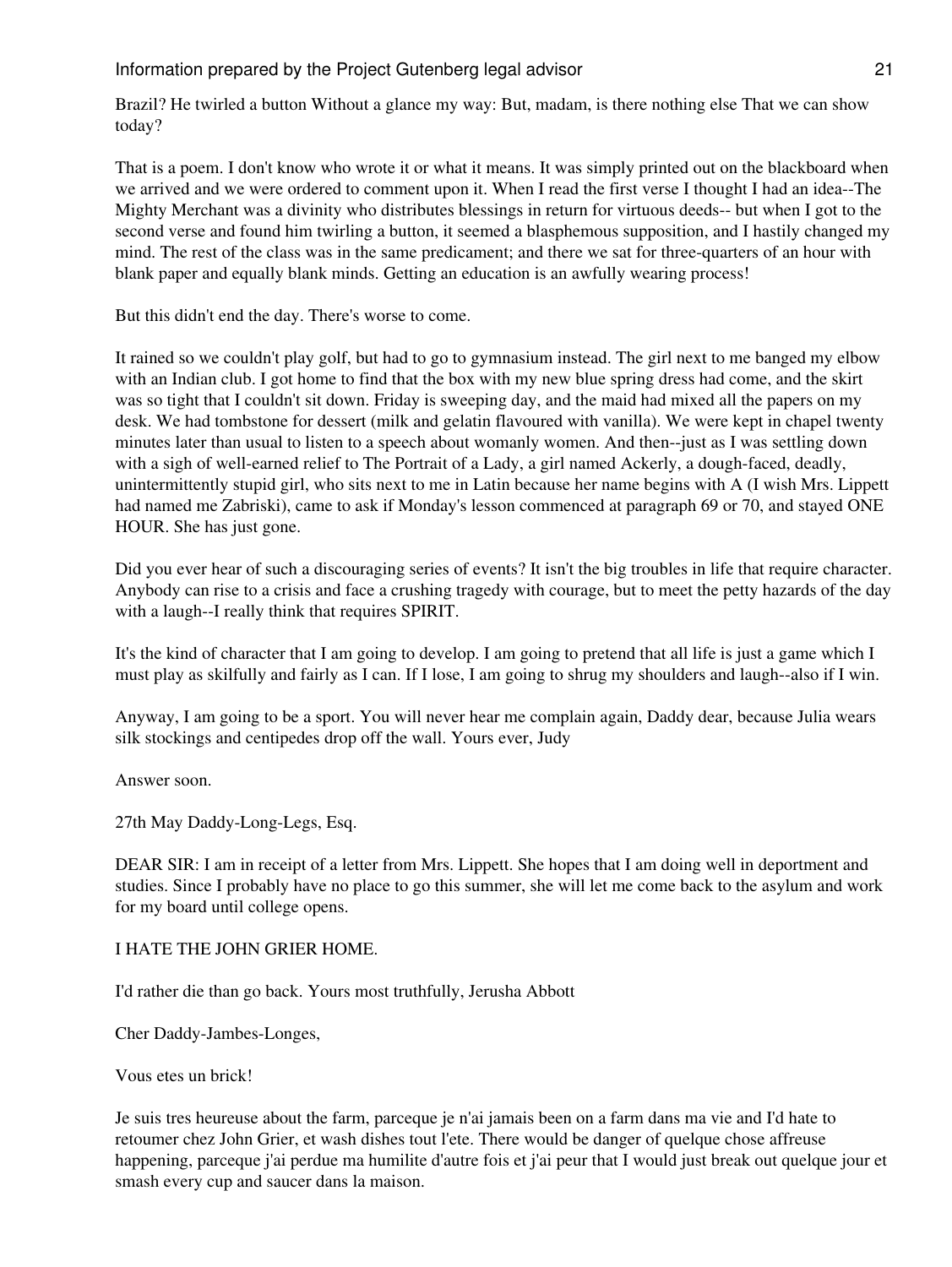Brazil? He twirled a button Without a glance my way: But, madam, is there nothing else That we can show today?

That is a poem. I don't know who wrote it or what it means. It was simply printed out on the blackboard when we arrived and we were ordered to comment upon it. When I read the first verse I thought I had an idea--The Mighty Merchant was a divinity who distributes blessings in return for virtuous deeds-- but when I got to the second verse and found him twirling a button, it seemed a blasphemous supposition, and I hastily changed my mind. The rest of the class was in the same predicament; and there we sat for three-quarters of an hour with blank paper and equally blank minds. Getting an education is an awfully wearing process!

But this didn't end the day. There's worse to come.

It rained so we couldn't play golf, but had to go to gymnasium instead. The girl next to me banged my elbow with an Indian club. I got home to find that the box with my new blue spring dress had come, and the skirt was so tight that I couldn't sit down. Friday is sweeping day, and the maid had mixed all the papers on my desk. We had tombstone for dessert (milk and gelatin flavoured with vanilla). We were kept in chapel twenty minutes later than usual to listen to a speech about womanly women. And then--just as I was settling down with a sigh of well-earned relief to The Portrait of a Lady, a girl named Ackerly, a dough-faced, deadly, unintermittently stupid girl, who sits next to me in Latin because her name begins with A (I wish Mrs. Lippett had named me Zabriski), came to ask if Monday's lesson commenced at paragraph 69 or 70, and stayed ONE HOUR. She has just gone.

Did you ever hear of such a discouraging series of events? It isn't the big troubles in life that require character. Anybody can rise to a crisis and face a crushing tragedy with courage, but to meet the petty hazards of the day with a laugh--I really think that requires SPIRIT.

It's the kind of character that I am going to develop. I am going to pretend that all life is just a game which I must play as skilfully and fairly as I can. If I lose, I am going to shrug my shoulders and laugh--also if I win.

Anyway, I am going to be a sport. You will never hear me complain again, Daddy dear, because Julia wears silk stockings and centipedes drop off the wall. Yours ever, Judy

Answer soon.

27th May Daddy-Long-Legs, Esq.

DEAR SIR: I am in receipt of a letter from Mrs. Lippett. She hopes that I am doing well in deportment and studies. Since I probably have no place to go this summer, she will let me come back to the asylum and work for my board until college opens.

## I HATE THE JOHN GRIER HOME.

I'd rather die than go back. Yours most truthfully, Jerusha Abbott

Cher Daddy-Jambes-Longes,

Vous etes un brick!

Je suis tres heureuse about the farm, parceque je n'ai jamais been on a farm dans ma vie and I'd hate to retoumer chez John Grier, et wash dishes tout l'ete. There would be danger of quelque chose affreuse happening, parceque j'ai perdue ma humilite d'autre fois et j'ai peur that I would just break out quelque jour et smash every cup and saucer dans la maison.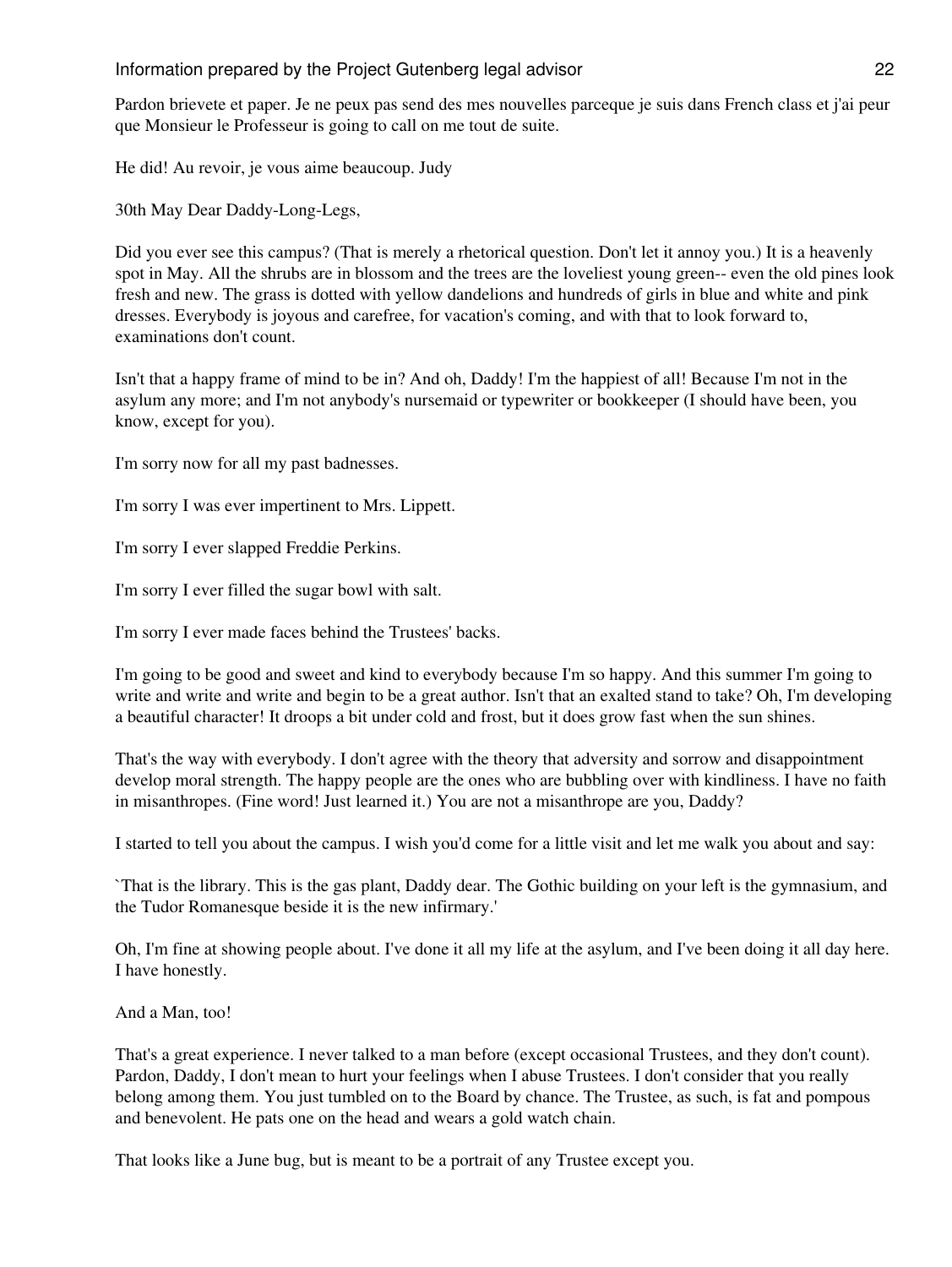Pardon brievete et paper. Je ne peux pas send des mes nouvelles parceque je suis dans French class et j'ai peur que Monsieur le Professeur is going to call on me tout de suite.

He did! Au revoir, je vous aime beaucoup. Judy

30th May Dear Daddy-Long-Legs,

Did you ever see this campus? (That is merely a rhetorical question. Don't let it annoy you.) It is a heavenly spot in May. All the shrubs are in blossom and the trees are the loveliest young green-- even the old pines look fresh and new. The grass is dotted with yellow dandelions and hundreds of girls in blue and white and pink dresses. Everybody is joyous and carefree, for vacation's coming, and with that to look forward to, examinations don't count.

Isn't that a happy frame of mind to be in? And oh, Daddy! I'm the happiest of all! Because I'm not in the asylum any more; and I'm not anybody's nursemaid or typewriter or bookkeeper (I should have been, you know, except for you).

I'm sorry now for all my past badnesses.

I'm sorry I was ever impertinent to Mrs. Lippett.

I'm sorry I ever slapped Freddie Perkins.

I'm sorry I ever filled the sugar bowl with salt.

I'm sorry I ever made faces behind the Trustees' backs.

I'm going to be good and sweet and kind to everybody because I'm so happy. And this summer I'm going to write and write and write and begin to be a great author. Isn't that an exalted stand to take? Oh, I'm developing a beautiful character! It droops a bit under cold and frost, but it does grow fast when the sun shines.

That's the way with everybody. I don't agree with the theory that adversity and sorrow and disappointment develop moral strength. The happy people are the ones who are bubbling over with kindliness. I have no faith in misanthropes. (Fine word! Just learned it.) You are not a misanthrope are you, Daddy?

I started to tell you about the campus. I wish you'd come for a little visit and let me walk you about and say:

`That is the library. This is the gas plant, Daddy dear. The Gothic building on your left is the gymnasium, and the Tudor Romanesque beside it is the new infirmary.'

Oh, I'm fine at showing people about. I've done it all my life at the asylum, and I've been doing it all day here. I have honestly.

And a Man, too!

That's a great experience. I never talked to a man before (except occasional Trustees, and they don't count). Pardon, Daddy, I don't mean to hurt your feelings when I abuse Trustees. I don't consider that you really belong among them. You just tumbled on to the Board by chance. The Trustee, as such, is fat and pompous and benevolent. He pats one on the head and wears a gold watch chain.

That looks like a June bug, but is meant to be a portrait of any Trustee except you.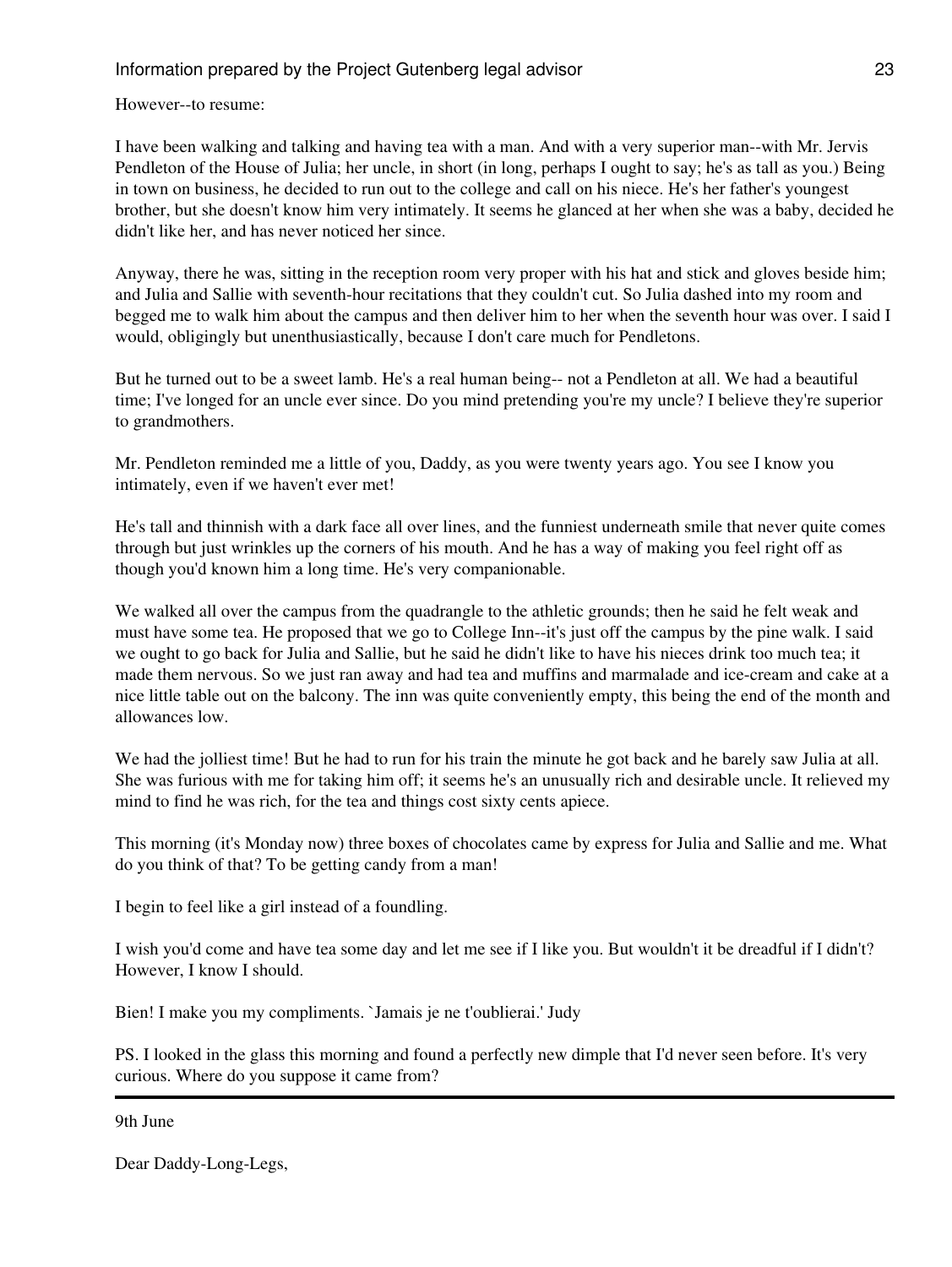However--to resume:

I have been walking and talking and having tea with a man. And with a very superior man--with Mr. Jervis Pendleton of the House of Julia; her uncle, in short (in long, perhaps I ought to say; he's as tall as you.) Being in town on business, he decided to run out to the college and call on his niece. He's her father's youngest brother, but she doesn't know him very intimately. It seems he glanced at her when she was a baby, decided he didn't like her, and has never noticed her since.

Anyway, there he was, sitting in the reception room very proper with his hat and stick and gloves beside him; and Julia and Sallie with seventh-hour recitations that they couldn't cut. So Julia dashed into my room and begged me to walk him about the campus and then deliver him to her when the seventh hour was over. I said I would, obligingly but unenthusiastically, because I don't care much for Pendletons.

But he turned out to be a sweet lamb. He's a real human being-- not a Pendleton at all. We had a beautiful time; I've longed for an uncle ever since. Do you mind pretending you're my uncle? I believe they're superior to grandmothers.

Mr. Pendleton reminded me a little of you, Daddy, as you were twenty years ago. You see I know you intimately, even if we haven't ever met!

He's tall and thinnish with a dark face all over lines, and the funniest underneath smile that never quite comes through but just wrinkles up the corners of his mouth. And he has a way of making you feel right off as though you'd known him a long time. He's very companionable.

We walked all over the campus from the quadrangle to the athletic grounds; then he said he felt weak and must have some tea. He proposed that we go to College Inn--it's just off the campus by the pine walk. I said we ought to go back for Julia and Sallie, but he said he didn't like to have his nieces drink too much tea; it made them nervous. So we just ran away and had tea and muffins and marmalade and ice-cream and cake at a nice little table out on the balcony. The inn was quite conveniently empty, this being the end of the month and allowances low.

We had the jolliest time! But he had to run for his train the minute he got back and he barely saw Julia at all. She was furious with me for taking him off; it seems he's an unusually rich and desirable uncle. It relieved my mind to find he was rich, for the tea and things cost sixty cents apiece.

This morning (it's Monday now) three boxes of chocolates came by express for Julia and Sallie and me. What do you think of that? To be getting candy from a man!

I begin to feel like a girl instead of a foundling.

I wish you'd come and have tea some day and let me see if I like you. But wouldn't it be dreadful if I didn't? However, I know I should.

Bien! I make you my compliments. `Jamais je ne t'oublierai.' Judy

PS. I looked in the glass this morning and found a perfectly new dimple that I'd never seen before. It's very curious. Where do you suppose it came from?

9th June

Dear Daddy-Long-Legs,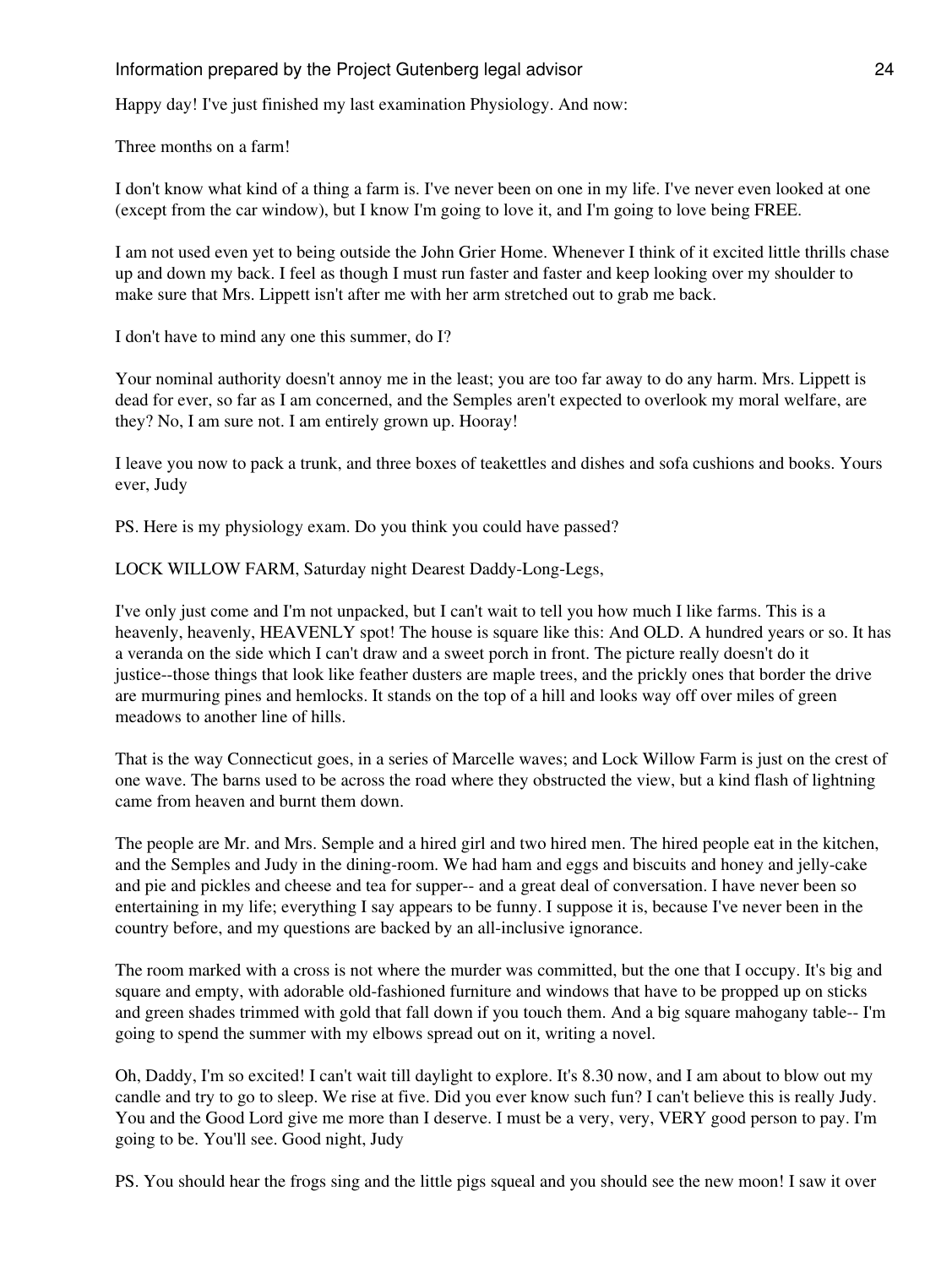Happy day! I've just finished my last examination Physiology. And now:

Three months on a farm!

I don't know what kind of a thing a farm is. I've never been on one in my life. I've never even looked at one (except from the car window), but I know I'm going to love it, and I'm going to love being FREE.

I am not used even yet to being outside the John Grier Home. Whenever I think of it excited little thrills chase up and down my back. I feel as though I must run faster and faster and keep looking over my shoulder to make sure that Mrs. Lippett isn't after me with her arm stretched out to grab me back.

I don't have to mind any one this summer, do I?

Your nominal authority doesn't annoy me in the least; you are too far away to do any harm. Mrs. Lippett is dead for ever, so far as I am concerned, and the Semples aren't expected to overlook my moral welfare, are they? No, I am sure not. I am entirely grown up. Hooray!

I leave you now to pack a trunk, and three boxes of teakettles and dishes and sofa cushions and books. Yours ever, Judy

PS. Here is my physiology exam. Do you think you could have passed?

LOCK WILLOW FARM, Saturday night Dearest Daddy-Long-Legs,

I've only just come and I'm not unpacked, but I can't wait to tell you how much I like farms. This is a heavenly, heavenly, HEAVENLY spot! The house is square like this: And OLD. A hundred years or so. It has a veranda on the side which I can't draw and a sweet porch in front. The picture really doesn't do it justice--those things that look like feather dusters are maple trees, and the prickly ones that border the drive are murmuring pines and hemlocks. It stands on the top of a hill and looks way off over miles of green meadows to another line of hills.

That is the way Connecticut goes, in a series of Marcelle waves; and Lock Willow Farm is just on the crest of one wave. The barns used to be across the road where they obstructed the view, but a kind flash of lightning came from heaven and burnt them down.

The people are Mr. and Mrs. Semple and a hired girl and two hired men. The hired people eat in the kitchen, and the Semples and Judy in the dining-room. We had ham and eggs and biscuits and honey and jelly-cake and pie and pickles and cheese and tea for supper-- and a great deal of conversation. I have never been so entertaining in my life; everything I say appears to be funny. I suppose it is, because I've never been in the country before, and my questions are backed by an all-inclusive ignorance.

The room marked with a cross is not where the murder was committed, but the one that I occupy. It's big and square and empty, with adorable old-fashioned furniture and windows that have to be propped up on sticks and green shades trimmed with gold that fall down if you touch them. And a big square mahogany table-- I'm going to spend the summer with my elbows spread out on it, writing a novel.

Oh, Daddy, I'm so excited! I can't wait till daylight to explore. It's 8.30 now, and I am about to blow out my candle and try to go to sleep. We rise at five. Did you ever know such fun? I can't believe this is really Judy. You and the Good Lord give me more than I deserve. I must be a very, very, VERY good person to pay. I'm going to be. You'll see. Good night, Judy

PS. You should hear the frogs sing and the little pigs squeal and you should see the new moon! I saw it over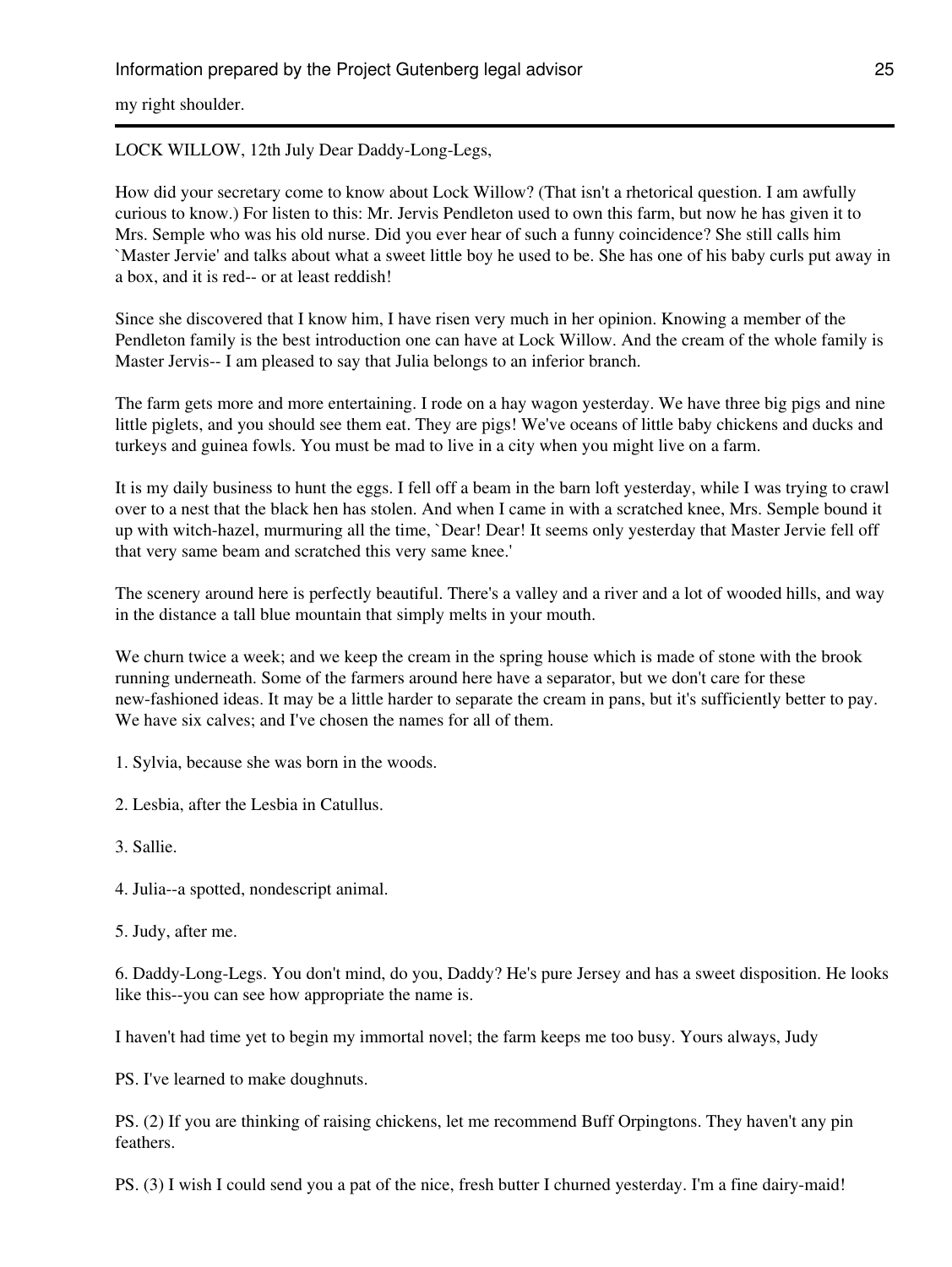my right shoulder.

## LOCK WILLOW, 12th July Dear Daddy-Long-Legs,

How did your secretary come to know about Lock Willow? (That isn't a rhetorical question. I am awfully curious to know.) For listen to this: Mr. Jervis Pendleton used to own this farm, but now he has given it to Mrs. Semple who was his old nurse. Did you ever hear of such a funny coincidence? She still calls him `Master Jervie' and talks about what a sweet little boy he used to be. She has one of his baby curls put away in a box, and it is red-- or at least reddish!

Since she discovered that I know him, I have risen very much in her opinion. Knowing a member of the Pendleton family is the best introduction one can have at Lock Willow. And the cream of the whole family is Master Jervis-- I am pleased to say that Julia belongs to an inferior branch.

The farm gets more and more entertaining. I rode on a hay wagon yesterday. We have three big pigs and nine little piglets, and you should see them eat. They are pigs! We've oceans of little baby chickens and ducks and turkeys and guinea fowls. You must be mad to live in a city when you might live on a farm.

It is my daily business to hunt the eggs. I fell off a beam in the barn loft yesterday, while I was trying to crawl over to a nest that the black hen has stolen. And when I came in with a scratched knee, Mrs. Semple bound it up with witch-hazel, murmuring all the time, `Dear! Dear! It seems only yesterday that Master Jervie fell off that very same beam and scratched this very same knee.'

The scenery around here is perfectly beautiful. There's a valley and a river and a lot of wooded hills, and way in the distance a tall blue mountain that simply melts in your mouth.

We churn twice a week; and we keep the cream in the spring house which is made of stone with the brook running underneath. Some of the farmers around here have a separator, but we don't care for these new-fashioned ideas. It may be a little harder to separate the cream in pans, but it's sufficiently better to pay. We have six calves; and I've chosen the names for all of them.

1. Sylvia, because she was born in the woods.

- 2. Lesbia, after the Lesbia in Catullus.
- 3. Sallie.
- 4. Julia--a spotted, nondescript animal.
- 5. Judy, after me.

6. Daddy-Long-Legs. You don't mind, do you, Daddy? He's pure Jersey and has a sweet disposition. He looks like this--you can see how appropriate the name is.

I haven't had time yet to begin my immortal novel; the farm keeps me too busy. Yours always, Judy

PS. I've learned to make doughnuts.

PS. (2) If you are thinking of raising chickens, let me recommend Buff Orpingtons. They haven't any pin feathers.

PS. (3) I wish I could send you a pat of the nice, fresh butter I churned yesterday. I'm a fine dairy-maid!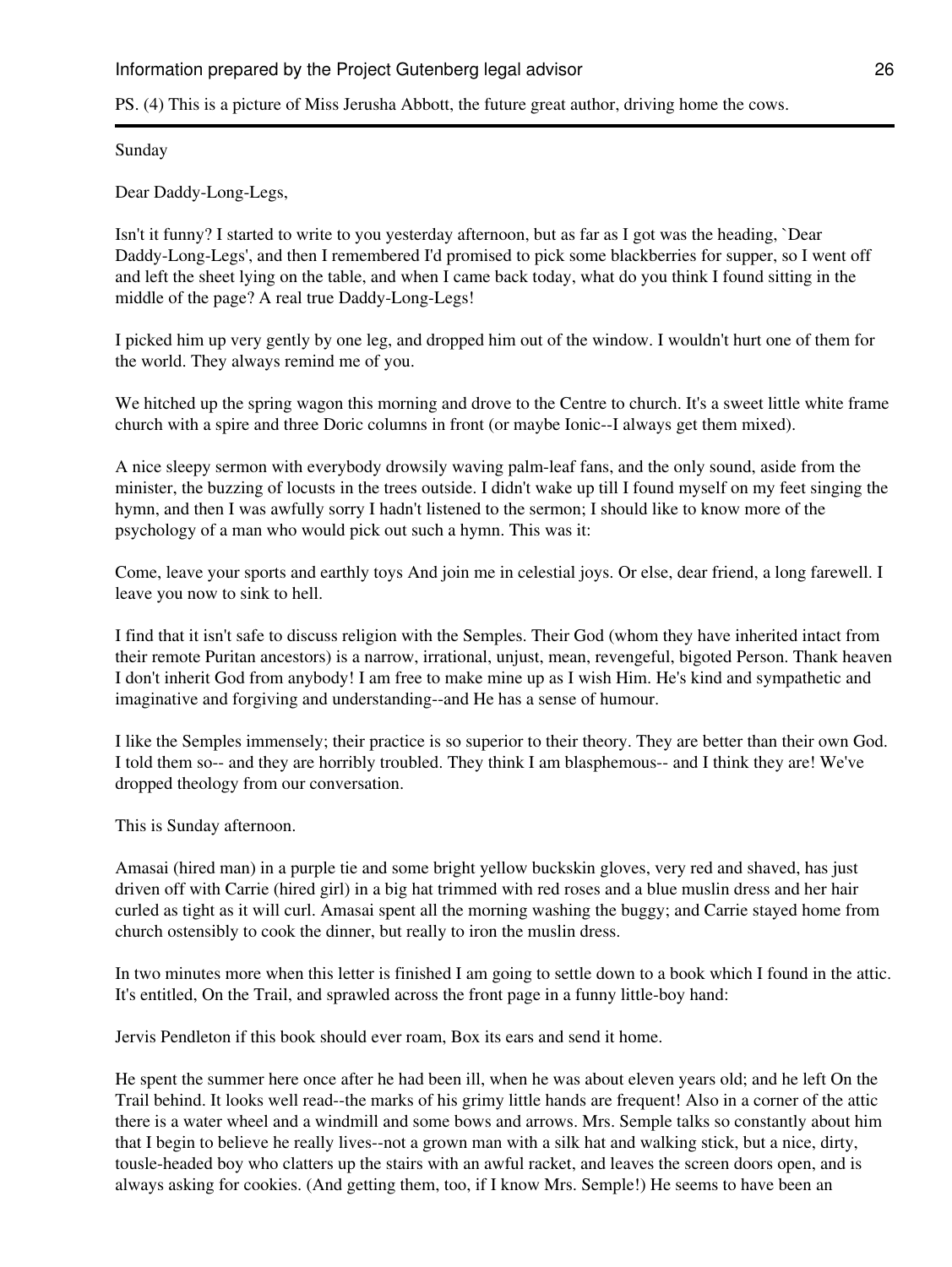PS. (4) This is a picture of Miss Jerusha Abbott, the future great author, driving home the cows.

Sunday

Dear Daddy-Long-Legs,

Isn't it funny? I started to write to you yesterday afternoon, but as far as I got was the heading, `Dear Daddy-Long-Legs', and then I remembered I'd promised to pick some blackberries for supper, so I went off and left the sheet lying on the table, and when I came back today, what do you think I found sitting in the middle of the page? A real true Daddy-Long-Legs!

I picked him up very gently by one leg, and dropped him out of the window. I wouldn't hurt one of them for the world. They always remind me of you.

We hitched up the spring wagon this morning and drove to the Centre to church. It's a sweet little white frame church with a spire and three Doric columns in front (or maybe Ionic--I always get them mixed).

A nice sleepy sermon with everybody drowsily waving palm-leaf fans, and the only sound, aside from the minister, the buzzing of locusts in the trees outside. I didn't wake up till I found myself on my feet singing the hymn, and then I was awfully sorry I hadn't listened to the sermon; I should like to know more of the psychology of a man who would pick out such a hymn. This was it:

Come, leave your sports and earthly toys And join me in celestial joys. Or else, dear friend, a long farewell. I leave you now to sink to hell.

I find that it isn't safe to discuss religion with the Semples. Their God (whom they have inherited intact from their remote Puritan ancestors) is a narrow, irrational, unjust, mean, revengeful, bigoted Person. Thank heaven I don't inherit God from anybody! I am free to make mine up as I wish Him. He's kind and sympathetic and imaginative and forgiving and understanding--and He has a sense of humour.

I like the Semples immensely; their practice is so superior to their theory. They are better than their own God. I told them so-- and they are horribly troubled. They think I am blasphemous-- and I think they are! We've dropped theology from our conversation.

This is Sunday afternoon.

Amasai (hired man) in a purple tie and some bright yellow buckskin gloves, very red and shaved, has just driven off with Carrie (hired girl) in a big hat trimmed with red roses and a blue muslin dress and her hair curled as tight as it will curl. Amasai spent all the morning washing the buggy; and Carrie stayed home from church ostensibly to cook the dinner, but really to iron the muslin dress.

In two minutes more when this letter is finished I am going to settle down to a book which I found in the attic. It's entitled, On the Trail, and sprawled across the front page in a funny little-boy hand:

Jervis Pendleton if this book should ever roam, Box its ears and send it home.

He spent the summer here once after he had been ill, when he was about eleven years old; and he left On the Trail behind. It looks well read--the marks of his grimy little hands are frequent! Also in a corner of the attic there is a water wheel and a windmill and some bows and arrows. Mrs. Semple talks so constantly about him that I begin to believe he really lives--not a grown man with a silk hat and walking stick, but a nice, dirty, tousle-headed boy who clatters up the stairs with an awful racket, and leaves the screen doors open, and is always asking for cookies. (And getting them, too, if I know Mrs. Semple!) He seems to have been an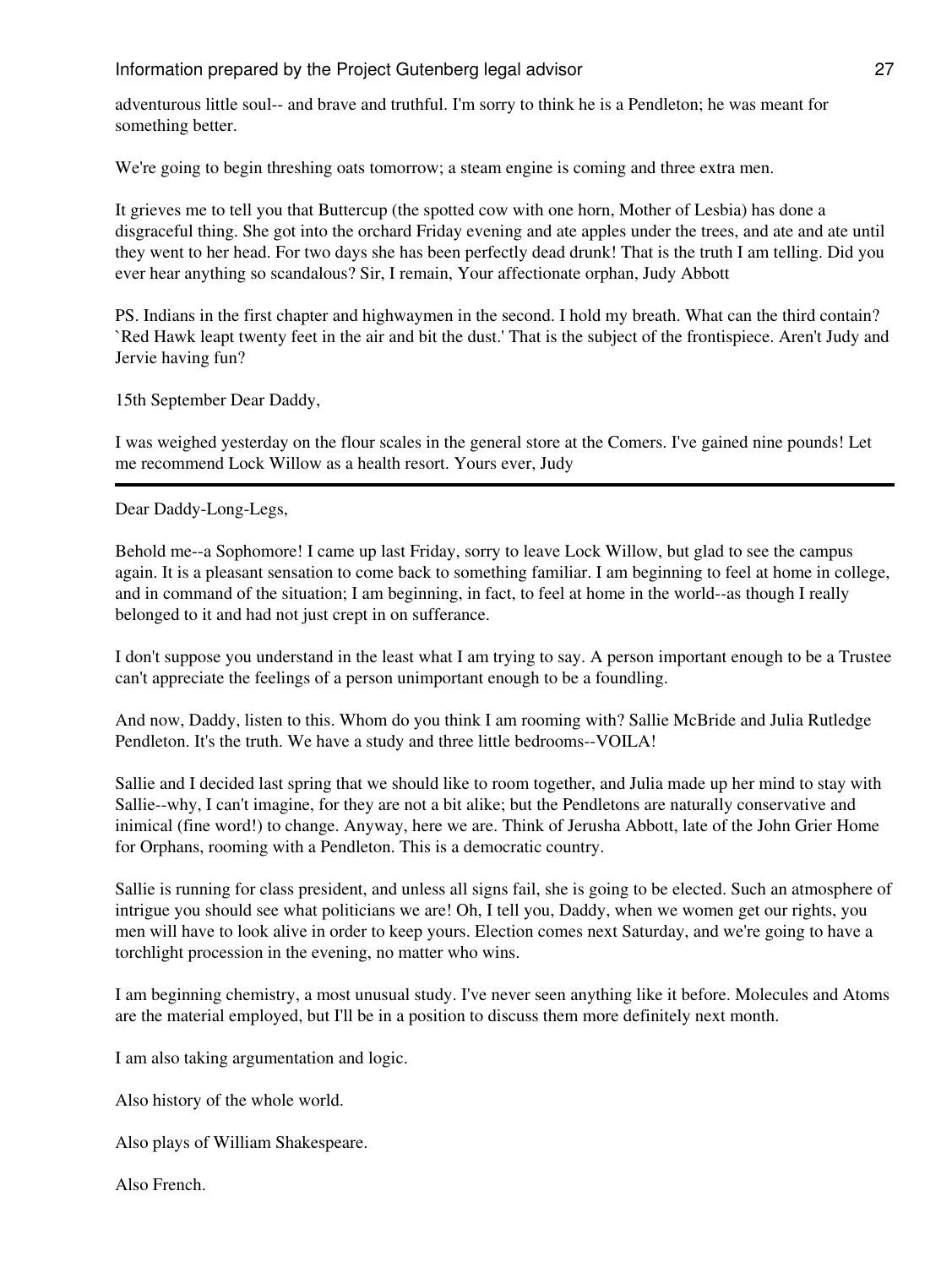adventurous little soul-- and brave and truthful. I'm sorry to think he is a Pendleton; he was meant for something better.

We're going to begin threshing oats tomorrow; a steam engine is coming and three extra men.

It grieves me to tell you that Buttercup (the spotted cow with one horn, Mother of Lesbia) has done a disgraceful thing. She got into the orchard Friday evening and ate apples under the trees, and ate and ate until they went to her head. For two days she has been perfectly dead drunk! That is the truth I am telling. Did you ever hear anything so scandalous? Sir, I remain, Your affectionate orphan, Judy Abbott

PS. Indians in the first chapter and highwaymen in the second. I hold my breath. What can the third contain? `Red Hawk leapt twenty feet in the air and bit the dust.' That is the subject of the frontispiece. Aren't Judy and Jervie having fun?

15th September Dear Daddy,

I was weighed yesterday on the flour scales in the general store at the Comers. I've gained nine pounds! Let me recommend Lock Willow as a health resort. Yours ever, Judy

Dear Daddy-Long-Legs,

Behold me--a Sophomore! I came up last Friday, sorry to leave Lock Willow, but glad to see the campus again. It is a pleasant sensation to come back to something familiar. I am beginning to feel at home in college, and in command of the situation; I am beginning, in fact, to feel at home in the world--as though I really belonged to it and had not just crept in on sufferance.

I don't suppose you understand in the least what I am trying to say. A person important enough to be a Trustee can't appreciate the feelings of a person unimportant enough to be a foundling.

And now, Daddy, listen to this. Whom do you think I am rooming with? Sallie McBride and Julia Rutledge Pendleton. It's the truth. We have a study and three little bedrooms--VOILA!

Sallie and I decided last spring that we should like to room together, and Julia made up her mind to stay with Sallie--why, I can't imagine, for they are not a bit alike; but the Pendletons are naturally conservative and inimical (fine word!) to change. Anyway, here we are. Think of Jerusha Abbott, late of the John Grier Home for Orphans, rooming with a Pendleton. This is a democratic country.

Sallie is running for class president, and unless all signs fail, she is going to be elected. Such an atmosphere of intrigue you should see what politicians we are! Oh, I tell you, Daddy, when we women get our rights, you men will have to look alive in order to keep yours. Election comes next Saturday, and we're going to have a torchlight procession in the evening, no matter who wins.

I am beginning chemistry, a most unusual study. I've never seen anything like it before. Molecules and Atoms are the material employed, but I'll be in a position to discuss them more definitely next month.

I am also taking argumentation and logic.

Also history of the whole world.

Also plays of William Shakespeare.

Also French.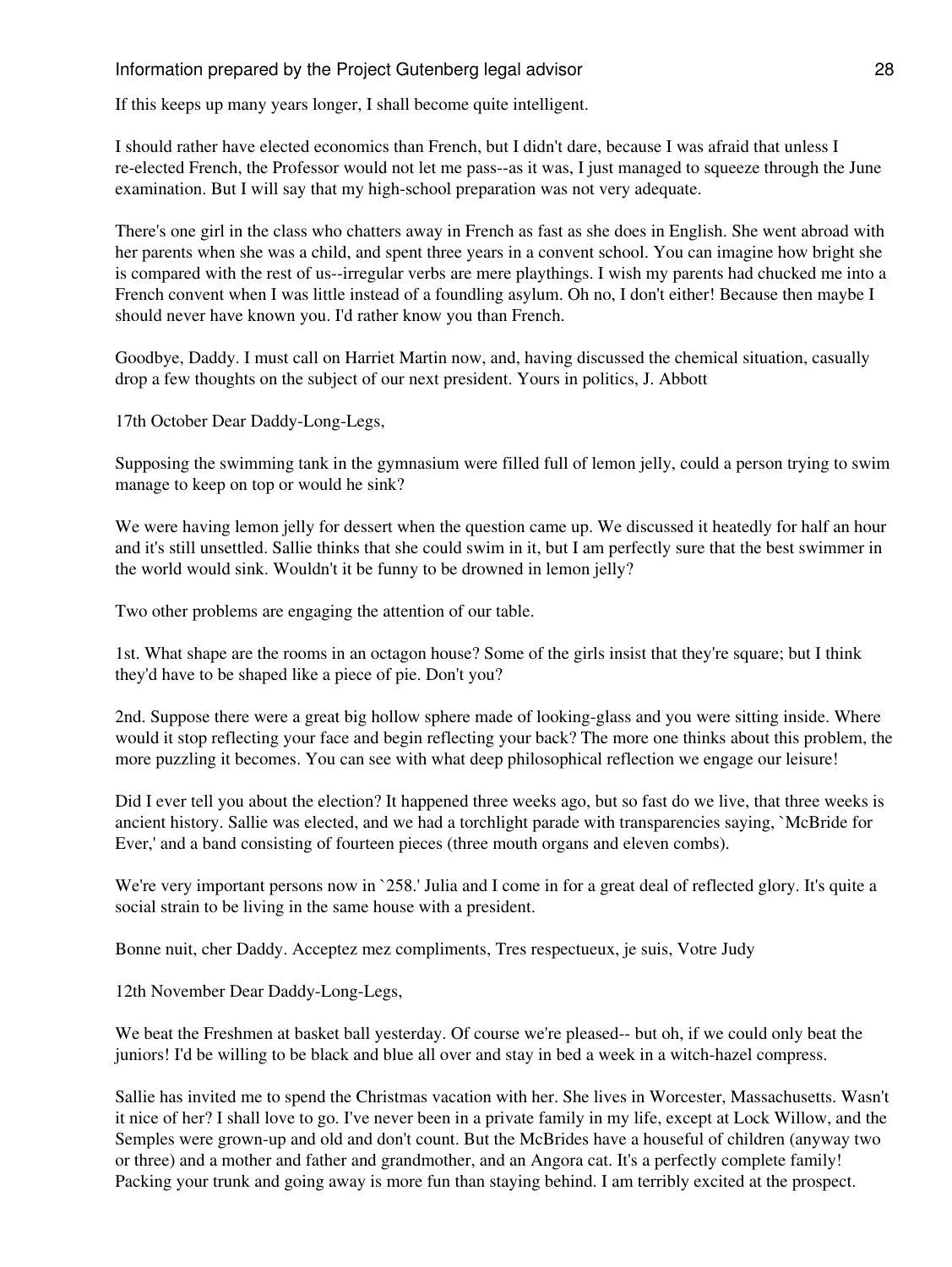If this keeps up many years longer, I shall become quite intelligent.

I should rather have elected economics than French, but I didn't dare, because I was afraid that unless I re-elected French, the Professor would not let me pass--as it was, I just managed to squeeze through the June examination. But I will say that my high-school preparation was not very adequate.

There's one girl in the class who chatters away in French as fast as she does in English. She went abroad with her parents when she was a child, and spent three years in a convent school. You can imagine how bright she is compared with the rest of us--irregular verbs are mere playthings. I wish my parents had chucked me into a French convent when I was little instead of a foundling asylum. Oh no, I don't either! Because then maybe I should never have known you. I'd rather know you than French.

Goodbye, Daddy. I must call on Harriet Martin now, and, having discussed the chemical situation, casually drop a few thoughts on the subject of our next president. Yours in politics, J. Abbott

17th October Dear Daddy-Long-Legs,

Supposing the swimming tank in the gymnasium were filled full of lemon jelly, could a person trying to swim manage to keep on top or would he sink?

We were having lemon jelly for dessert when the question came up. We discussed it heatedly for half an hour and it's still unsettled. Sallie thinks that she could swim in it, but I am perfectly sure that the best swimmer in the world would sink. Wouldn't it be funny to be drowned in lemon jelly?

Two other problems are engaging the attention of our table.

1st. What shape are the rooms in an octagon house? Some of the girls insist that they're square; but I think they'd have to be shaped like a piece of pie. Don't you?

2nd. Suppose there were a great big hollow sphere made of looking-glass and you were sitting inside. Where would it stop reflecting your face and begin reflecting your back? The more one thinks about this problem, the more puzzling it becomes. You can see with what deep philosophical reflection we engage our leisure!

Did I ever tell you about the election? It happened three weeks ago, but so fast do we live, that three weeks is ancient history. Sallie was elected, and we had a torchlight parade with transparencies saying, `McBride for Ever,' and a band consisting of fourteen pieces (three mouth organs and eleven combs).

We're very important persons now in `258.' Julia and I come in for a great deal of reflected glory. It's quite a social strain to be living in the same house with a president.

Bonne nuit, cher Daddy. Acceptez mez compliments, Tres respectueux, je suis, Votre Judy

12th November Dear Daddy-Long-Legs,

We beat the Freshmen at basket ball yesterday. Of course we're pleased-- but oh, if we could only beat the juniors! I'd be willing to be black and blue all over and stay in bed a week in a witch-hazel compress.

Sallie has invited me to spend the Christmas vacation with her. She lives in Worcester, Massachusetts. Wasn't it nice of her? I shall love to go. I've never been in a private family in my life, except at Lock Willow, and the Semples were grown-up and old and don't count. But the McBrides have a houseful of children (anyway two or three) and a mother and father and grandmother, and an Angora cat. It's a perfectly complete family! Packing your trunk and going away is more fun than staying behind. I am terribly excited at the prospect.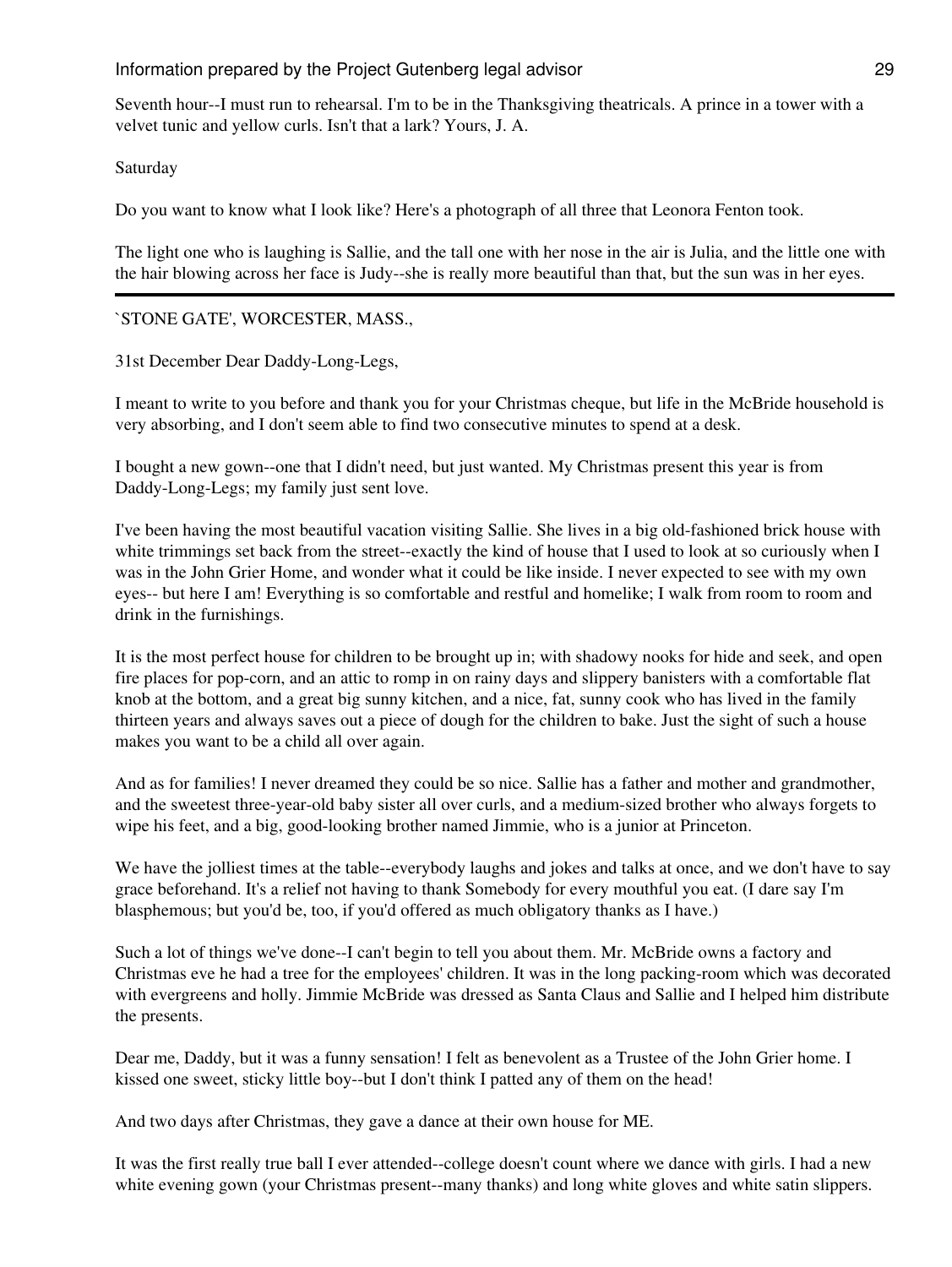Seventh hour--I must run to rehearsal. I'm to be in the Thanksgiving theatricals. A prince in a tower with a velvet tunic and yellow curls. Isn't that a lark? Yours, J. A.

Saturday

Do you want to know what I look like? Here's a photograph of all three that Leonora Fenton took.

The light one who is laughing is Sallie, and the tall one with her nose in the air is Julia, and the little one with the hair blowing across her face is Judy--she is really more beautiful than that, but the sun was in her eyes.

## `STONE GATE', WORCESTER, MASS.,

31st December Dear Daddy-Long-Legs,

I meant to write to you before and thank you for your Christmas cheque, but life in the McBride household is very absorbing, and I don't seem able to find two consecutive minutes to spend at a desk.

I bought a new gown--one that I didn't need, but just wanted. My Christmas present this year is from Daddy-Long-Legs; my family just sent love.

I've been having the most beautiful vacation visiting Sallie. She lives in a big old-fashioned brick house with white trimmings set back from the street--exactly the kind of house that I used to look at so curiously when I was in the John Grier Home, and wonder what it could be like inside. I never expected to see with my own eyes-- but here I am! Everything is so comfortable and restful and homelike; I walk from room to room and drink in the furnishings.

It is the most perfect house for children to be brought up in; with shadowy nooks for hide and seek, and open fire places for pop-corn, and an attic to romp in on rainy days and slippery banisters with a comfortable flat knob at the bottom, and a great big sunny kitchen, and a nice, fat, sunny cook who has lived in the family thirteen years and always saves out a piece of dough for the children to bake. Just the sight of such a house makes you want to be a child all over again.

And as for families! I never dreamed they could be so nice. Sallie has a father and mother and grandmother, and the sweetest three-year-old baby sister all over curls, and a medium-sized brother who always forgets to wipe his feet, and a big, good-looking brother named Jimmie, who is a junior at Princeton.

We have the jolliest times at the table--everybody laughs and jokes and talks at once, and we don't have to say grace beforehand. It's a relief not having to thank Somebody for every mouthful you eat. (I dare say I'm blasphemous; but you'd be, too, if you'd offered as much obligatory thanks as I have.)

Such a lot of things we've done--I can't begin to tell you about them. Mr. McBride owns a factory and Christmas eve he had a tree for the employees' children. It was in the long packing-room which was decorated with evergreens and holly. Jimmie McBride was dressed as Santa Claus and Sallie and I helped him distribute the presents.

Dear me, Daddy, but it was a funny sensation! I felt as benevolent as a Trustee of the John Grier home. I kissed one sweet, sticky little boy--but I don't think I patted any of them on the head!

And two days after Christmas, they gave a dance at their own house for ME.

It was the first really true ball I ever attended--college doesn't count where we dance with girls. I had a new white evening gown (your Christmas present--many thanks) and long white gloves and white satin slippers.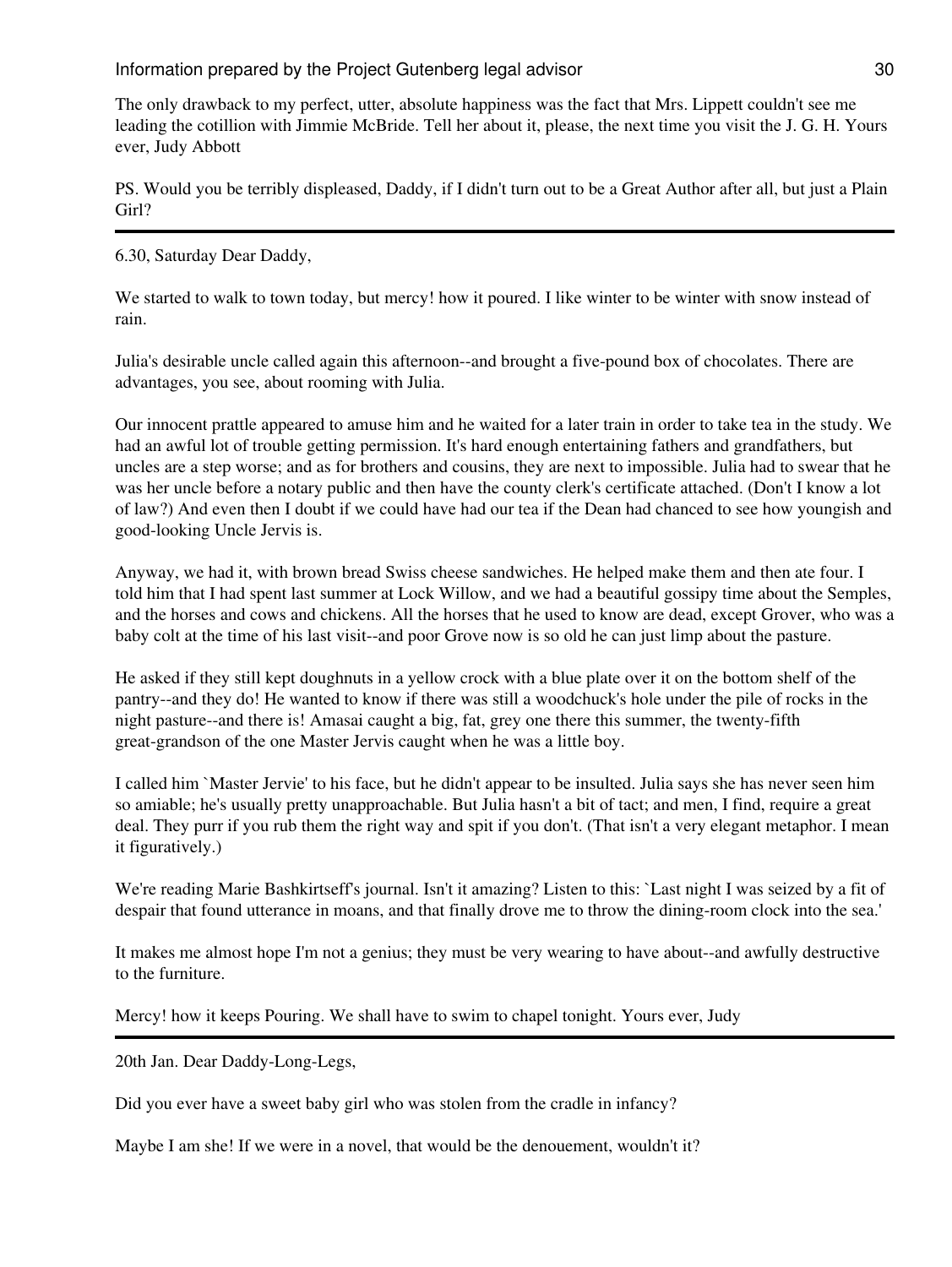The only drawback to my perfect, utter, absolute happiness was the fact that Mrs. Lippett couldn't see me leading the cotillion with Jimmie McBride. Tell her about it, please, the next time you visit the J. G. H. Yours ever, Judy Abbott

PS. Would you be terribly displeased, Daddy, if I didn't turn out to be a Great Author after all, but just a Plain Girl?

6.30, Saturday Dear Daddy,

We started to walk to town today, but mercy! how it poured. I like winter to be winter with snow instead of rain.

Julia's desirable uncle called again this afternoon--and brought a five-pound box of chocolates. There are advantages, you see, about rooming with Julia.

Our innocent prattle appeared to amuse him and he waited for a later train in order to take tea in the study. We had an awful lot of trouble getting permission. It's hard enough entertaining fathers and grandfathers, but uncles are a step worse; and as for brothers and cousins, they are next to impossible. Julia had to swear that he was her uncle before a notary public and then have the county clerk's certificate attached. (Don't I know a lot of law?) And even then I doubt if we could have had our tea if the Dean had chanced to see how youngish and good-looking Uncle Jervis is.

Anyway, we had it, with brown bread Swiss cheese sandwiches. He helped make them and then ate four. I told him that I had spent last summer at Lock Willow, and we had a beautiful gossipy time about the Semples, and the horses and cows and chickens. All the horses that he used to know are dead, except Grover, who was a baby colt at the time of his last visit--and poor Grove now is so old he can just limp about the pasture.

He asked if they still kept doughnuts in a yellow crock with a blue plate over it on the bottom shelf of the pantry--and they do! He wanted to know if there was still a woodchuck's hole under the pile of rocks in the night pasture--and there is! Amasai caught a big, fat, grey one there this summer, the twenty-fifth great-grandson of the one Master Jervis caught when he was a little boy.

I called him `Master Jervie' to his face, but he didn't appear to be insulted. Julia says she has never seen him so amiable; he's usually pretty unapproachable. But Julia hasn't a bit of tact; and men, I find, require a great deal. They purr if you rub them the right way and spit if you don't. (That isn't a very elegant metaphor. I mean it figuratively.)

We're reading Marie Bashkirtseff's journal. Isn't it amazing? Listen to this: `Last night I was seized by a fit of despair that found utterance in moans, and that finally drove me to throw the dining-room clock into the sea.'

It makes me almost hope I'm not a genius; they must be very wearing to have about--and awfully destructive to the furniture.

Mercy! how it keeps Pouring. We shall have to swim to chapel tonight. Yours ever, Judy

20th Jan. Dear Daddy-Long-Legs,

Did you ever have a sweet baby girl who was stolen from the cradle in infancy?

Maybe I am she! If we were in a novel, that would be the denouement, wouldn't it?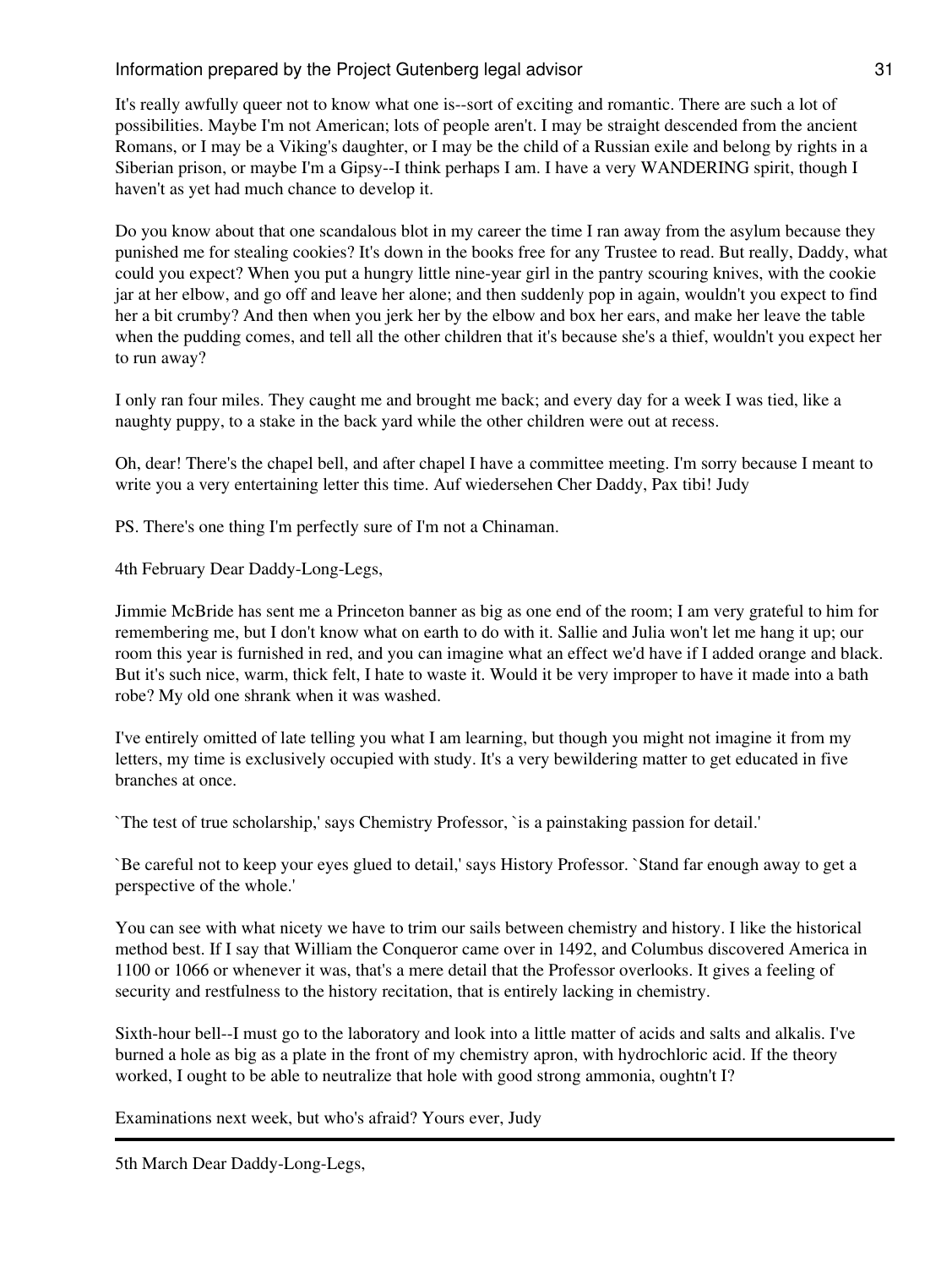It's really awfully queer not to know what one is--sort of exciting and romantic. There are such a lot of possibilities. Maybe I'm not American; lots of people aren't. I may be straight descended from the ancient Romans, or I may be a Viking's daughter, or I may be the child of a Russian exile and belong by rights in a Siberian prison, or maybe I'm a Gipsy--I think perhaps I am. I have a very WANDERING spirit, though I haven't as yet had much chance to develop it.

Do you know about that one scandalous blot in my career the time I ran away from the asylum because they punished me for stealing cookies? It's down in the books free for any Trustee to read. But really, Daddy, what could you expect? When you put a hungry little nine-year girl in the pantry scouring knives, with the cookie jar at her elbow, and go off and leave her alone; and then suddenly pop in again, wouldn't you expect to find her a bit crumby? And then when you jerk her by the elbow and box her ears, and make her leave the table when the pudding comes, and tell all the other children that it's because she's a thief, wouldn't you expect her to run away?

I only ran four miles. They caught me and brought me back; and every day for a week I was tied, like a naughty puppy, to a stake in the back yard while the other children were out at recess.

Oh, dear! There's the chapel bell, and after chapel I have a committee meeting. I'm sorry because I meant to write you a very entertaining letter this time. Auf wiedersehen Cher Daddy, Pax tibi! Judy

PS. There's one thing I'm perfectly sure of I'm not a Chinaman.

4th February Dear Daddy-Long-Legs,

Jimmie McBride has sent me a Princeton banner as big as one end of the room; I am very grateful to him for remembering me, but I don't know what on earth to do with it. Sallie and Julia won't let me hang it up; our room this year is furnished in red, and you can imagine what an effect we'd have if I added orange and black. But it's such nice, warm, thick felt, I hate to waste it. Would it be very improper to have it made into a bath robe? My old one shrank when it was washed.

I've entirely omitted of late telling you what I am learning, but though you might not imagine it from my letters, my time is exclusively occupied with study. It's a very bewildering matter to get educated in five branches at once.

`The test of true scholarship,' says Chemistry Professor, `is a painstaking passion for detail.'

`Be careful not to keep your eyes glued to detail,' says History Professor. `Stand far enough away to get a perspective of the whole.'

You can see with what nicety we have to trim our sails between chemistry and history. I like the historical method best. If I say that William the Conqueror came over in 1492, and Columbus discovered America in 1100 or 1066 or whenever it was, that's a mere detail that the Professor overlooks. It gives a feeling of security and restfulness to the history recitation, that is entirely lacking in chemistry.

Sixth-hour bell--I must go to the laboratory and look into a little matter of acids and salts and alkalis. I've burned a hole as big as a plate in the front of my chemistry apron, with hydrochloric acid. If the theory worked, I ought to be able to neutralize that hole with good strong ammonia, oughtn't I?

Examinations next week, but who's afraid? Yours ever, Judy

5th March Dear Daddy-Long-Legs,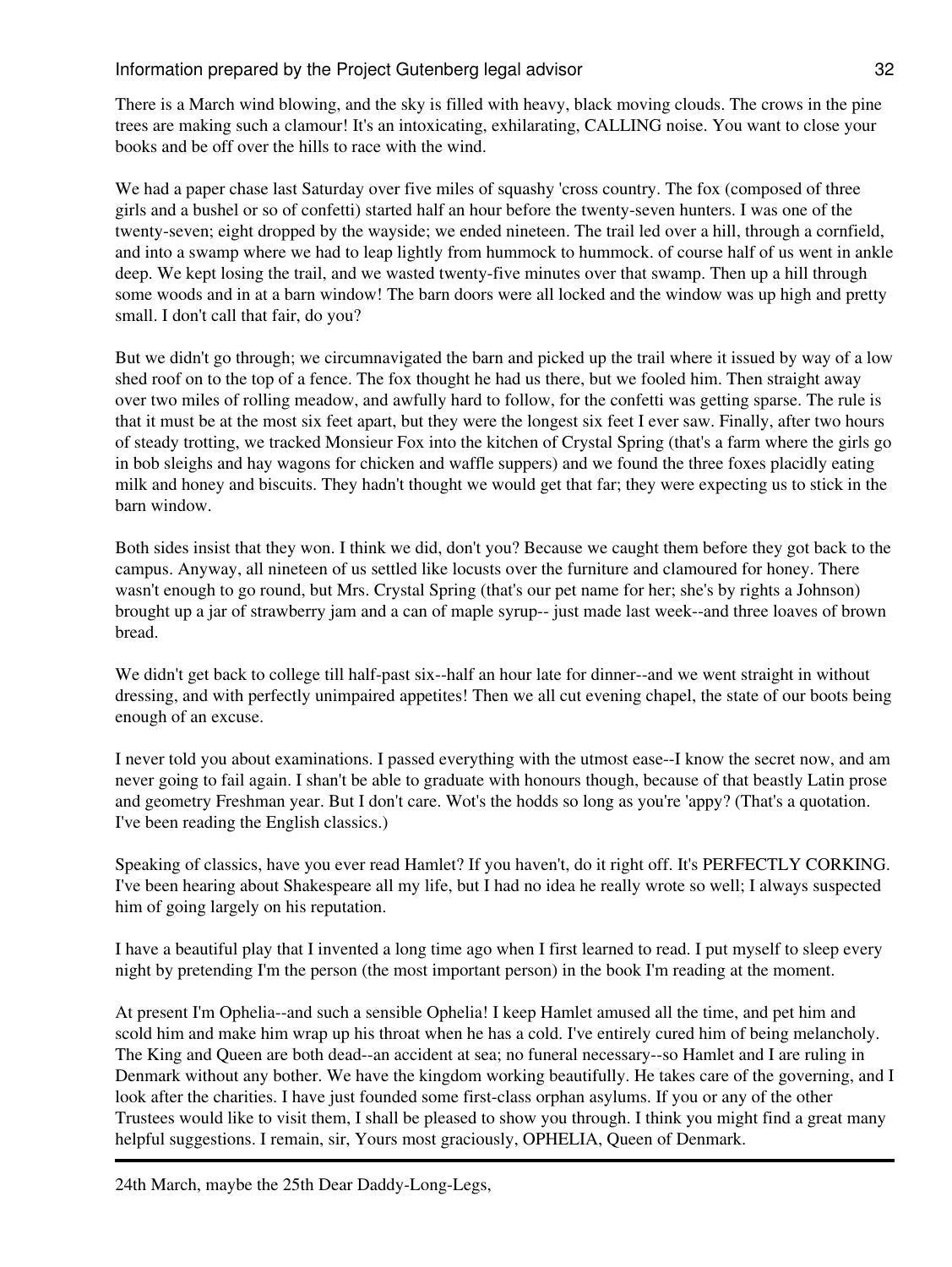There is a March wind blowing, and the sky is filled with heavy, black moving clouds. The crows in the pine trees are making such a clamour! It's an intoxicating, exhilarating, CALLING noise. You want to close your books and be off over the hills to race with the wind.

We had a paper chase last Saturday over five miles of squashy 'cross country. The fox (composed of three girls and a bushel or so of confetti) started half an hour before the twenty-seven hunters. I was one of the twenty-seven; eight dropped by the wayside; we ended nineteen. The trail led over a hill, through a cornfield, and into a swamp where we had to leap lightly from hummock to hummock. of course half of us went in ankle deep. We kept losing the trail, and we wasted twenty-five minutes over that swamp. Then up a hill through some woods and in at a barn window! The barn doors were all locked and the window was up high and pretty small. I don't call that fair, do you?

But we didn't go through; we circumnavigated the barn and picked up the trail where it issued by way of a low shed roof on to the top of a fence. The fox thought he had us there, but we fooled him. Then straight away over two miles of rolling meadow, and awfully hard to follow, for the confetti was getting sparse. The rule is that it must be at the most six feet apart, but they were the longest six feet I ever saw. Finally, after two hours of steady trotting, we tracked Monsieur Fox into the kitchen of Crystal Spring (that's a farm where the girls go in bob sleighs and hay wagons for chicken and waffle suppers) and we found the three foxes placidly eating milk and honey and biscuits. They hadn't thought we would get that far; they were expecting us to stick in the barn window.

Both sides insist that they won. I think we did, don't you? Because we caught them before they got back to the campus. Anyway, all nineteen of us settled like locusts over the furniture and clamoured for honey. There wasn't enough to go round, but Mrs. Crystal Spring (that's our pet name for her; she's by rights a Johnson) brought up a jar of strawberry jam and a can of maple syrup-- just made last week--and three loaves of brown bread.

We didn't get back to college till half-past six--half an hour late for dinner--and we went straight in without dressing, and with perfectly unimpaired appetites! Then we all cut evening chapel, the state of our boots being enough of an excuse.

I never told you about examinations. I passed everything with the utmost ease--I know the secret now, and am never going to fail again. I shan't be able to graduate with honours though, because of that beastly Latin prose and geometry Freshman year. But I don't care. Wot's the hodds so long as you're 'appy? (That's a quotation. I've been reading the English classics.)

Speaking of classics, have you ever read Hamlet? If you haven't, do it right off. It's PERFECTLY CORKING. I've been hearing about Shakespeare all my life, but I had no idea he really wrote so well; I always suspected him of going largely on his reputation.

I have a beautiful play that I invented a long time ago when I first learned to read. I put myself to sleep every night by pretending I'm the person (the most important person) in the book I'm reading at the moment.

At present I'm Ophelia--and such a sensible Ophelia! I keep Hamlet amused all the time, and pet him and scold him and make him wrap up his throat when he has a cold. I've entirely cured him of being melancholy. The King and Queen are both dead--an accident at sea; no funeral necessary--so Hamlet and I are ruling in Denmark without any bother. We have the kingdom working beautifully. He takes care of the governing, and I look after the charities. I have just founded some first-class orphan asylums. If you or any of the other Trustees would like to visit them, I shall be pleased to show you through. I think you might find a great many helpful suggestions. I remain, sir, Yours most graciously, OPHELIA, Queen of Denmark.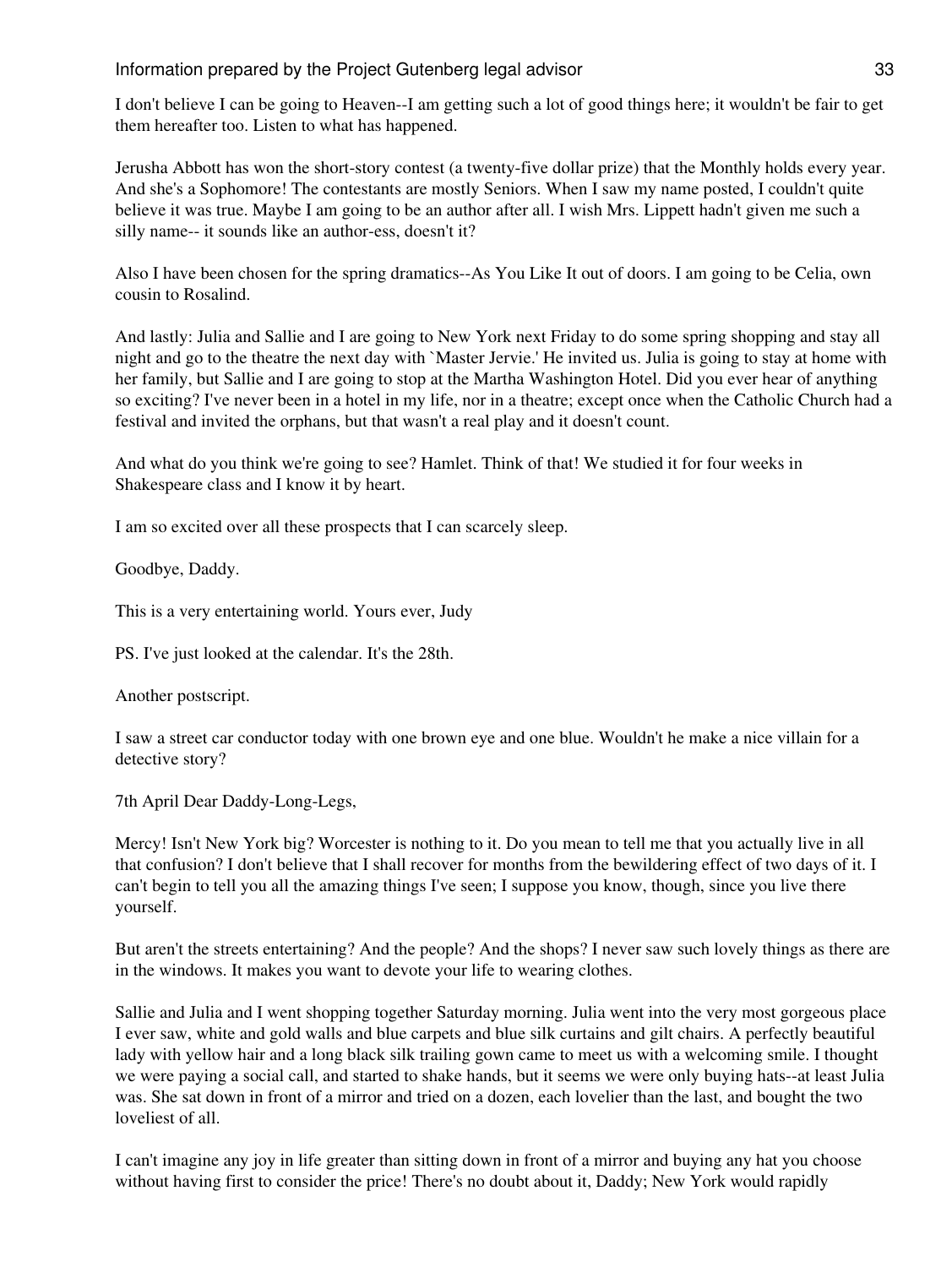I don't believe I can be going to Heaven--I am getting such a lot of good things here; it wouldn't be fair to get them hereafter too. Listen to what has happened.

Jerusha Abbott has won the short-story contest (a twenty-five dollar prize) that the Monthly holds every year. And she's a Sophomore! The contestants are mostly Seniors. When I saw my name posted, I couldn't quite believe it was true. Maybe I am going to be an author after all. I wish Mrs. Lippett hadn't given me such a silly name-- it sounds like an author-ess, doesn't it?

Also I have been chosen for the spring dramatics--As You Like It out of doors. I am going to be Celia, own cousin to Rosalind.

And lastly: Julia and Sallie and I are going to New York next Friday to do some spring shopping and stay all night and go to the theatre the next day with `Master Jervie.' He invited us. Julia is going to stay at home with her family, but Sallie and I are going to stop at the Martha Washington Hotel. Did you ever hear of anything so exciting? I've never been in a hotel in my life, nor in a theatre; except once when the Catholic Church had a festival and invited the orphans, but that wasn't a real play and it doesn't count.

And what do you think we're going to see? Hamlet. Think of that! We studied it for four weeks in Shakespeare class and I know it by heart.

I am so excited over all these prospects that I can scarcely sleep.

Goodbye, Daddy.

This is a very entertaining world. Yours ever, Judy

PS. I've just looked at the calendar. It's the 28th.

Another postscript.

I saw a street car conductor today with one brown eye and one blue. Wouldn't he make a nice villain for a detective story?

7th April Dear Daddy-Long-Legs,

Mercy! Isn't New York big? Worcester is nothing to it. Do you mean to tell me that you actually live in all that confusion? I don't believe that I shall recover for months from the bewildering effect of two days of it. I can't begin to tell you all the amazing things I've seen; I suppose you know, though, since you live there yourself.

But aren't the streets entertaining? And the people? And the shops? I never saw such lovely things as there are in the windows. It makes you want to devote your life to wearing clothes.

Sallie and Julia and I went shopping together Saturday morning. Julia went into the very most gorgeous place I ever saw, white and gold walls and blue carpets and blue silk curtains and gilt chairs. A perfectly beautiful lady with yellow hair and a long black silk trailing gown came to meet us with a welcoming smile. I thought we were paying a social call, and started to shake hands, but it seems we were only buying hats--at least Julia was. She sat down in front of a mirror and tried on a dozen, each lovelier than the last, and bought the two loveliest of all.

I can't imagine any joy in life greater than sitting down in front of a mirror and buying any hat you choose without having first to consider the price! There's no doubt about it, Daddy; New York would rapidly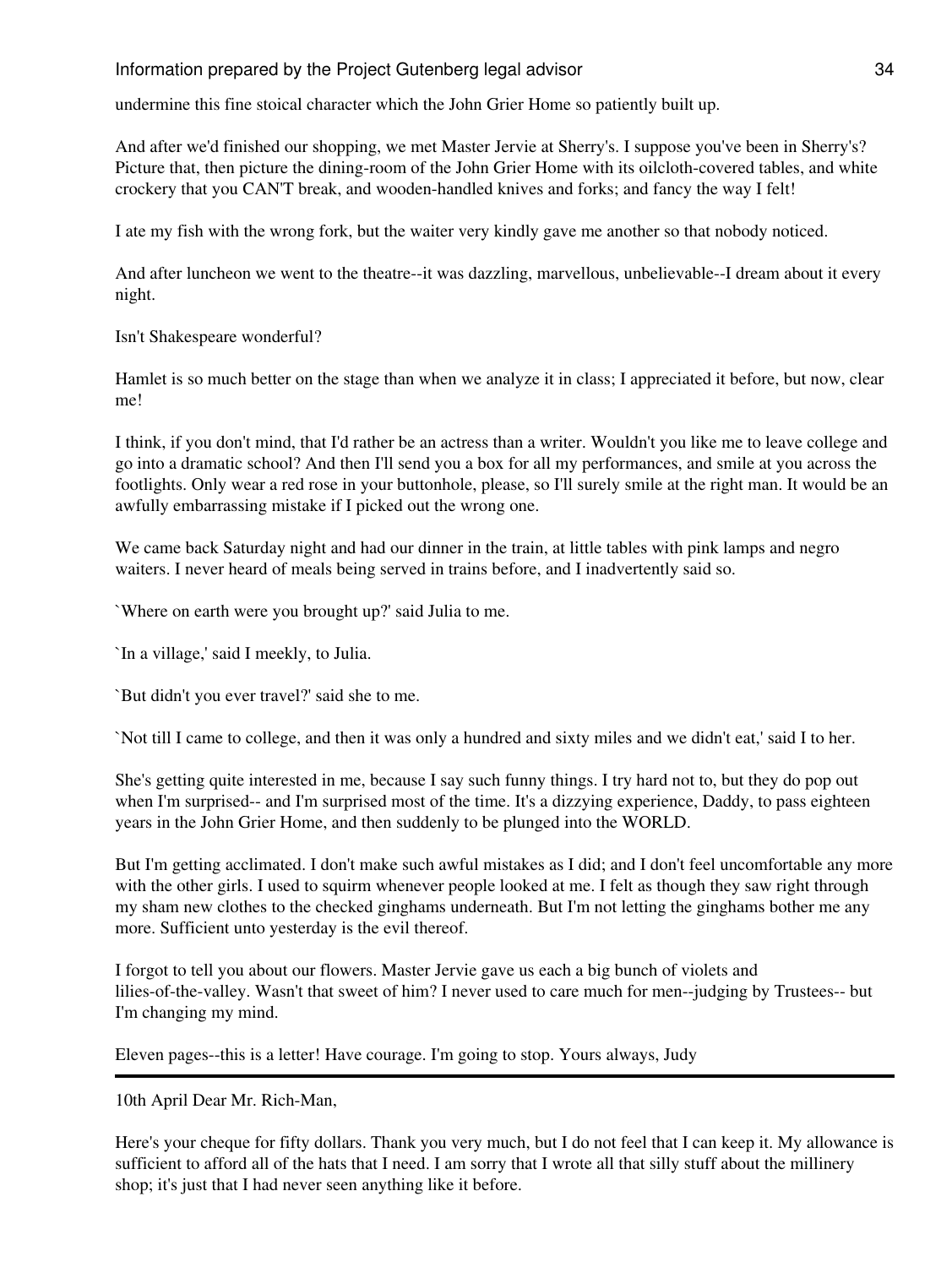undermine this fine stoical character which the John Grier Home so patiently built up.

And after we'd finished our shopping, we met Master Jervie at Sherry's. I suppose you've been in Sherry's? Picture that, then picture the dining-room of the John Grier Home with its oilcloth-covered tables, and white crockery that you CAN'T break, and wooden-handled knives and forks; and fancy the way I felt!

I ate my fish with the wrong fork, but the waiter very kindly gave me another so that nobody noticed.

And after luncheon we went to the theatre--it was dazzling, marvellous, unbelievable--I dream about it every night.

Isn't Shakespeare wonderful?

Hamlet is so much better on the stage than when we analyze it in class; I appreciated it before, but now, clear me!

I think, if you don't mind, that I'd rather be an actress than a writer. Wouldn't you like me to leave college and go into a dramatic school? And then I'll send you a box for all my performances, and smile at you across the footlights. Only wear a red rose in your buttonhole, please, so I'll surely smile at the right man. It would be an awfully embarrassing mistake if I picked out the wrong one.

We came back Saturday night and had our dinner in the train, at little tables with pink lamps and negro waiters. I never heard of meals being served in trains before, and I inadvertently said so.

`Where on earth were you brought up?' said Julia to me.

`In a village,' said I meekly, to Julia.

`But didn't you ever travel?' said she to me.

`Not till I came to college, and then it was only a hundred and sixty miles and we didn't eat,' said I to her.

She's getting quite interested in me, because I say such funny things. I try hard not to, but they do pop out when I'm surprised-- and I'm surprised most of the time. It's a dizzying experience, Daddy, to pass eighteen years in the John Grier Home, and then suddenly to be plunged into the WORLD.

But I'm getting acclimated. I don't make such awful mistakes as I did; and I don't feel uncomfortable any more with the other girls. I used to squirm whenever people looked at me. I felt as though they saw right through my sham new clothes to the checked ginghams underneath. But I'm not letting the ginghams bother me any more. Sufficient unto yesterday is the evil thereof.

I forgot to tell you about our flowers. Master Jervie gave us each a big bunch of violets and lilies-of-the-valley. Wasn't that sweet of him? I never used to care much for men--judging by Trustees-- but I'm changing my mind.

Eleven pages--this is a letter! Have courage. I'm going to stop. Yours always, Judy

10th April Dear Mr. Rich-Man,

Here's your cheque for fifty dollars. Thank you very much, but I do not feel that I can keep it. My allowance is sufficient to afford all of the hats that I need. I am sorry that I wrote all that silly stuff about the millinery shop; it's just that I had never seen anything like it before.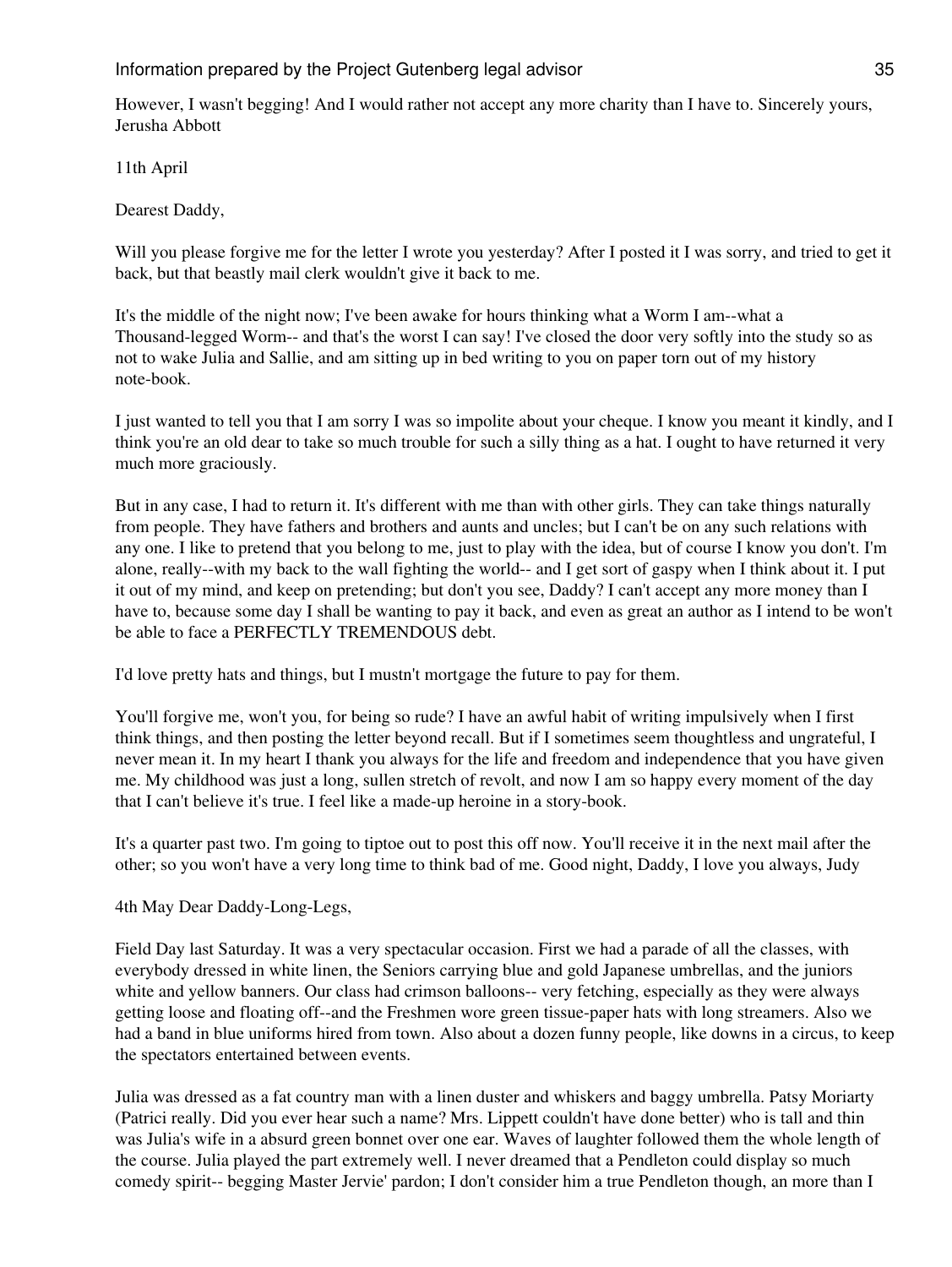However, I wasn't begging! And I would rather not accept any more charity than I have to. Sincerely yours, Jerusha Abbott

11th April

Dearest Daddy,

Will you please forgive me for the letter I wrote you yesterday? After I posted it I was sorry, and tried to get it back, but that beastly mail clerk wouldn't give it back to me.

It's the middle of the night now; I've been awake for hours thinking what a Worm I am--what a Thousand-legged Worm-- and that's the worst I can say! I've closed the door very softly into the study so as not to wake Julia and Sallie, and am sitting up in bed writing to you on paper torn out of my history note-book.

I just wanted to tell you that I am sorry I was so impolite about your cheque. I know you meant it kindly, and I think you're an old dear to take so much trouble for such a silly thing as a hat. I ought to have returned it very much more graciously.

But in any case, I had to return it. It's different with me than with other girls. They can take things naturally from people. They have fathers and brothers and aunts and uncles; but I can't be on any such relations with any one. I like to pretend that you belong to me, just to play with the idea, but of course I know you don't. I'm alone, really--with my back to the wall fighting the world-- and I get sort of gaspy when I think about it. I put it out of my mind, and keep on pretending; but don't you see, Daddy? I can't accept any more money than I have to, because some day I shall be wanting to pay it back, and even as great an author as I intend to be won't be able to face a PERFECTLY TREMENDOUS debt.

I'd love pretty hats and things, but I mustn't mortgage the future to pay for them.

You'll forgive me, won't you, for being so rude? I have an awful habit of writing impulsively when I first think things, and then posting the letter beyond recall. But if I sometimes seem thoughtless and ungrateful, I never mean it. In my heart I thank you always for the life and freedom and independence that you have given me. My childhood was just a long, sullen stretch of revolt, and now I am so happy every moment of the day that I can't believe it's true. I feel like a made-up heroine in a story-book.

It's a quarter past two. I'm going to tiptoe out to post this off now. You'll receive it in the next mail after the other; so you won't have a very long time to think bad of me. Good night, Daddy, I love you always, Judy

4th May Dear Daddy-Long-Legs,

Field Day last Saturday. It was a very spectacular occasion. First we had a parade of all the classes, with everybody dressed in white linen, the Seniors carrying blue and gold Japanese umbrellas, and the juniors white and yellow banners. Our class had crimson balloons-- very fetching, especially as they were always getting loose and floating off--and the Freshmen wore green tissue-paper hats with long streamers. Also we had a band in blue uniforms hired from town. Also about a dozen funny people, like downs in a circus, to keep the spectators entertained between events.

Julia was dressed as a fat country man with a linen duster and whiskers and baggy umbrella. Patsy Moriarty (Patrici really. Did you ever hear such a name? Mrs. Lippett couldn't have done better) who is tall and thin was Julia's wife in a absurd green bonnet over one ear. Waves of laughter followed them the whole length of the course. Julia played the part extremely well. I never dreamed that a Pendleton could display so much comedy spirit-- begging Master Jervie' pardon; I don't consider him a true Pendleton though, an more than I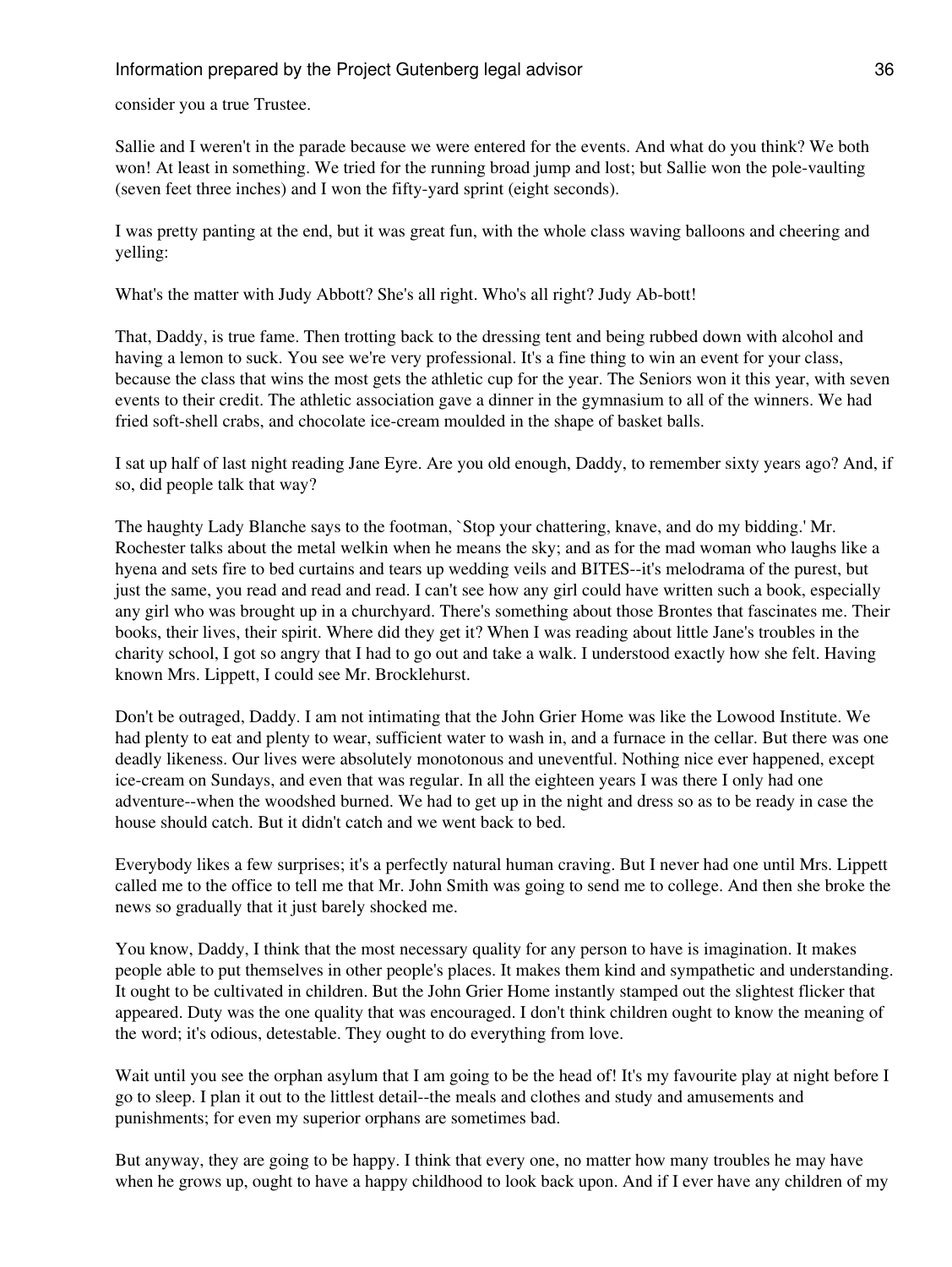consider you a true Trustee.

Sallie and I weren't in the parade because we were entered for the events. And what do you think? We both won! At least in something. We tried for the running broad jump and lost; but Sallie won the pole-vaulting (seven feet three inches) and I won the fifty-yard sprint (eight seconds).

I was pretty panting at the end, but it was great fun, with the whole class waving balloons and cheering and yelling:

What's the matter with Judy Abbott? She's all right. Who's all right? Judy Ab-bott!

That, Daddy, is true fame. Then trotting back to the dressing tent and being rubbed down with alcohol and having a lemon to suck. You see we're very professional. It's a fine thing to win an event for your class, because the class that wins the most gets the athletic cup for the year. The Seniors won it this year, with seven events to their credit. The athletic association gave a dinner in the gymnasium to all of the winners. We had fried soft-shell crabs, and chocolate ice-cream moulded in the shape of basket balls.

I sat up half of last night reading Jane Eyre. Are you old enough, Daddy, to remember sixty years ago? And, if so, did people talk that way?

The haughty Lady Blanche says to the footman, `Stop your chattering, knave, and do my bidding.' Mr. Rochester talks about the metal welkin when he means the sky; and as for the mad woman who laughs like a hyena and sets fire to bed curtains and tears up wedding veils and BITES--it's melodrama of the purest, but just the same, you read and read and read. I can't see how any girl could have written such a book, especially any girl who was brought up in a churchyard. There's something about those Brontes that fascinates me. Their books, their lives, their spirit. Where did they get it? When I was reading about little Jane's troubles in the charity school, I got so angry that I had to go out and take a walk. I understood exactly how she felt. Having known Mrs. Lippett, I could see Mr. Brocklehurst.

Don't be outraged, Daddy. I am not intimating that the John Grier Home was like the Lowood Institute. We had plenty to eat and plenty to wear, sufficient water to wash in, and a furnace in the cellar. But there was one deadly likeness. Our lives were absolutely monotonous and uneventful. Nothing nice ever happened, except ice-cream on Sundays, and even that was regular. In all the eighteen years I was there I only had one adventure--when the woodshed burned. We had to get up in the night and dress so as to be ready in case the house should catch. But it didn't catch and we went back to bed.

Everybody likes a few surprises; it's a perfectly natural human craving. But I never had one until Mrs. Lippett called me to the office to tell me that Mr. John Smith was going to send me to college. And then she broke the news so gradually that it just barely shocked me.

You know, Daddy, I think that the most necessary quality for any person to have is imagination. It makes people able to put themselves in other people's places. It makes them kind and sympathetic and understanding. It ought to be cultivated in children. But the John Grier Home instantly stamped out the slightest flicker that appeared. Duty was the one quality that was encouraged. I don't think children ought to know the meaning of the word; it's odious, detestable. They ought to do everything from love.

Wait until you see the orphan asylum that I am going to be the head of! It's my favourite play at night before I go to sleep. I plan it out to the littlest detail--the meals and clothes and study and amusements and punishments; for even my superior orphans are sometimes bad.

But anyway, they are going to be happy. I think that every one, no matter how many troubles he may have when he grows up, ought to have a happy childhood to look back upon. And if I ever have any children of my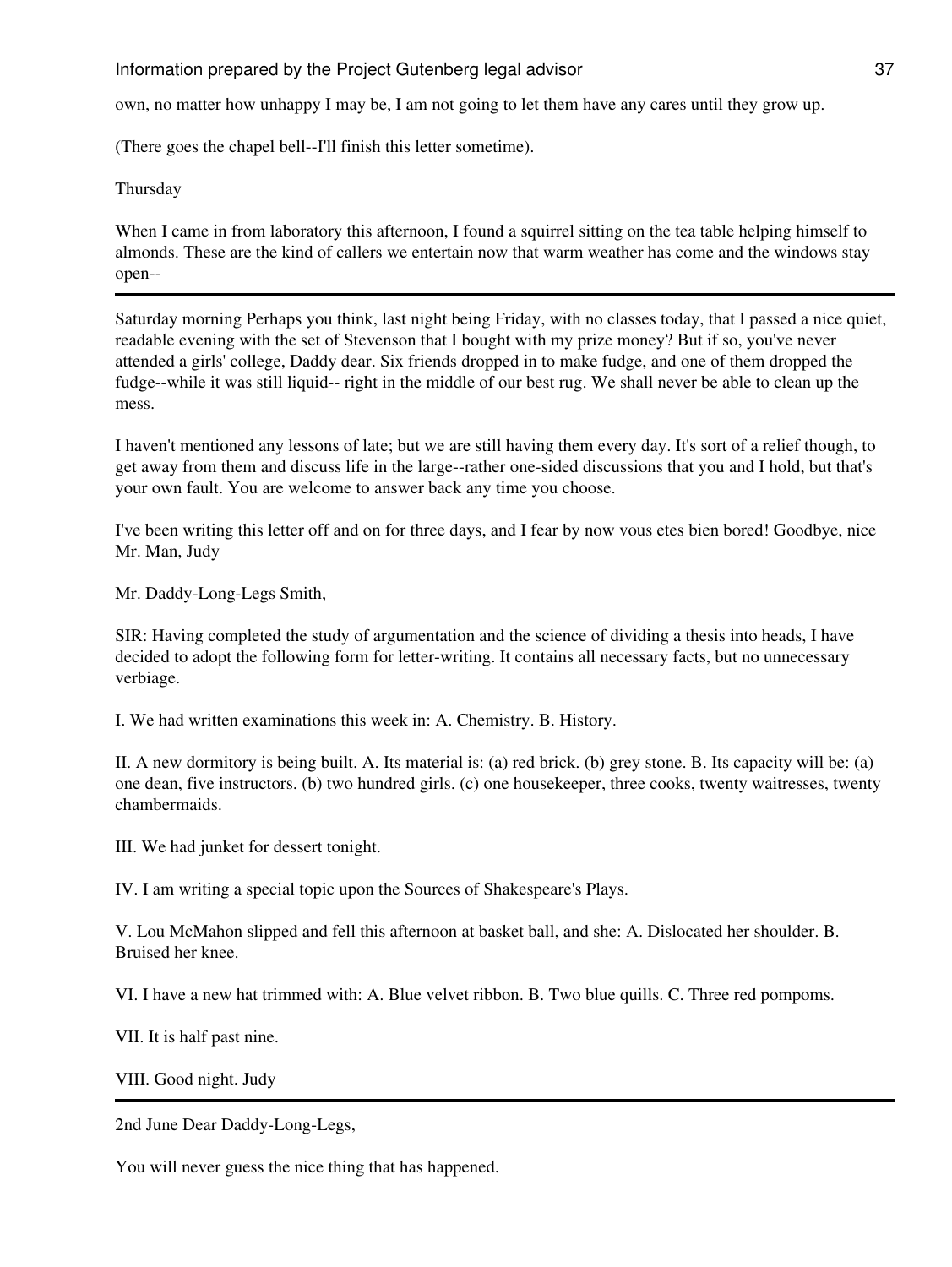own, no matter how unhappy I may be, I am not going to let them have any cares until they grow up.

(There goes the chapel bell--I'll finish this letter sometime).

Thursday

When I came in from laboratory this afternoon, I found a squirrel sitting on the tea table helping himself to almonds. These are the kind of callers we entertain now that warm weather has come and the windows stay open--

Saturday morning Perhaps you think, last night being Friday, with no classes today, that I passed a nice quiet, readable evening with the set of Stevenson that I bought with my prize money? But if so, you've never attended a girls' college, Daddy dear. Six friends dropped in to make fudge, and one of them dropped the fudge--while it was still liquid-- right in the middle of our best rug. We shall never be able to clean up the mess.

I haven't mentioned any lessons of late; but we are still having them every day. It's sort of a relief though, to get away from them and discuss life in the large--rather one-sided discussions that you and I hold, but that's your own fault. You are welcome to answer back any time you choose.

I've been writing this letter off and on for three days, and I fear by now vous etes bien bored! Goodbye, nice Mr. Man, Judy

Mr. Daddy-Long-Legs Smith,

SIR: Having completed the study of argumentation and the science of dividing a thesis into heads, I have decided to adopt the following form for letter-writing. It contains all necessary facts, but no unnecessary verbiage.

I. We had written examinations this week in: A. Chemistry. B. History.

II. A new dormitory is being built. A. Its material is: (a) red brick. (b) grey stone. B. Its capacity will be: (a) one dean, five instructors. (b) two hundred girls. (c) one housekeeper, three cooks, twenty waitresses, twenty chambermaids.

III. We had junket for dessert tonight.

IV. I am writing a special topic upon the Sources of Shakespeare's Plays.

V. Lou McMahon slipped and fell this afternoon at basket ball, and she: A. Dislocated her shoulder. B. Bruised her knee.

VI. I have a new hat trimmed with: A. Blue velvet ribbon. B. Two blue quills. C. Three red pompoms.

VII. It is half past nine.

VIII. Good night. Judy

2nd June Dear Daddy-Long-Legs,

You will never guess the nice thing that has happened.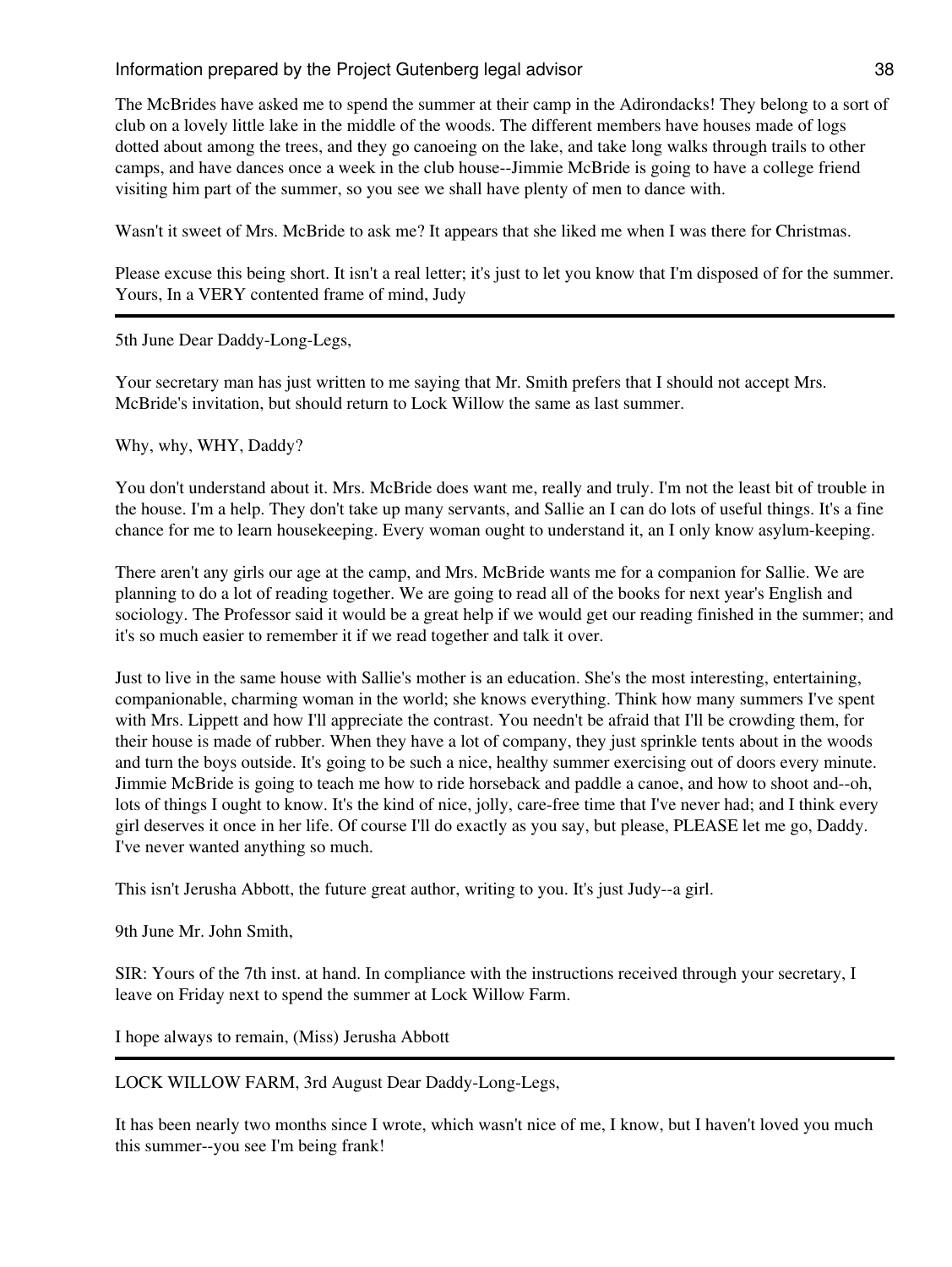The McBrides have asked me to spend the summer at their camp in the Adirondacks! They belong to a sort of club on a lovely little lake in the middle of the woods. The different members have houses made of logs dotted about among the trees, and they go canoeing on the lake, and take long walks through trails to other camps, and have dances once a week in the club house--Jimmie McBride is going to have a college friend visiting him part of the summer, so you see we shall have plenty of men to dance with.

Wasn't it sweet of Mrs. McBride to ask me? It appears that she liked me when I was there for Christmas.

Please excuse this being short. It isn't a real letter; it's just to let you know that I'm disposed of for the summer. Yours, In a VERY contented frame of mind, Judy

5th June Dear Daddy-Long-Legs,

Your secretary man has just written to me saying that Mr. Smith prefers that I should not accept Mrs. McBride's invitation, but should return to Lock Willow the same as last summer.

Why, why, WHY, Daddy?

You don't understand about it. Mrs. McBride does want me, really and truly. I'm not the least bit of trouble in the house. I'm a help. They don't take up many servants, and Sallie an I can do lots of useful things. It's a fine chance for me to learn housekeeping. Every woman ought to understand it, an I only know asylum-keeping.

There aren't any girls our age at the camp, and Mrs. McBride wants me for a companion for Sallie. We are planning to do a lot of reading together. We are going to read all of the books for next year's English and sociology. The Professor said it would be a great help if we would get our reading finished in the summer; and it's so much easier to remember it if we read together and talk it over.

Just to live in the same house with Sallie's mother is an education. She's the most interesting, entertaining, companionable, charming woman in the world; she knows everything. Think how many summers I've spent with Mrs. Lippett and how I'll appreciate the contrast. You needn't be afraid that I'll be crowding them, for their house is made of rubber. When they have a lot of company, they just sprinkle tents about in the woods and turn the boys outside. It's going to be such a nice, healthy summer exercising out of doors every minute. Jimmie McBride is going to teach me how to ride horseback and paddle a canoe, and how to shoot and--oh, lots of things I ought to know. It's the kind of nice, jolly, care-free time that I've never had; and I think every girl deserves it once in her life. Of course I'll do exactly as you say, but please, PLEASE let me go, Daddy. I've never wanted anything so much.

This isn't Jerusha Abbott, the future great author, writing to you. It's just Judy--a girl.

9th June Mr. John Smith,

SIR: Yours of the 7th inst. at hand. In compliance with the instructions received through your secretary, I leave on Friday next to spend the summer at Lock Willow Farm.

I hope always to remain, (Miss) Jerusha Abbott

LOCK WILLOW FARM, 3rd August Dear Daddy-Long-Legs,

It has been nearly two months since I wrote, which wasn't nice of me, I know, but I haven't loved you much this summer--you see I'm being frank!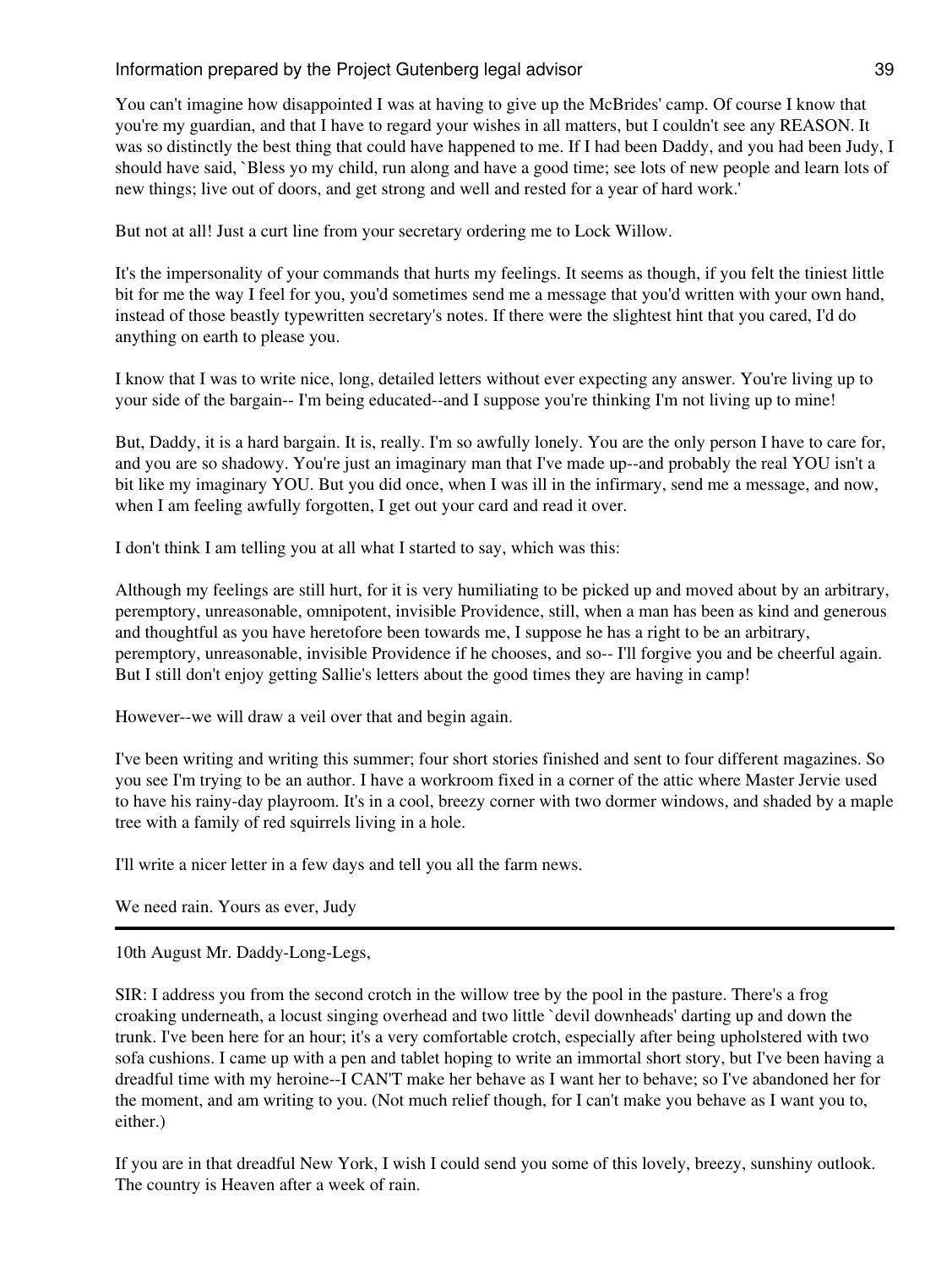You can't imagine how disappointed I was at having to give up the McBrides' camp. Of course I know that you're my guardian, and that I have to regard your wishes in all matters, but I couldn't see any REASON. It was so distinctly the best thing that could have happened to me. If I had been Daddy, and you had been Judy, I should have said, `Bless yo my child, run along and have a good time; see lots of new people and learn lots of new things; live out of doors, and get strong and well and rested for a year of hard work.'

But not at all! Just a curt line from your secretary ordering me to Lock Willow.

It's the impersonality of your commands that hurts my feelings. It seems as though, if you felt the tiniest little bit for me the way I feel for you, you'd sometimes send me a message that you'd written with your own hand, instead of those beastly typewritten secretary's notes. If there were the slightest hint that you cared, I'd do anything on earth to please you.

I know that I was to write nice, long, detailed letters without ever expecting any answer. You're living up to your side of the bargain-- I'm being educated--and I suppose you're thinking I'm not living up to mine!

But, Daddy, it is a hard bargain. It is, really. I'm so awfully lonely. You are the only person I have to care for, and you are so shadowy. You're just an imaginary man that I've made up--and probably the real YOU isn't a bit like my imaginary YOU. But you did once, when I was ill in the infirmary, send me a message, and now, when I am feeling awfully forgotten, I get out your card and read it over.

I don't think I am telling you at all what I started to say, which was this:

Although my feelings are still hurt, for it is very humiliating to be picked up and moved about by an arbitrary, peremptory, unreasonable, omnipotent, invisible Providence, still, when a man has been as kind and generous and thoughtful as you have heretofore been towards me, I suppose he has a right to be an arbitrary, peremptory, unreasonable, invisible Providence if he chooses, and so-- I'll forgive you and be cheerful again. But I still don't enjoy getting Sallie's letters about the good times they are having in camp!

However--we will draw a veil over that and begin again.

I've been writing and writing this summer; four short stories finished and sent to four different magazines. So you see I'm trying to be an author. I have a workroom fixed in a corner of the attic where Master Jervie used to have his rainy-day playroom. It's in a cool, breezy corner with two dormer windows, and shaded by a maple tree with a family of red squirrels living in a hole.

I'll write a nicer letter in a few days and tell you all the farm news.

We need rain. Yours as ever, Judy

10th August Mr. Daddy-Long-Legs,

SIR: I address you from the second crotch in the willow tree by the pool in the pasture. There's a frog croaking underneath, a locust singing overhead and two little `devil downheads' darting up and down the trunk. I've been here for an hour; it's a very comfortable crotch, especially after being upholstered with two sofa cushions. I came up with a pen and tablet hoping to write an immortal short story, but I've been having a dreadful time with my heroine--I CAN'T make her behave as I want her to behave; so I've abandoned her for the moment, and am writing to you. (Not much relief though, for I can't make you behave as I want you to, either.)

If you are in that dreadful New York, I wish I could send you some of this lovely, breezy, sunshiny outlook. The country is Heaven after a week of rain.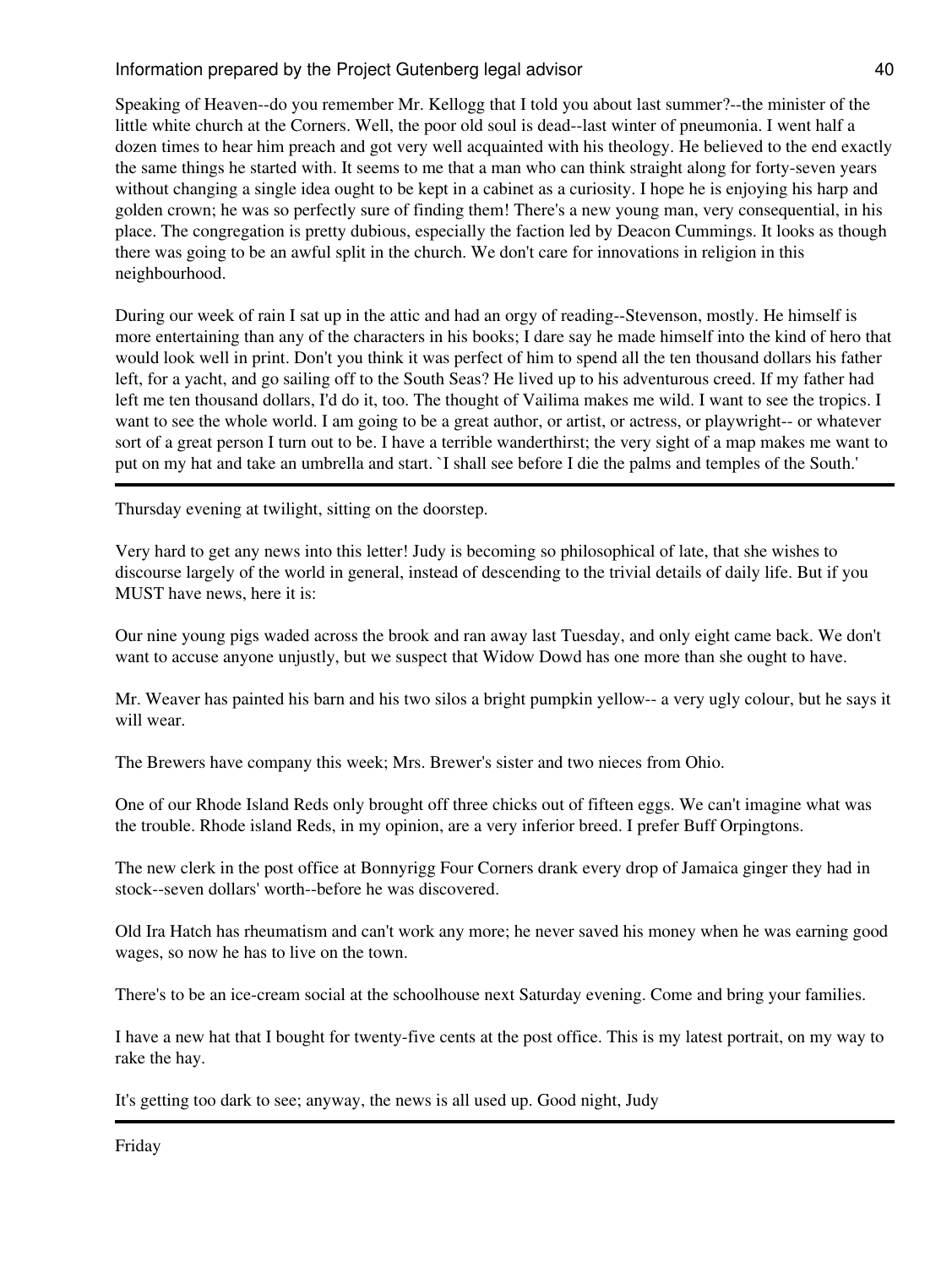Speaking of Heaven--do you remember Mr. Kellogg that I told you about last summer?--the minister of the little white church at the Corners. Well, the poor old soul is dead--last winter of pneumonia. I went half a dozen times to hear him preach and got very well acquainted with his theology. He believed to the end exactly the same things he started with. It seems to me that a man who can think straight along for forty-seven years without changing a single idea ought to be kept in a cabinet as a curiosity. I hope he is enjoying his harp and golden crown; he was so perfectly sure of finding them! There's a new young man, very consequential, in his place. The congregation is pretty dubious, especially the faction led by Deacon Cummings. It looks as though there was going to be an awful split in the church. We don't care for innovations in religion in this neighbourhood.

During our week of rain I sat up in the attic and had an orgy of reading--Stevenson, mostly. He himself is more entertaining than any of the characters in his books; I dare say he made himself into the kind of hero that would look well in print. Don't you think it was perfect of him to spend all the ten thousand dollars his father left, for a yacht, and go sailing off to the South Seas? He lived up to his adventurous creed. If my father had left me ten thousand dollars, I'd do it, too. The thought of Vailima makes me wild. I want to see the tropics. I want to see the whole world. I am going to be a great author, or artist, or actress, or playwright-- or whatever sort of a great person I turn out to be. I have a terrible wanderthirst; the very sight of a map makes me want to put on my hat and take an umbrella and start. `I shall see before I die the palms and temples of the South.'

Thursday evening at twilight, sitting on the doorstep.

Very hard to get any news into this letter! Judy is becoming so philosophical of late, that she wishes to discourse largely of the world in general, instead of descending to the trivial details of daily life. But if you MUST have news, here it is:

Our nine young pigs waded across the brook and ran away last Tuesday, and only eight came back. We don't want to accuse anyone unjustly, but we suspect that Widow Dowd has one more than she ought to have.

Mr. Weaver has painted his barn and his two silos a bright pumpkin yellow-- a very ugly colour, but he says it will wear.

The Brewers have company this week; Mrs. Brewer's sister and two nieces from Ohio.

One of our Rhode Island Reds only brought off three chicks out of fifteen eggs. We can't imagine what was the trouble. Rhode island Reds, in my opinion, are a very inferior breed. I prefer Buff Orpingtons.

The new clerk in the post office at Bonnyrigg Four Corners drank every drop of Jamaica ginger they had in stock--seven dollars' worth--before he was discovered.

Old Ira Hatch has rheumatism and can't work any more; he never saved his money when he was earning good wages, so now he has to live on the town.

There's to be an ice-cream social at the schoolhouse next Saturday evening. Come and bring your families.

I have a new hat that I bought for twenty-five cents at the post office. This is my latest portrait, on my way to rake the hay.

It's getting too dark to see; anyway, the news is all used up. Good night, Judy

Friday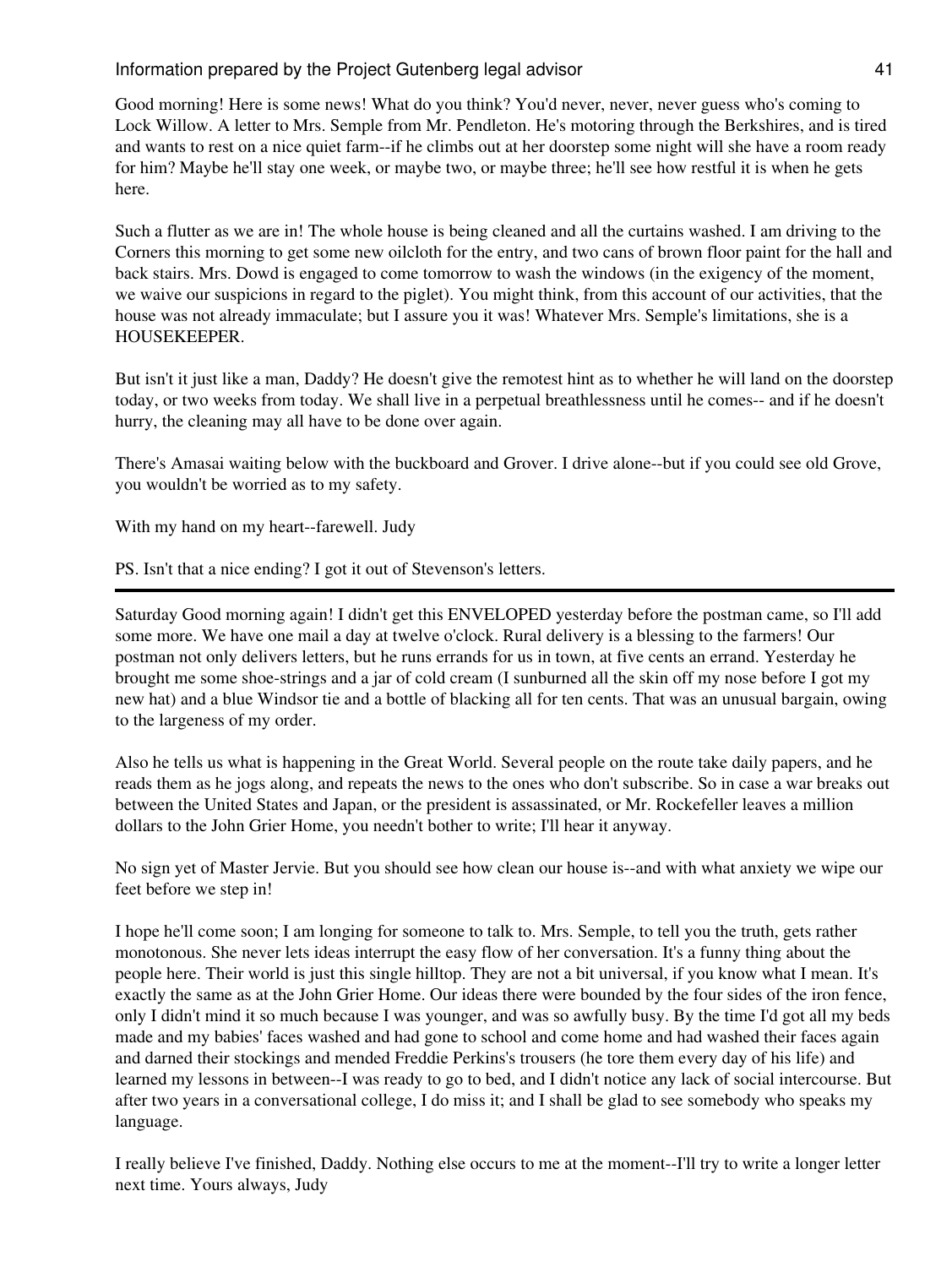Good morning! Here is some news! What do you think? You'd never, never, never guess who's coming to Lock Willow. A letter to Mrs. Semple from Mr. Pendleton. He's motoring through the Berkshires, and is tired and wants to rest on a nice quiet farm--if he climbs out at her doorstep some night will she have a room ready for him? Maybe he'll stay one week, or maybe two, or maybe three; he'll see how restful it is when he gets here.

Such a flutter as we are in! The whole house is being cleaned and all the curtains washed. I am driving to the Corners this morning to get some new oilcloth for the entry, and two cans of brown floor paint for the hall and back stairs. Mrs. Dowd is engaged to come tomorrow to wash the windows (in the exigency of the moment, we waive our suspicions in regard to the piglet). You might think, from this account of our activities, that the house was not already immaculate; but I assure you it was! Whatever Mrs. Semple's limitations, she is a HOUSEKEEPER.

But isn't it just like a man, Daddy? He doesn't give the remotest hint as to whether he will land on the doorstep today, or two weeks from today. We shall live in a perpetual breathlessness until he comes-- and if he doesn't hurry, the cleaning may all have to be done over again.

There's Amasai waiting below with the buckboard and Grover. I drive alone--but if you could see old Grove, you wouldn't be worried as to my safety.

With my hand on my heart--farewell. Judy

PS. Isn't that a nice ending? I got it out of Stevenson's letters.

Saturday Good morning again! I didn't get this ENVELOPED yesterday before the postman came, so I'll add some more. We have one mail a day at twelve o'clock. Rural delivery is a blessing to the farmers! Our postman not only delivers letters, but he runs errands for us in town, at five cents an errand. Yesterday he brought me some shoe-strings and a jar of cold cream (I sunburned all the skin off my nose before I got my new hat) and a blue Windsor tie and a bottle of blacking all for ten cents. That was an unusual bargain, owing to the largeness of my order.

Also he tells us what is happening in the Great World. Several people on the route take daily papers, and he reads them as he jogs along, and repeats the news to the ones who don't subscribe. So in case a war breaks out between the United States and Japan, or the president is assassinated, or Mr. Rockefeller leaves a million dollars to the John Grier Home, you needn't bother to write; I'll hear it anyway.

No sign yet of Master Jervie. But you should see how clean our house is--and with what anxiety we wipe our feet before we step in!

I hope he'll come soon; I am longing for someone to talk to. Mrs. Semple, to tell you the truth, gets rather monotonous. She never lets ideas interrupt the easy flow of her conversation. It's a funny thing about the people here. Their world is just this single hilltop. They are not a bit universal, if you know what I mean. It's exactly the same as at the John Grier Home. Our ideas there were bounded by the four sides of the iron fence, only I didn't mind it so much because I was younger, and was so awfully busy. By the time I'd got all my beds made and my babies' faces washed and had gone to school and come home and had washed their faces again and darned their stockings and mended Freddie Perkins's trousers (he tore them every day of his life) and learned my lessons in between--I was ready to go to bed, and I didn't notice any lack of social intercourse. But after two years in a conversational college, I do miss it; and I shall be glad to see somebody who speaks my language.

I really believe I've finished, Daddy. Nothing else occurs to me at the moment--I'll try to write a longer letter next time. Yours always, Judy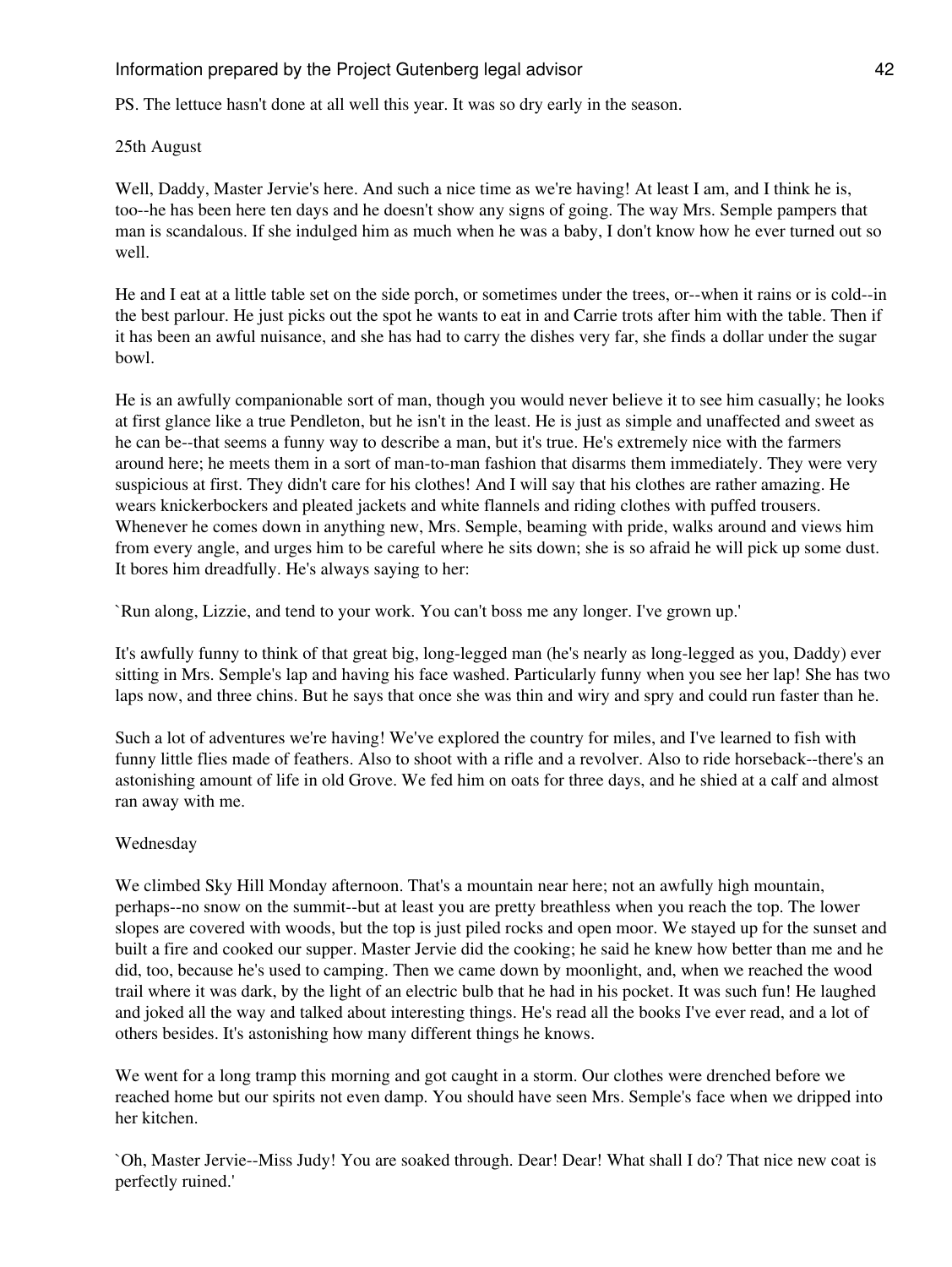PS. The lettuce hasn't done at all well this year. It was so dry early in the season.

## 25th August

Well, Daddy, Master Jervie's here. And such a nice time as we're having! At least I am, and I think he is, too--he has been here ten days and he doesn't show any signs of going. The way Mrs. Semple pampers that man is scandalous. If she indulged him as much when he was a baby, I don't know how he ever turned out so well.

He and I eat at a little table set on the side porch, or sometimes under the trees, or--when it rains or is cold--in the best parlour. He just picks out the spot he wants to eat in and Carrie trots after him with the table. Then if it has been an awful nuisance, and she has had to carry the dishes very far, she finds a dollar under the sugar bowl.

He is an awfully companionable sort of man, though you would never believe it to see him casually; he looks at first glance like a true Pendleton, but he isn't in the least. He is just as simple and unaffected and sweet as he can be--that seems a funny way to describe a man, but it's true. He's extremely nice with the farmers around here; he meets them in a sort of man-to-man fashion that disarms them immediately. They were very suspicious at first. They didn't care for his clothes! And I will say that his clothes are rather amazing. He wears knickerbockers and pleated jackets and white flannels and riding clothes with puffed trousers. Whenever he comes down in anything new, Mrs. Semple, beaming with pride, walks around and views him from every angle, and urges him to be careful where he sits down; she is so afraid he will pick up some dust. It bores him dreadfully. He's always saying to her:

`Run along, Lizzie, and tend to your work. You can't boss me any longer. I've grown up.'

It's awfully funny to think of that great big, long-legged man (he's nearly as long-legged as you, Daddy) ever sitting in Mrs. Semple's lap and having his face washed. Particularly funny when you see her lap! She has two laps now, and three chins. But he says that once she was thin and wiry and spry and could run faster than he.

Such a lot of adventures we're having! We've explored the country for miles, and I've learned to fish with funny little flies made of feathers. Also to shoot with a rifle and a revolver. Also to ride horseback--there's an astonishing amount of life in old Grove. We fed him on oats for three days, and he shied at a calf and almost ran away with me.

## Wednesday

We climbed Sky Hill Monday afternoon. That's a mountain near here; not an awfully high mountain, perhaps--no snow on the summit--but at least you are pretty breathless when you reach the top. The lower slopes are covered with woods, but the top is just piled rocks and open moor. We stayed up for the sunset and built a fire and cooked our supper. Master Jervie did the cooking; he said he knew how better than me and he did, too, because he's used to camping. Then we came down by moonlight, and, when we reached the wood trail where it was dark, by the light of an electric bulb that he had in his pocket. It was such fun! He laughed and joked all the way and talked about interesting things. He's read all the books I've ever read, and a lot of others besides. It's astonishing how many different things he knows.

We went for a long tramp this morning and got caught in a storm. Our clothes were drenched before we reached home but our spirits not even damp. You should have seen Mrs. Semple's face when we dripped into her kitchen.

`Oh, Master Jervie--Miss Judy! You are soaked through. Dear! Dear! What shall I do? That nice new coat is perfectly ruined.'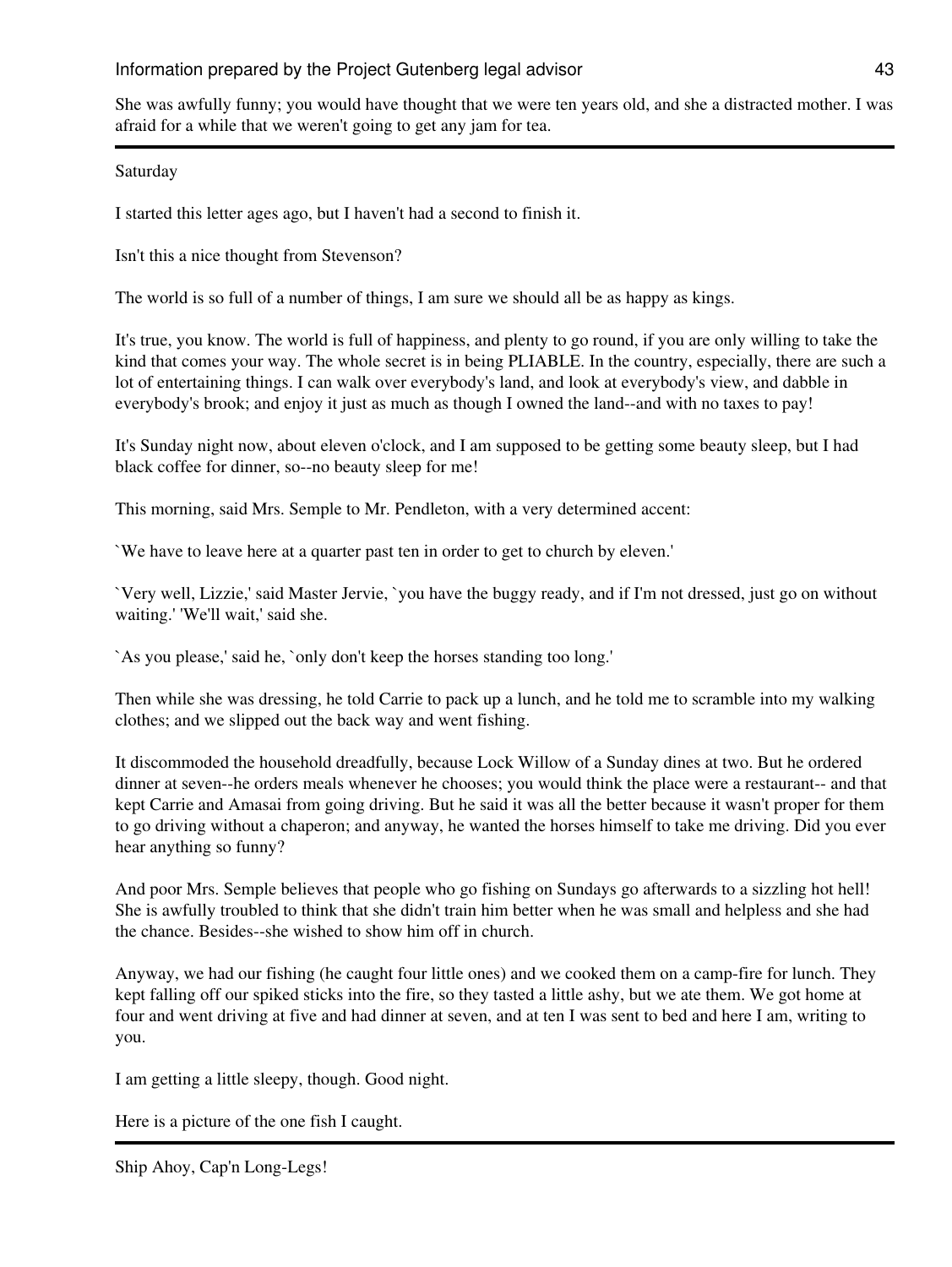She was awfully funny; you would have thought that we were ten years old, and she a distracted mother. I was afraid for a while that we weren't going to get any jam for tea.

## Saturday

I started this letter ages ago, but I haven't had a second to finish it.

Isn't this a nice thought from Stevenson?

The world is so full of a number of things, I am sure we should all be as happy as kings.

It's true, you know. The world is full of happiness, and plenty to go round, if you are only willing to take the kind that comes your way. The whole secret is in being PLIABLE. In the country, especially, there are such a lot of entertaining things. I can walk over everybody's land, and look at everybody's view, and dabble in everybody's brook; and enjoy it just as much as though I owned the land--and with no taxes to pay!

It's Sunday night now, about eleven o'clock, and I am supposed to be getting some beauty sleep, but I had black coffee for dinner, so--no beauty sleep for me!

This morning, said Mrs. Semple to Mr. Pendleton, with a very determined accent:

`We have to leave here at a quarter past ten in order to get to church by eleven.'

`Very well, Lizzie,' said Master Jervie, `you have the buggy ready, and if I'm not dressed, just go on without waiting.' 'We'll wait,' said she.

`As you please,' said he, `only don't keep the horses standing too long.'

Then while she was dressing, he told Carrie to pack up a lunch, and he told me to scramble into my walking clothes; and we slipped out the back way and went fishing.

It discommoded the household dreadfully, because Lock Willow of a Sunday dines at two. But he ordered dinner at seven--he orders meals whenever he chooses; you would think the place were a restaurant-- and that kept Carrie and Amasai from going driving. But he said it was all the better because it wasn't proper for them to go driving without a chaperon; and anyway, he wanted the horses himself to take me driving. Did you ever hear anything so funny?

And poor Mrs. Semple believes that people who go fishing on Sundays go afterwards to a sizzling hot hell! She is awfully troubled to think that she didn't train him better when he was small and helpless and she had the chance. Besides--she wished to show him off in church.

Anyway, we had our fishing (he caught four little ones) and we cooked them on a camp-fire for lunch. They kept falling off our spiked sticks into the fire, so they tasted a little ashy, but we ate them. We got home at four and went driving at five and had dinner at seven, and at ten I was sent to bed and here I am, writing to you.

I am getting a little sleepy, though. Good night.

Here is a picture of the one fish I caught.

Ship Ahoy, Cap'n Long-Legs!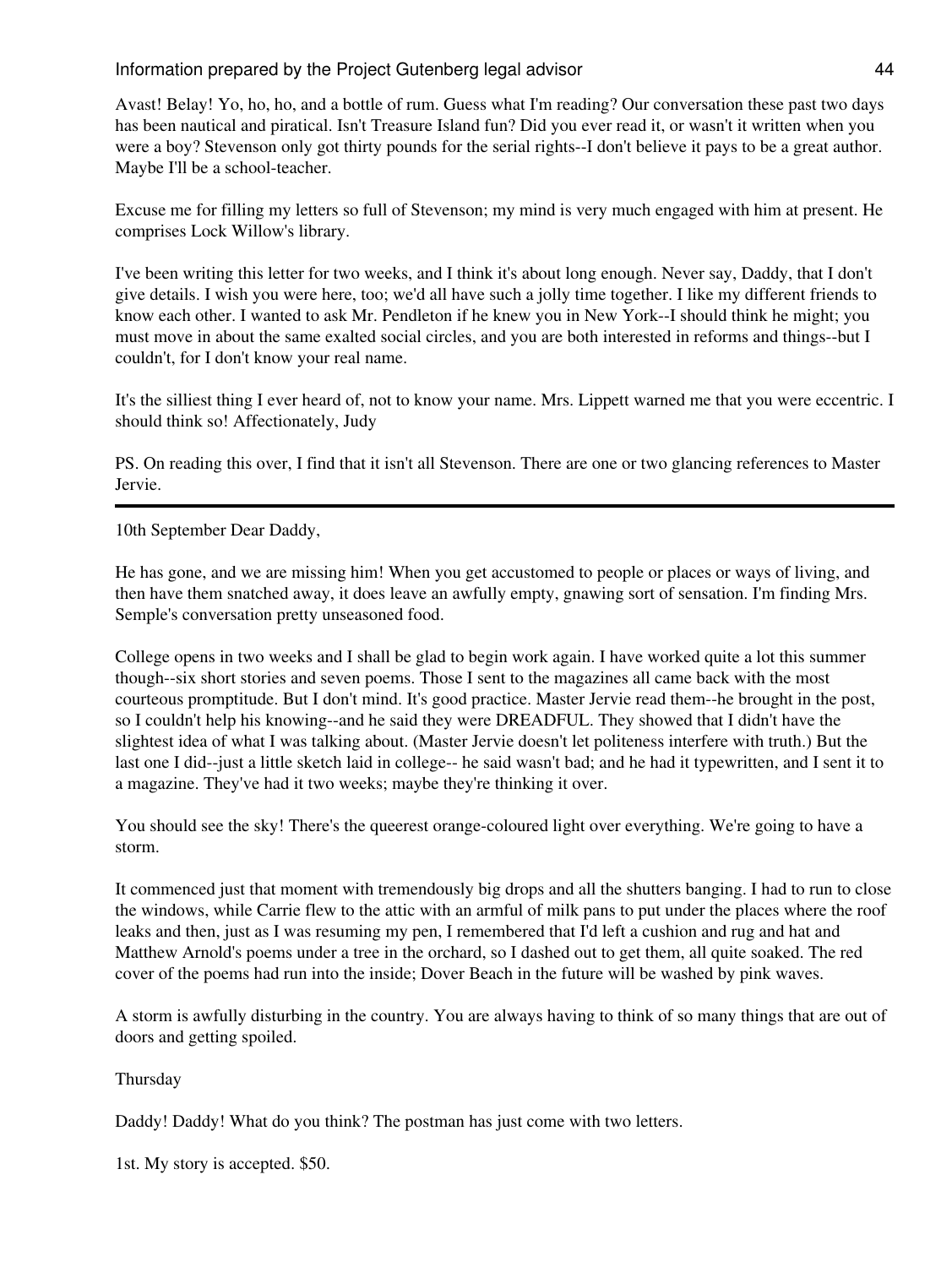Avast! Belay! Yo, ho, ho, and a bottle of rum. Guess what I'm reading? Our conversation these past two days has been nautical and piratical. Isn't Treasure Island fun? Did you ever read it, or wasn't it written when you were a boy? Stevenson only got thirty pounds for the serial rights--I don't believe it pays to be a great author. Maybe I'll be a school-teacher.

Excuse me for filling my letters so full of Stevenson; my mind is very much engaged with him at present. He comprises Lock Willow's library.

I've been writing this letter for two weeks, and I think it's about long enough. Never say, Daddy, that I don't give details. I wish you were here, too; we'd all have such a jolly time together. I like my different friends to know each other. I wanted to ask Mr. Pendleton if he knew you in New York--I should think he might; you must move in about the same exalted social circles, and you are both interested in reforms and things--but I couldn't, for I don't know your real name.

It's the silliest thing I ever heard of, not to know your name. Mrs. Lippett warned me that you were eccentric. I should think so! Affectionately, Judy

PS. On reading this over, I find that it isn't all Stevenson. There are one or two glancing references to Master Jervie.

10th September Dear Daddy,

He has gone, and we are missing him! When you get accustomed to people or places or ways of living, and then have them snatched away, it does leave an awfully empty, gnawing sort of sensation. I'm finding Mrs. Semple's conversation pretty unseasoned food.

College opens in two weeks and I shall be glad to begin work again. I have worked quite a lot this summer though--six short stories and seven poems. Those I sent to the magazines all came back with the most courteous promptitude. But I don't mind. It's good practice. Master Jervie read them--he brought in the post, so I couldn't help his knowing--and he said they were DREADFUL. They showed that I didn't have the slightest idea of what I was talking about. (Master Jervie doesn't let politeness interfere with truth.) But the last one I did--just a little sketch laid in college-- he said wasn't bad; and he had it typewritten, and I sent it to a magazine. They've had it two weeks; maybe they're thinking it over.

You should see the sky! There's the queerest orange-coloured light over everything. We're going to have a storm.

It commenced just that moment with tremendously big drops and all the shutters banging. I had to run to close the windows, while Carrie flew to the attic with an armful of milk pans to put under the places where the roof leaks and then, just as I was resuming my pen, I remembered that I'd left a cushion and rug and hat and Matthew Arnold's poems under a tree in the orchard, so I dashed out to get them, all quite soaked. The red cover of the poems had run into the inside; Dover Beach in the future will be washed by pink waves.

A storm is awfully disturbing in the country. You are always having to think of so many things that are out of doors and getting spoiled.

Thursday

Daddy! Daddy! What do you think? The postman has just come with two letters.

1st. My story is accepted. \$50.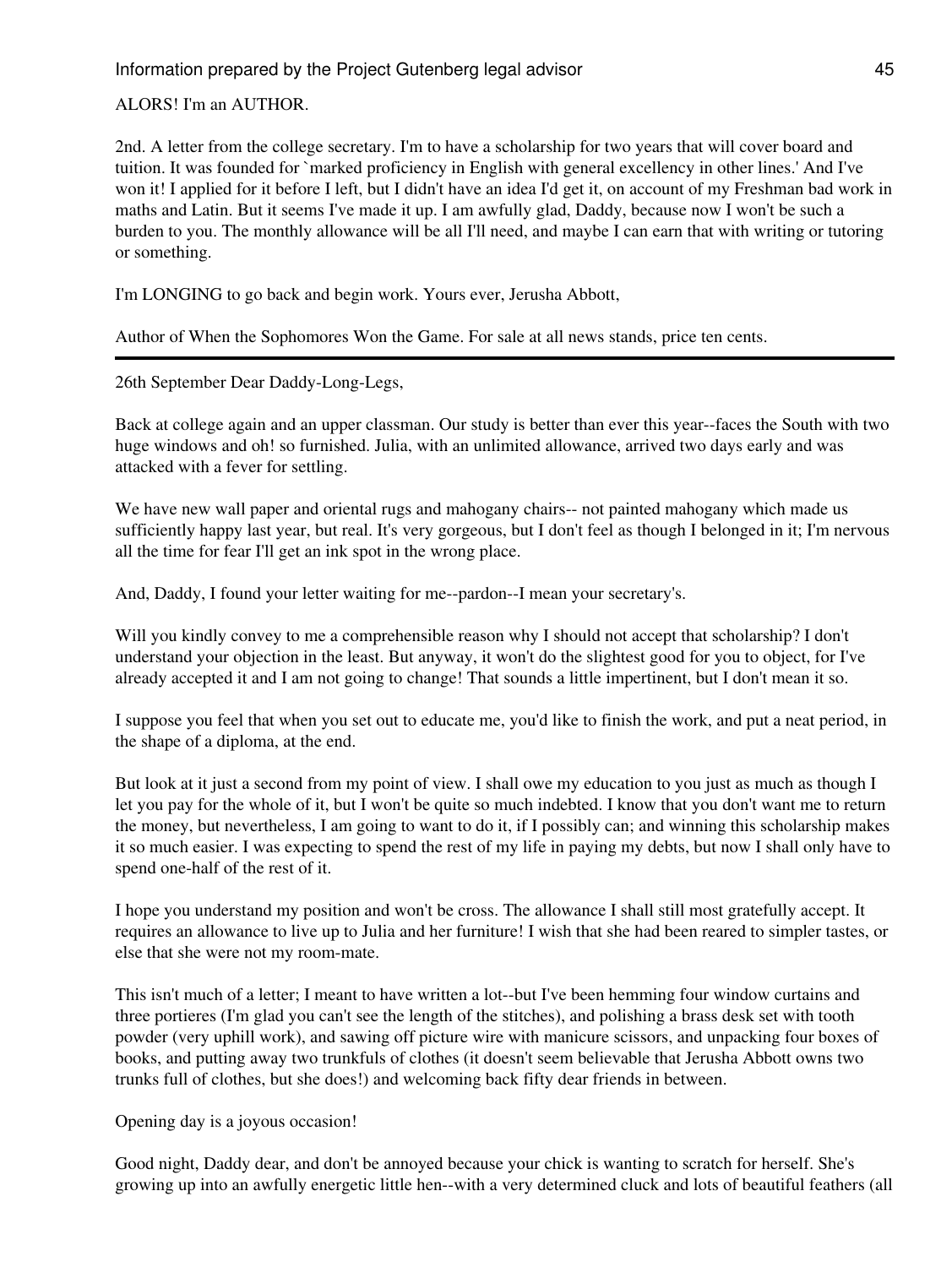ALORS! I'm an AUTHOR.

2nd. A letter from the college secretary. I'm to have a scholarship for two years that will cover board and tuition. It was founded for `marked proficiency in English with general excellency in other lines.' And I've won it! I applied for it before I left, but I didn't have an idea I'd get it, on account of my Freshman bad work in maths and Latin. But it seems I've made it up. I am awfully glad, Daddy, because now I won't be such a burden to you. The monthly allowance will be all I'll need, and maybe I can earn that with writing or tutoring or something.

I'm LONGING to go back and begin work. Yours ever, Jerusha Abbott,

Author of When the Sophomores Won the Game. For sale at all news stands, price ten cents.

26th September Dear Daddy-Long-Legs,

Back at college again and an upper classman. Our study is better than ever this year--faces the South with two huge windows and oh! so furnished. Julia, with an unlimited allowance, arrived two days early and was attacked with a fever for settling.

We have new wall paper and oriental rugs and mahogany chairs-- not painted mahogany which made us sufficiently happy last year, but real. It's very gorgeous, but I don't feel as though I belonged in it; I'm nervous all the time for fear I'll get an ink spot in the wrong place.

And, Daddy, I found your letter waiting for me--pardon--I mean your secretary's.

Will you kindly convey to me a comprehensible reason why I should not accept that scholarship? I don't understand your objection in the least. But anyway, it won't do the slightest good for you to object, for I've already accepted it and I am not going to change! That sounds a little impertinent, but I don't mean it so.

I suppose you feel that when you set out to educate me, you'd like to finish the work, and put a neat period, in the shape of a diploma, at the end.

But look at it just a second from my point of view. I shall owe my education to you just as much as though I let you pay for the whole of it, but I won't be quite so much indebted. I know that you don't want me to return the money, but nevertheless, I am going to want to do it, if I possibly can; and winning this scholarship makes it so much easier. I was expecting to spend the rest of my life in paying my debts, but now I shall only have to spend one-half of the rest of it.

I hope you understand my position and won't be cross. The allowance I shall still most gratefully accept. It requires an allowance to live up to Julia and her furniture! I wish that she had been reared to simpler tastes, or else that she were not my room-mate.

This isn't much of a letter; I meant to have written a lot--but I've been hemming four window curtains and three portieres (I'm glad you can't see the length of the stitches), and polishing a brass desk set with tooth powder (very uphill work), and sawing off picture wire with manicure scissors, and unpacking four boxes of books, and putting away two trunkfuls of clothes (it doesn't seem believable that Jerusha Abbott owns two trunks full of clothes, but she does!) and welcoming back fifty dear friends in between.

Opening day is a joyous occasion!

Good night, Daddy dear, and don't be annoyed because your chick is wanting to scratch for herself. She's growing up into an awfully energetic little hen--with a very determined cluck and lots of beautiful feathers (all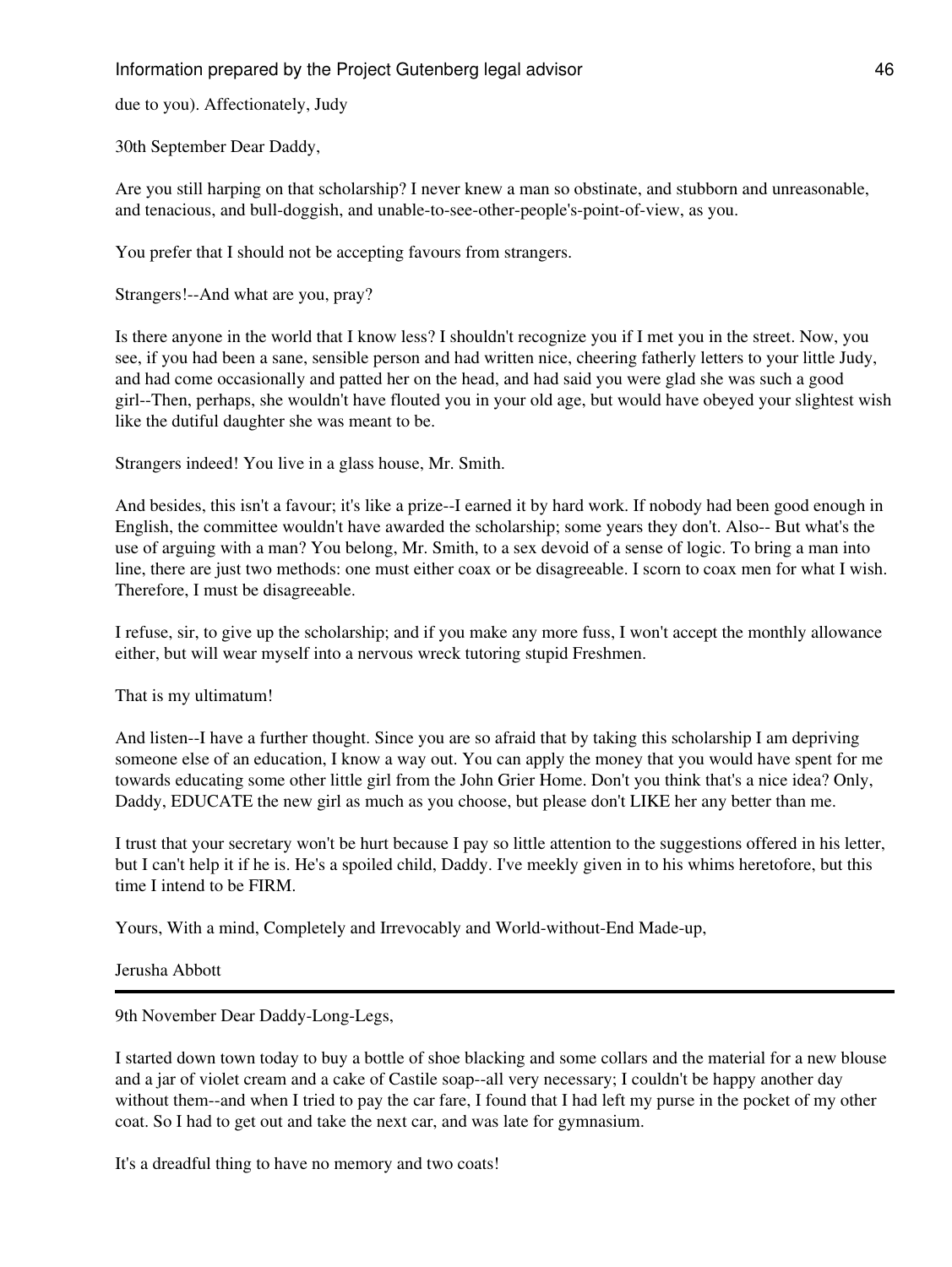due to you). Affectionately, Judy

30th September Dear Daddy,

Are you still harping on that scholarship? I never knew a man so obstinate, and stubborn and unreasonable, and tenacious, and bull-doggish, and unable-to-see-other-people's-point-of-view, as you.

You prefer that I should not be accepting favours from strangers.

Strangers!--And what are you, pray?

Is there anyone in the world that I know less? I shouldn't recognize you if I met you in the street. Now, you see, if you had been a sane, sensible person and had written nice, cheering fatherly letters to your little Judy, and had come occasionally and patted her on the head, and had said you were glad she was such a good girl--Then, perhaps, she wouldn't have flouted you in your old age, but would have obeyed your slightest wish like the dutiful daughter she was meant to be.

Strangers indeed! You live in a glass house, Mr. Smith.

And besides, this isn't a favour; it's like a prize--I earned it by hard work. If nobody had been good enough in English, the committee wouldn't have awarded the scholarship; some years they don't. Also-- But what's the use of arguing with a man? You belong, Mr. Smith, to a sex devoid of a sense of logic. To bring a man into line, there are just two methods: one must either coax or be disagreeable. I scorn to coax men for what I wish. Therefore, I must be disagreeable.

I refuse, sir, to give up the scholarship; and if you make any more fuss, I won't accept the monthly allowance either, but will wear myself into a nervous wreck tutoring stupid Freshmen.

That is my ultimatum!

And listen--I have a further thought. Since you are so afraid that by taking this scholarship I am depriving someone else of an education, I know a way out. You can apply the money that you would have spent for me towards educating some other little girl from the John Grier Home. Don't you think that's a nice idea? Only, Daddy, EDUCATE the new girl as much as you choose, but please don't LIKE her any better than me.

I trust that your secretary won't be hurt because I pay so little attention to the suggestions offered in his letter, but I can't help it if he is. He's a spoiled child, Daddy. I've meekly given in to his whims heretofore, but this time I intend to be FIRM.

Yours, With a mind, Completely and Irrevocably and World-without-End Made-up,

Jerusha Abbott

9th November Dear Daddy-Long-Legs,

I started down town today to buy a bottle of shoe blacking and some collars and the material for a new blouse and a jar of violet cream and a cake of Castile soap--all very necessary; I couldn't be happy another day without them--and when I tried to pay the car fare, I found that I had left my purse in the pocket of my other coat. So I had to get out and take the next car, and was late for gymnasium.

It's a dreadful thing to have no memory and two coats!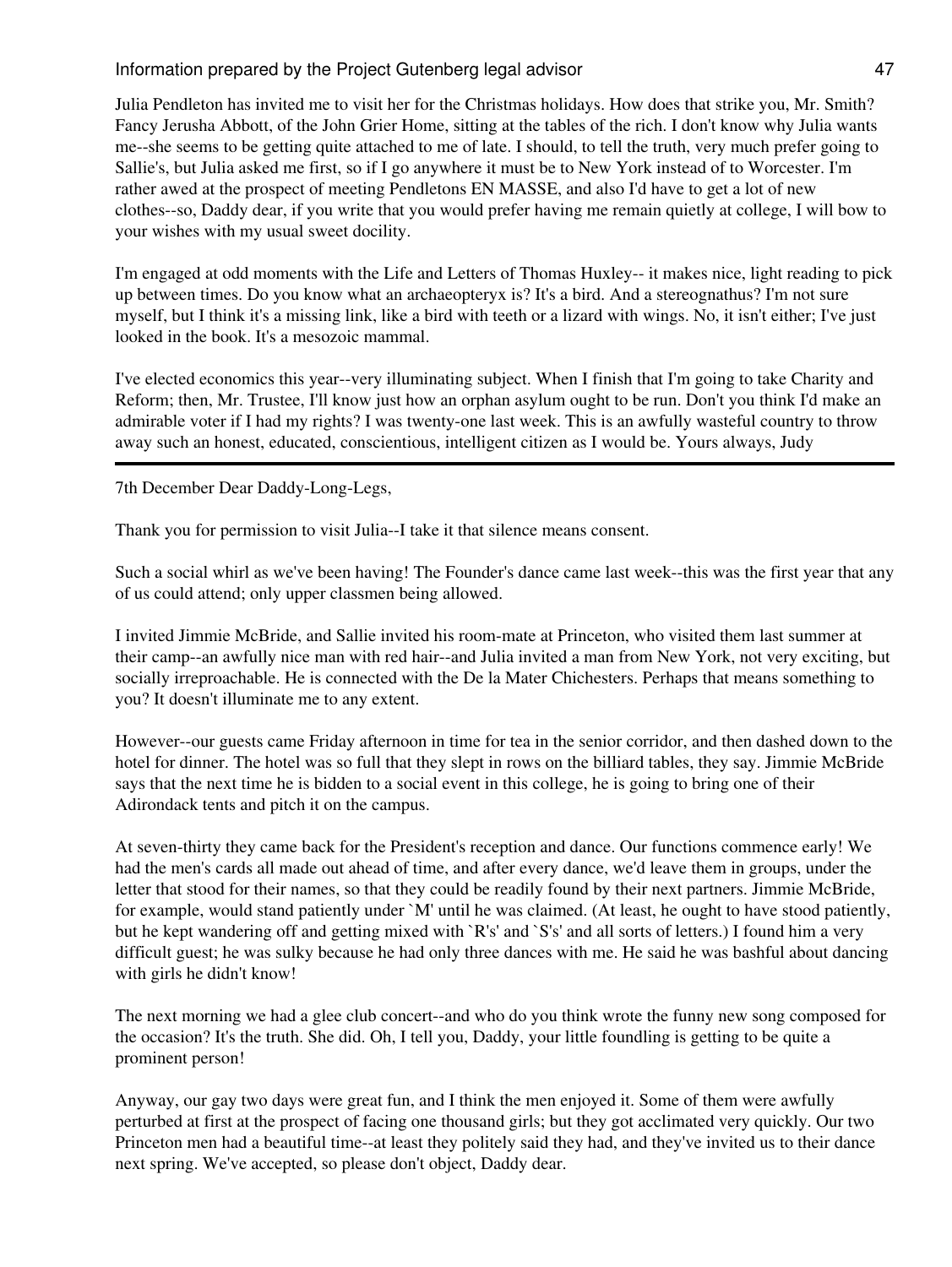Julia Pendleton has invited me to visit her for the Christmas holidays. How does that strike you, Mr. Smith? Fancy Jerusha Abbott, of the John Grier Home, sitting at the tables of the rich. I don't know why Julia wants me--she seems to be getting quite attached to me of late. I should, to tell the truth, very much prefer going to Sallie's, but Julia asked me first, so if I go anywhere it must be to New York instead of to Worcester. I'm rather awed at the prospect of meeting Pendletons EN MASSE, and also I'd have to get a lot of new clothes--so, Daddy dear, if you write that you would prefer having me remain quietly at college, I will bow to your wishes with my usual sweet docility.

I'm engaged at odd moments with the Life and Letters of Thomas Huxley-- it makes nice, light reading to pick up between times. Do you know what an archaeopteryx is? It's a bird. And a stereognathus? I'm not sure myself, but I think it's a missing link, like a bird with teeth or a lizard with wings. No, it isn't either; I've just looked in the book. It's a mesozoic mammal.

I've elected economics this year--very illuminating subject. When I finish that I'm going to take Charity and Reform; then, Mr. Trustee, I'll know just how an orphan asylum ought to be run. Don't you think I'd make an admirable voter if I had my rights? I was twenty-one last week. This is an awfully wasteful country to throw away such an honest, educated, conscientious, intelligent citizen as I would be. Yours always, Judy

7th December Dear Daddy-Long-Legs,

Thank you for permission to visit Julia--I take it that silence means consent.

Such a social whirl as we've been having! The Founder's dance came last week--this was the first year that any of us could attend; only upper classmen being allowed.

I invited Jimmie McBride, and Sallie invited his room-mate at Princeton, who visited them last summer at their camp--an awfully nice man with red hair--and Julia invited a man from New York, not very exciting, but socially irreproachable. He is connected with the De la Mater Chichesters. Perhaps that means something to you? It doesn't illuminate me to any extent.

However--our guests came Friday afternoon in time for tea in the senior corridor, and then dashed down to the hotel for dinner. The hotel was so full that they slept in rows on the billiard tables, they say. Jimmie McBride says that the next time he is bidden to a social event in this college, he is going to bring one of their Adirondack tents and pitch it on the campus.

At seven-thirty they came back for the President's reception and dance. Our functions commence early! We had the men's cards all made out ahead of time, and after every dance, we'd leave them in groups, under the letter that stood for their names, so that they could be readily found by their next partners. Jimmie McBride, for example, would stand patiently under `M' until he was claimed. (At least, he ought to have stood patiently, but he kept wandering off and getting mixed with `R's' and `S's' and all sorts of letters.) I found him a very difficult guest; he was sulky because he had only three dances with me. He said he was bashful about dancing with girls he didn't know!

The next morning we had a glee club concert--and who do you think wrote the funny new song composed for the occasion? It's the truth. She did. Oh, I tell you, Daddy, your little foundling is getting to be quite a prominent person!

Anyway, our gay two days were great fun, and I think the men enjoyed it. Some of them were awfully perturbed at first at the prospect of facing one thousand girls; but they got acclimated very quickly. Our two Princeton men had a beautiful time--at least they politely said they had, and they've invited us to their dance next spring. We've accepted, so please don't object, Daddy dear.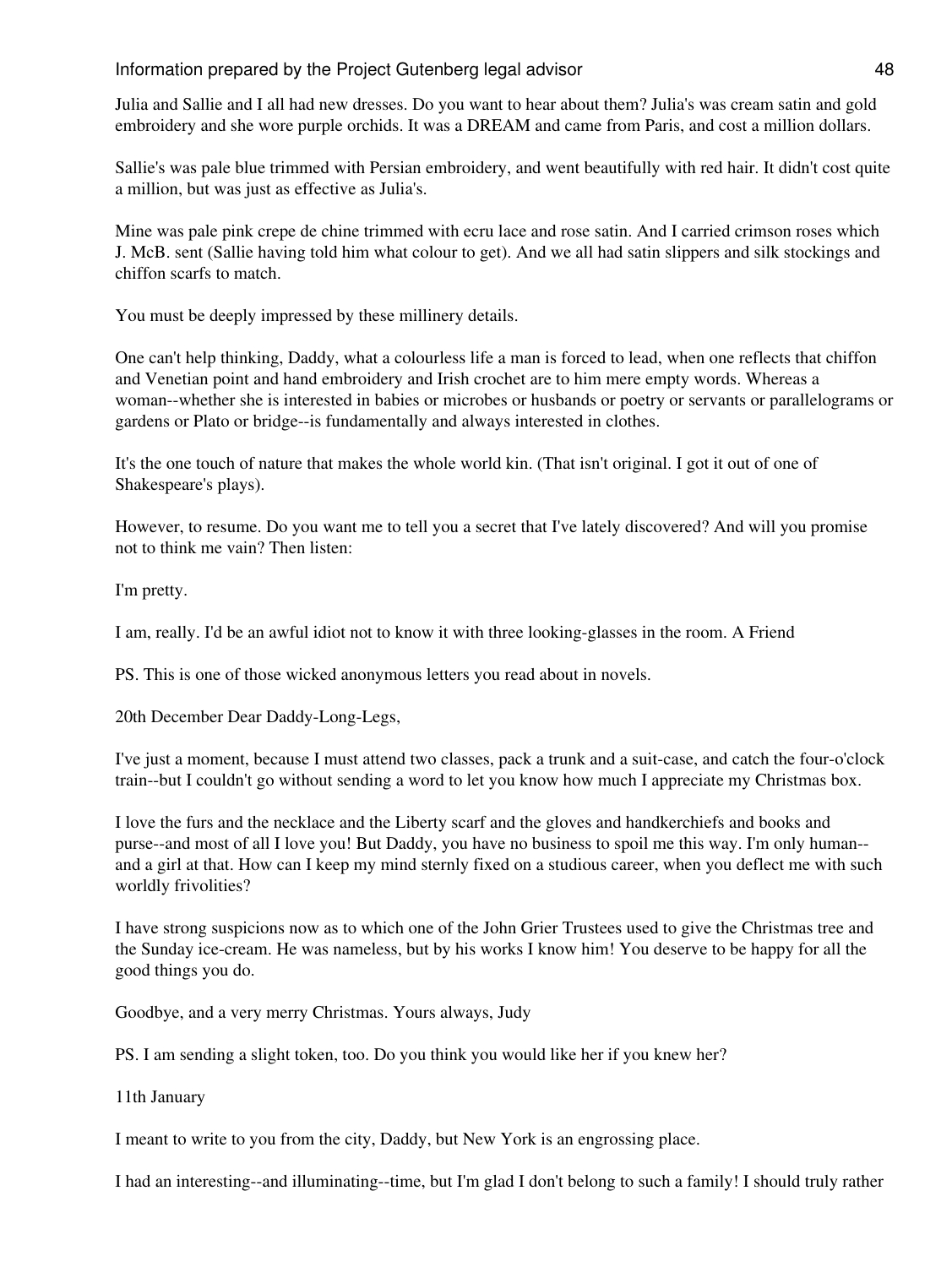Julia and Sallie and I all had new dresses. Do you want to hear about them? Julia's was cream satin and gold embroidery and she wore purple orchids. It was a DREAM and came from Paris, and cost a million dollars.

Sallie's was pale blue trimmed with Persian embroidery, and went beautifully with red hair. It didn't cost quite a million, but was just as effective as Julia's.

Mine was pale pink crepe de chine trimmed with ecru lace and rose satin. And I carried crimson roses which J. McB. sent (Sallie having told him what colour to get). And we all had satin slippers and silk stockings and chiffon scarfs to match.

You must be deeply impressed by these millinery details.

One can't help thinking, Daddy, what a colourless life a man is forced to lead, when one reflects that chiffon and Venetian point and hand embroidery and Irish crochet are to him mere empty words. Whereas a woman--whether she is interested in babies or microbes or husbands or poetry or servants or parallelograms or gardens or Plato or bridge--is fundamentally and always interested in clothes.

It's the one touch of nature that makes the whole world kin. (That isn't original. I got it out of one of Shakespeare's plays).

However, to resume. Do you want me to tell you a secret that I've lately discovered? And will you promise not to think me vain? Then listen:

I'm pretty.

I am, really. I'd be an awful idiot not to know it with three looking-glasses in the room. A Friend

PS. This is one of those wicked anonymous letters you read about in novels.

20th December Dear Daddy-Long-Legs,

I've just a moment, because I must attend two classes, pack a trunk and a suit-case, and catch the four-o'clock train--but I couldn't go without sending a word to let you know how much I appreciate my Christmas box.

I love the furs and the necklace and the Liberty scarf and the gloves and handkerchiefs and books and purse--and most of all I love you! But Daddy, you have no business to spoil me this way. I'm only human- and a girl at that. How can I keep my mind sternly fixed on a studious career, when you deflect me with such worldly frivolities?

I have strong suspicions now as to which one of the John Grier Trustees used to give the Christmas tree and the Sunday ice-cream. He was nameless, but by his works I know him! You deserve to be happy for all the good things you do.

Goodbye, and a very merry Christmas. Yours always, Judy

PS. I am sending a slight token, too. Do you think you would like her if you knew her?

11th January

I meant to write to you from the city, Daddy, but New York is an engrossing place.

I had an interesting--and illuminating--time, but I'm glad I don't belong to such a family! I should truly rather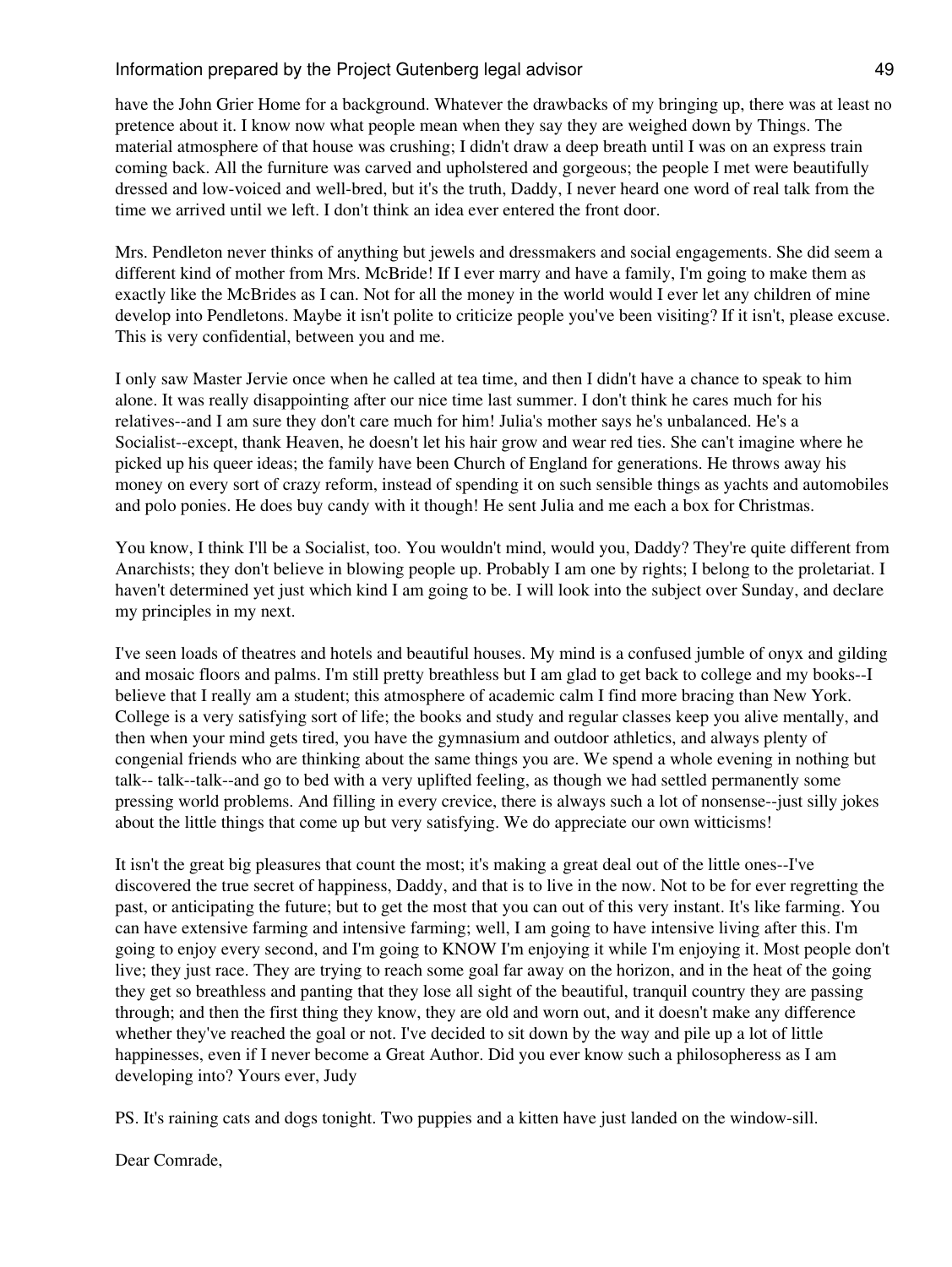have the John Grier Home for a background. Whatever the drawbacks of my bringing up, there was at least no pretence about it. I know now what people mean when they say they are weighed down by Things. The material atmosphere of that house was crushing; I didn't draw a deep breath until I was on an express train coming back. All the furniture was carved and upholstered and gorgeous; the people I met were beautifully dressed and low-voiced and well-bred, but it's the truth, Daddy, I never heard one word of real talk from the time we arrived until we left. I don't think an idea ever entered the front door.

Mrs. Pendleton never thinks of anything but jewels and dressmakers and social engagements. She did seem a different kind of mother from Mrs. McBride! If I ever marry and have a family, I'm going to make them as exactly like the McBrides as I can. Not for all the money in the world would I ever let any children of mine develop into Pendletons. Maybe it isn't polite to criticize people you've been visiting? If it isn't, please excuse. This is very confidential, between you and me.

I only saw Master Jervie once when he called at tea time, and then I didn't have a chance to speak to him alone. It was really disappointing after our nice time last summer. I don't think he cares much for his relatives--and I am sure they don't care much for him! Julia's mother says he's unbalanced. He's a Socialist--except, thank Heaven, he doesn't let his hair grow and wear red ties. She can't imagine where he picked up his queer ideas; the family have been Church of England for generations. He throws away his money on every sort of crazy reform, instead of spending it on such sensible things as yachts and automobiles and polo ponies. He does buy candy with it though! He sent Julia and me each a box for Christmas.

You know, I think I'll be a Socialist, too. You wouldn't mind, would you, Daddy? They're quite different from Anarchists; they don't believe in blowing people up. Probably I am one by rights; I belong to the proletariat. I haven't determined yet just which kind I am going to be. I will look into the subject over Sunday, and declare my principles in my next.

I've seen loads of theatres and hotels and beautiful houses. My mind is a confused jumble of onyx and gilding and mosaic floors and palms. I'm still pretty breathless but I am glad to get back to college and my books--I believe that I really am a student; this atmosphere of academic calm I find more bracing than New York. College is a very satisfying sort of life; the books and study and regular classes keep you alive mentally, and then when your mind gets tired, you have the gymnasium and outdoor athletics, and always plenty of congenial friends who are thinking about the same things you are. We spend a whole evening in nothing but talk-- talk--talk--and go to bed with a very uplifted feeling, as though we had settled permanently some pressing world problems. And filling in every crevice, there is always such a lot of nonsense--just silly jokes about the little things that come up but very satisfying. We do appreciate our own witticisms!

It isn't the great big pleasures that count the most; it's making a great deal out of the little ones--I've discovered the true secret of happiness, Daddy, and that is to live in the now. Not to be for ever regretting the past, or anticipating the future; but to get the most that you can out of this very instant. It's like farming. You can have extensive farming and intensive farming; well, I am going to have intensive living after this. I'm going to enjoy every second, and I'm going to KNOW I'm enjoying it while I'm enjoying it. Most people don't live; they just race. They are trying to reach some goal far away on the horizon, and in the heat of the going they get so breathless and panting that they lose all sight of the beautiful, tranquil country they are passing through; and then the first thing they know, they are old and worn out, and it doesn't make any difference whether they've reached the goal or not. I've decided to sit down by the way and pile up a lot of little happinesses, even if I never become a Great Author. Did you ever know such a philosopheress as I am developing into? Yours ever, Judy

PS. It's raining cats and dogs tonight. Two puppies and a kitten have just landed on the window-sill.

Dear Comrade,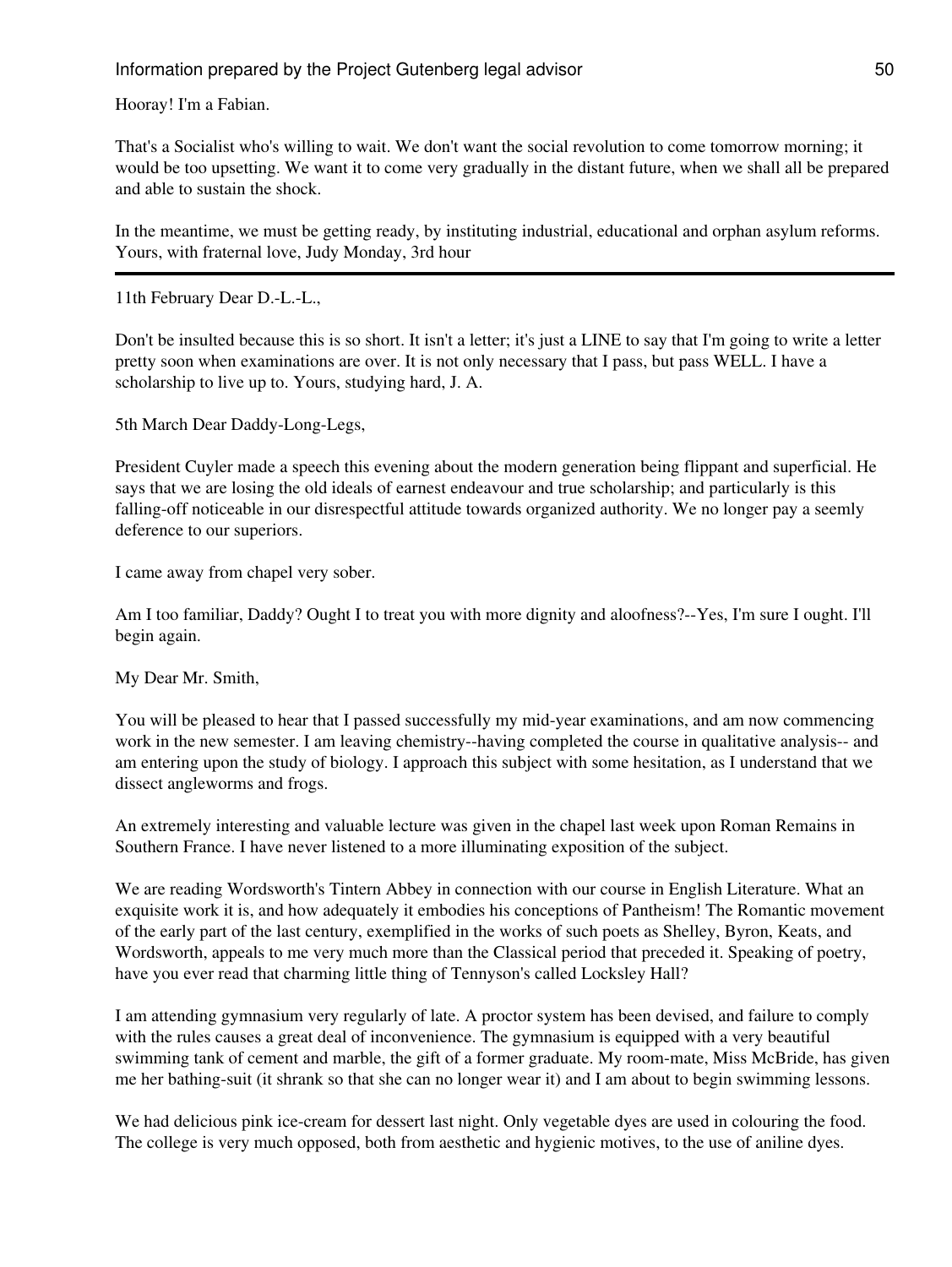Hooray! I'm a Fabian.

That's a Socialist who's willing to wait. We don't want the social revolution to come tomorrow morning; it would be too upsetting. We want it to come very gradually in the distant future, when we shall all be prepared and able to sustain the shock.

In the meantime, we must be getting ready, by instituting industrial, educational and orphan asylum reforms. Yours, with fraternal love, Judy Monday, 3rd hour

11th February Dear D.-L.-L.,

Don't be insulted because this is so short. It isn't a letter; it's just a LINE to say that I'm going to write a letter pretty soon when examinations are over. It is not only necessary that I pass, but pass WELL. I have a scholarship to live up to. Yours, studying hard, J. A.

5th March Dear Daddy-Long-Legs,

President Cuyler made a speech this evening about the modern generation being flippant and superficial. He says that we are losing the old ideals of earnest endeavour and true scholarship; and particularly is this falling-off noticeable in our disrespectful attitude towards organized authority. We no longer pay a seemly deference to our superiors.

I came away from chapel very sober.

Am I too familiar, Daddy? Ought I to treat you with more dignity and aloofness?--Yes, I'm sure I ought. I'll begin again.

My Dear Mr. Smith,

You will be pleased to hear that I passed successfully my mid-year examinations, and am now commencing work in the new semester. I am leaving chemistry--having completed the course in qualitative analysis-- and am entering upon the study of biology. I approach this subject with some hesitation, as I understand that we dissect angleworms and frogs.

An extremely interesting and valuable lecture was given in the chapel last week upon Roman Remains in Southern France. I have never listened to a more illuminating exposition of the subject.

We are reading Wordsworth's Tintern Abbey in connection with our course in English Literature. What an exquisite work it is, and how adequately it embodies his conceptions of Pantheism! The Romantic movement of the early part of the last century, exemplified in the works of such poets as Shelley, Byron, Keats, and Wordsworth, appeals to me very much more than the Classical period that preceded it. Speaking of poetry, have you ever read that charming little thing of Tennyson's called Locksley Hall?

I am attending gymnasium very regularly of late. A proctor system has been devised, and failure to comply with the rules causes a great deal of inconvenience. The gymnasium is equipped with a very beautiful swimming tank of cement and marble, the gift of a former graduate. My room-mate, Miss McBride, has given me her bathing-suit (it shrank so that she can no longer wear it) and I am about to begin swimming lessons.

We had delicious pink ice-cream for dessert last night. Only vegetable dyes are used in colouring the food. The college is very much opposed, both from aesthetic and hygienic motives, to the use of aniline dyes.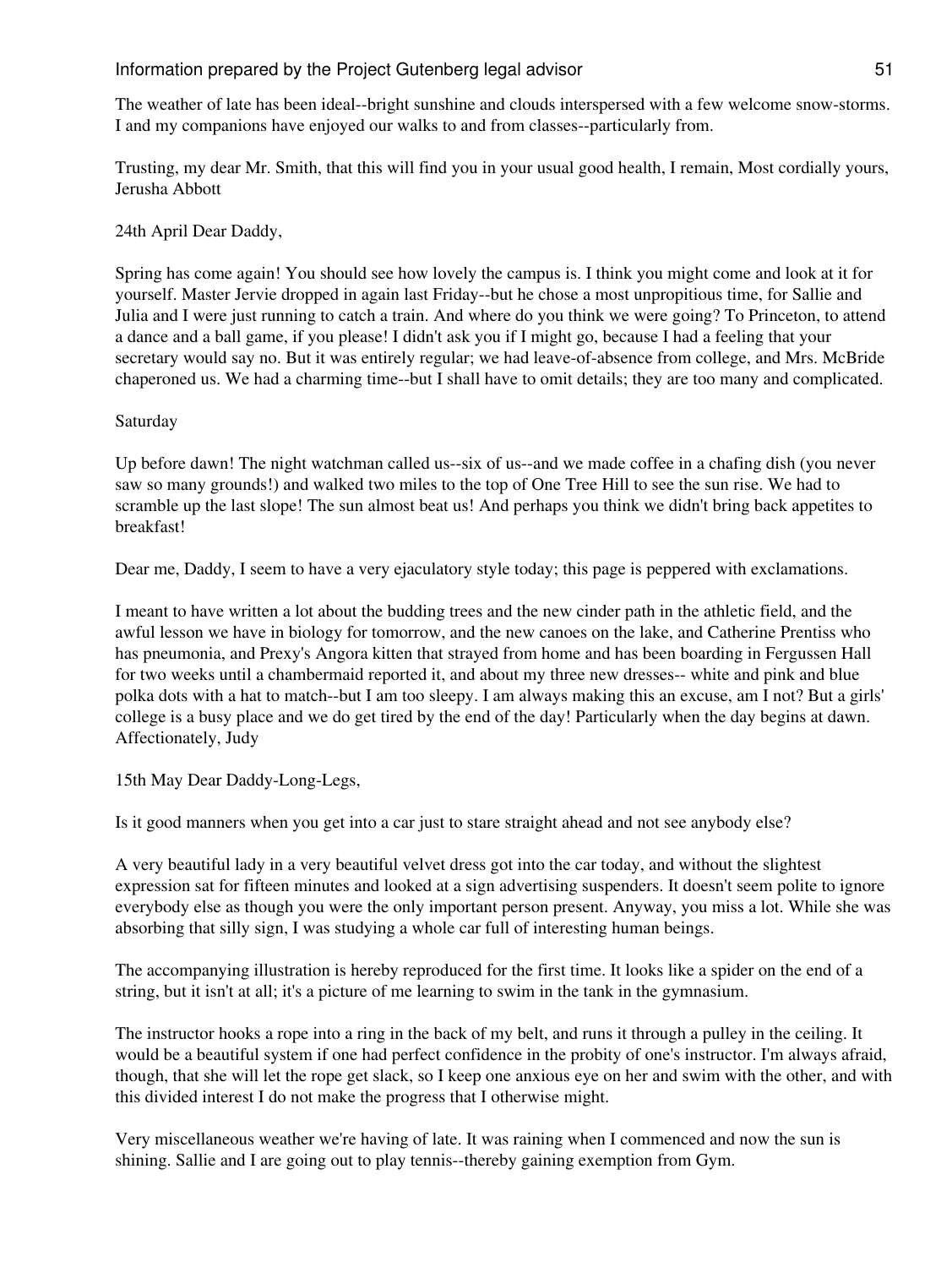The weather of late has been ideal--bright sunshine and clouds interspersed with a few welcome snow-storms. I and my companions have enjoyed our walks to and from classes--particularly from.

Trusting, my dear Mr. Smith, that this will find you in your usual good health, I remain, Most cordially yours, Jerusha Abbott

## 24th April Dear Daddy,

Spring has come again! You should see how lovely the campus is. I think you might come and look at it for yourself. Master Jervie dropped in again last Friday--but he chose a most unpropitious time, for Sallie and Julia and I were just running to catch a train. And where do you think we were going? To Princeton, to attend a dance and a ball game, if you please! I didn't ask you if I might go, because I had a feeling that your secretary would say no. But it was entirely regular; we had leave-of-absence from college, and Mrs. McBride chaperoned us. We had a charming time--but I shall have to omit details; they are too many and complicated.

#### Saturday

Up before dawn! The night watchman called us--six of us--and we made coffee in a chafing dish (you never saw so many grounds!) and walked two miles to the top of One Tree Hill to see the sun rise. We had to scramble up the last slope! The sun almost beat us! And perhaps you think we didn't bring back appetites to breakfast!

Dear me, Daddy, I seem to have a very ejaculatory style today; this page is peppered with exclamations.

I meant to have written a lot about the budding trees and the new cinder path in the athletic field, and the awful lesson we have in biology for tomorrow, and the new canoes on the lake, and Catherine Prentiss who has pneumonia, and Prexy's Angora kitten that strayed from home and has been boarding in Fergussen Hall for two weeks until a chambermaid reported it, and about my three new dresses-- white and pink and blue polka dots with a hat to match--but I am too sleepy. I am always making this an excuse, am I not? But a girls' college is a busy place and we do get tired by the end of the day! Particularly when the day begins at dawn. Affectionately, Judy

15th May Dear Daddy-Long-Legs,

Is it good manners when you get into a car just to stare straight ahead and not see anybody else?

A very beautiful lady in a very beautiful velvet dress got into the car today, and without the slightest expression sat for fifteen minutes and looked at a sign advertising suspenders. It doesn't seem polite to ignore everybody else as though you were the only important person present. Anyway, you miss a lot. While she was absorbing that silly sign, I was studying a whole car full of interesting human beings.

The accompanying illustration is hereby reproduced for the first time. It looks like a spider on the end of a string, but it isn't at all; it's a picture of me learning to swim in the tank in the gymnasium.

The instructor hooks a rope into a ring in the back of my belt, and runs it through a pulley in the ceiling. It would be a beautiful system if one had perfect confidence in the probity of one's instructor. I'm always afraid, though, that she will let the rope get slack, so I keep one anxious eye on her and swim with the other, and with this divided interest I do not make the progress that I otherwise might.

Very miscellaneous weather we're having of late. It was raining when I commenced and now the sun is shining. Sallie and I are going out to play tennis--thereby gaining exemption from Gym.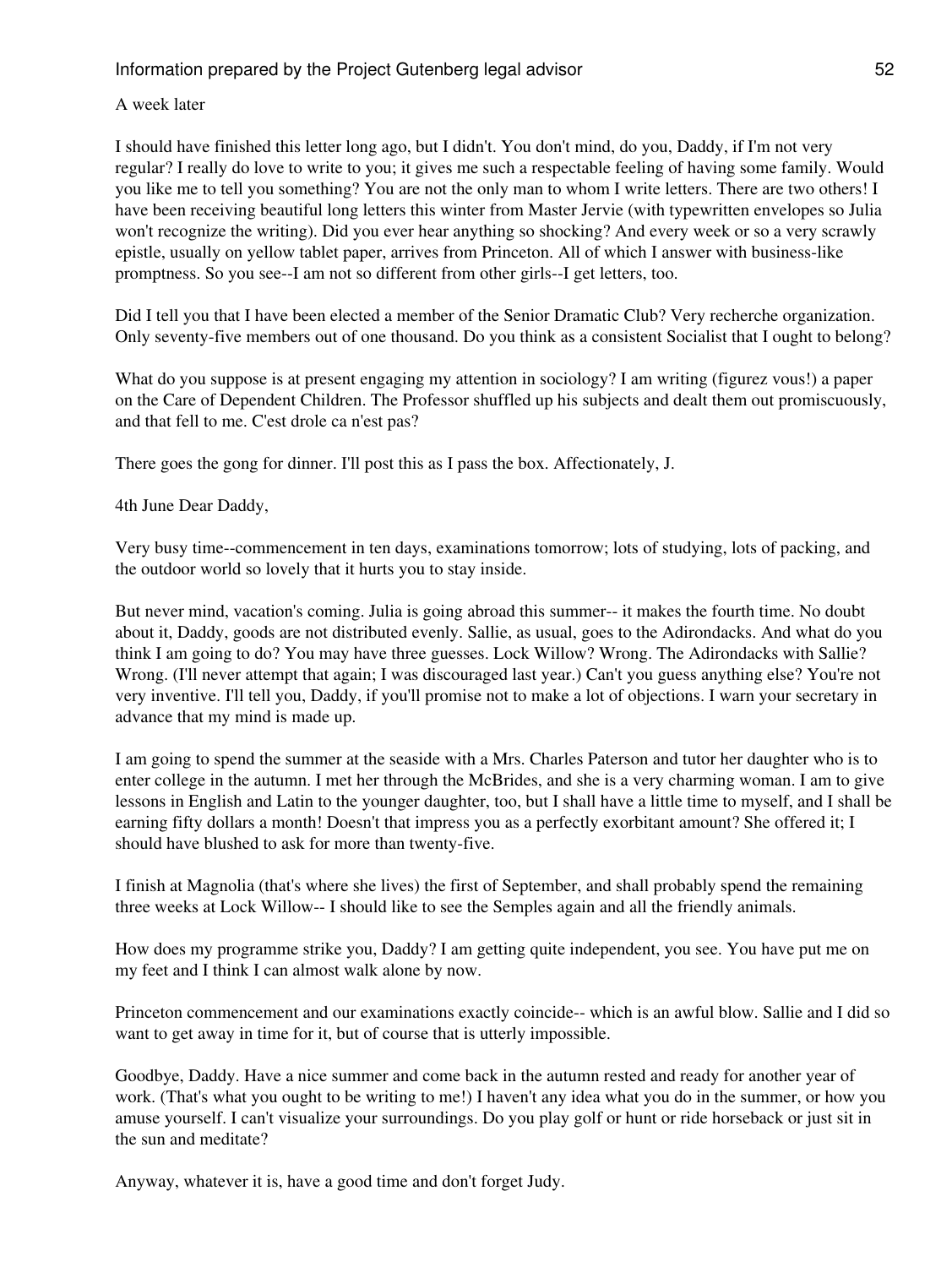A week later

I should have finished this letter long ago, but I didn't. You don't mind, do you, Daddy, if I'm not very regular? I really do love to write to you; it gives me such a respectable feeling of having some family. Would you like me to tell you something? You are not the only man to whom I write letters. There are two others! I have been receiving beautiful long letters this winter from Master Jervie (with typewritten envelopes so Julia won't recognize the writing). Did you ever hear anything so shocking? And every week or so a very scrawly epistle, usually on yellow tablet paper, arrives from Princeton. All of which I answer with business-like promptness. So you see--I am not so different from other girls--I get letters, too.

Did I tell you that I have been elected a member of the Senior Dramatic Club? Very recherche organization. Only seventy-five members out of one thousand. Do you think as a consistent Socialist that I ought to belong?

What do you suppose is at present engaging my attention in sociology? I am writing (figurez vous!) a paper on the Care of Dependent Children. The Professor shuffled up his subjects and dealt them out promiscuously, and that fell to me. C'est drole ca n'est pas?

There goes the gong for dinner. I'll post this as I pass the box. Affectionately, J.

4th June Dear Daddy,

Very busy time--commencement in ten days, examinations tomorrow; lots of studying, lots of packing, and the outdoor world so lovely that it hurts you to stay inside.

But never mind, vacation's coming. Julia is going abroad this summer-- it makes the fourth time. No doubt about it, Daddy, goods are not distributed evenly. Sallie, as usual, goes to the Adirondacks. And what do you think I am going to do? You may have three guesses. Lock Willow? Wrong. The Adirondacks with Sallie? Wrong. (I'll never attempt that again; I was discouraged last year.) Can't you guess anything else? You're not very inventive. I'll tell you, Daddy, if you'll promise not to make a lot of objections. I warn your secretary in advance that my mind is made up.

I am going to spend the summer at the seaside with a Mrs. Charles Paterson and tutor her daughter who is to enter college in the autumn. I met her through the McBrides, and she is a very charming woman. I am to give lessons in English and Latin to the younger daughter, too, but I shall have a little time to myself, and I shall be earning fifty dollars a month! Doesn't that impress you as a perfectly exorbitant amount? She offered it; I should have blushed to ask for more than twenty-five.

I finish at Magnolia (that's where she lives) the first of September, and shall probably spend the remaining three weeks at Lock Willow-- I should like to see the Semples again and all the friendly animals.

How does my programme strike you, Daddy? I am getting quite independent, you see. You have put me on my feet and I think I can almost walk alone by now.

Princeton commencement and our examinations exactly coincide-- which is an awful blow. Sallie and I did so want to get away in time for it, but of course that is utterly impossible.

Goodbye, Daddy. Have a nice summer and come back in the autumn rested and ready for another year of work. (That's what you ought to be writing to me!) I haven't any idea what you do in the summer, or how you amuse yourself. I can't visualize your surroundings. Do you play golf or hunt or ride horseback or just sit in the sun and meditate?

Anyway, whatever it is, have a good time and don't forget Judy.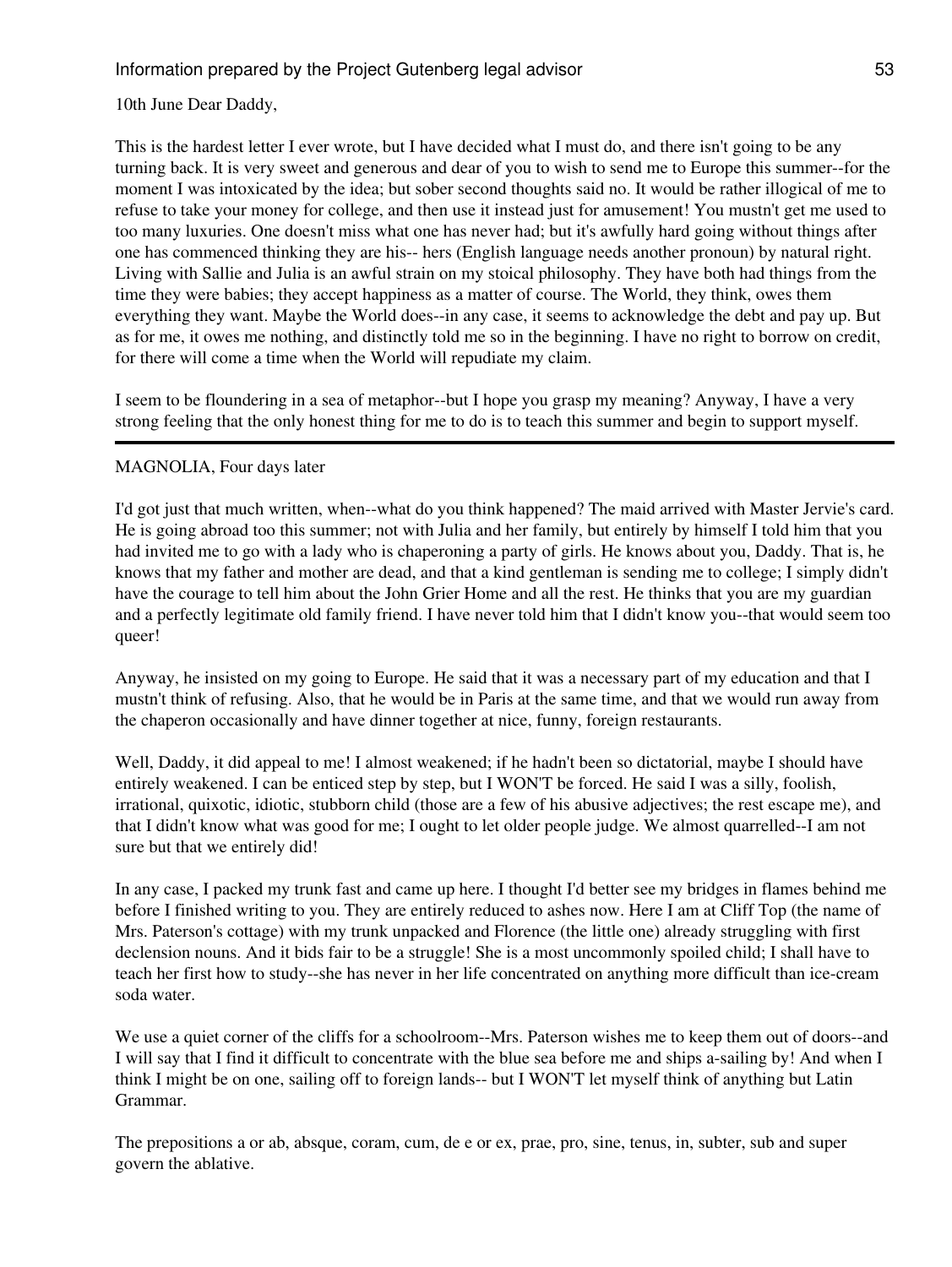## 10th June Dear Daddy,

This is the hardest letter I ever wrote, but I have decided what I must do, and there isn't going to be any turning back. It is very sweet and generous and dear of you to wish to send me to Europe this summer--for the moment I was intoxicated by the idea; but sober second thoughts said no. It would be rather illogical of me to refuse to take your money for college, and then use it instead just for amusement! You mustn't get me used to too many luxuries. One doesn't miss what one has never had; but it's awfully hard going without things after one has commenced thinking they are his-- hers (English language needs another pronoun) by natural right. Living with Sallie and Julia is an awful strain on my stoical philosophy. They have both had things from the time they were babies; they accept happiness as a matter of course. The World, they think, owes them everything they want. Maybe the World does--in any case, it seems to acknowledge the debt and pay up. But as for me, it owes me nothing, and distinctly told me so in the beginning. I have no right to borrow on credit, for there will come a time when the World will repudiate my claim.

I seem to be floundering in a sea of metaphor--but I hope you grasp my meaning? Anyway, I have a very strong feeling that the only honest thing for me to do is to teach this summer and begin to support myself.

## MAGNOLIA, Four days later

I'd got just that much written, when--what do you think happened? The maid arrived with Master Jervie's card. He is going abroad too this summer; not with Julia and her family, but entirely by himself I told him that you had invited me to go with a lady who is chaperoning a party of girls. He knows about you, Daddy. That is, he knows that my father and mother are dead, and that a kind gentleman is sending me to college; I simply didn't have the courage to tell him about the John Grier Home and all the rest. He thinks that you are my guardian and a perfectly legitimate old family friend. I have never told him that I didn't know you--that would seem too queer!

Anyway, he insisted on my going to Europe. He said that it was a necessary part of my education and that I mustn't think of refusing. Also, that he would be in Paris at the same time, and that we would run away from the chaperon occasionally and have dinner together at nice, funny, foreign restaurants.

Well, Daddy, it did appeal to me! I almost weakened; if he hadn't been so dictatorial, maybe I should have entirely weakened. I can be enticed step by step, but I WON'T be forced. He said I was a silly, foolish, irrational, quixotic, idiotic, stubborn child (those are a few of his abusive adjectives; the rest escape me), and that I didn't know what was good for me; I ought to let older people judge. We almost quarrelled--I am not sure but that we entirely did!

In any case, I packed my trunk fast and came up here. I thought I'd better see my bridges in flames behind me before I finished writing to you. They are entirely reduced to ashes now. Here I am at Cliff Top (the name of Mrs. Paterson's cottage) with my trunk unpacked and Florence (the little one) already struggling with first declension nouns. And it bids fair to be a struggle! She is a most uncommonly spoiled child; I shall have to teach her first how to study--she has never in her life concentrated on anything more difficult than ice-cream soda water.

We use a quiet corner of the cliffs for a schoolroom--Mrs. Paterson wishes me to keep them out of doors--and I will say that I find it difficult to concentrate with the blue sea before me and ships a-sailing by! And when I think I might be on one, sailing off to foreign lands-- but I WON'T let myself think of anything but Latin Grammar.

The prepositions a or ab, absque, coram, cum, de e or ex, prae, pro, sine, tenus, in, subter, sub and super govern the ablative.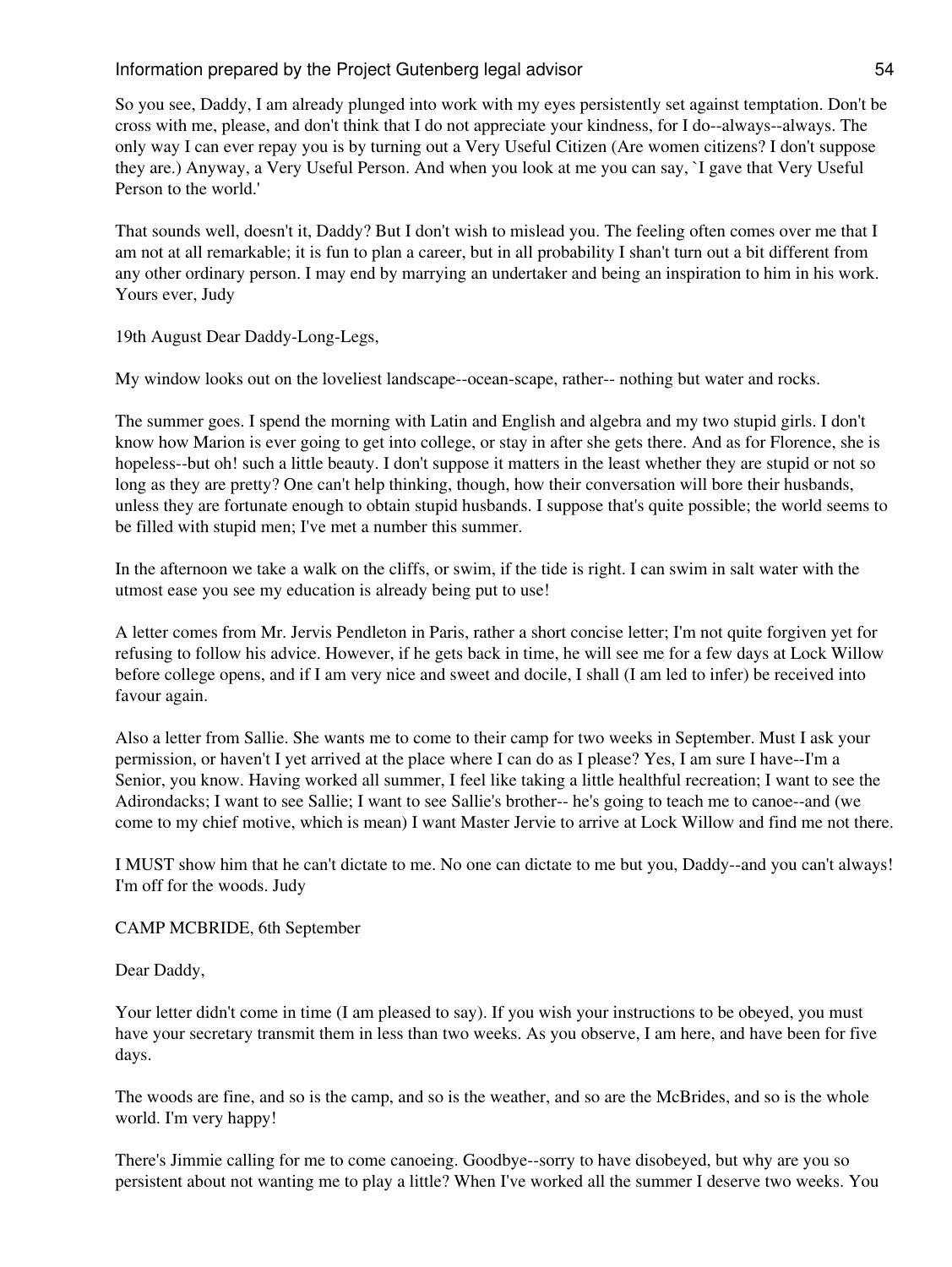So you see, Daddy, I am already plunged into work with my eyes persistently set against temptation. Don't be cross with me, please, and don't think that I do not appreciate your kindness, for I do--always--always. The only way I can ever repay you is by turning out a Very Useful Citizen (Are women citizens? I don't suppose they are.) Anyway, a Very Useful Person. And when you look at me you can say, `I gave that Very Useful Person to the world.'

That sounds well, doesn't it, Daddy? But I don't wish to mislead you. The feeling often comes over me that I am not at all remarkable; it is fun to plan a career, but in all probability I shan't turn out a bit different from any other ordinary person. I may end by marrying an undertaker and being an inspiration to him in his work. Yours ever, Judy

19th August Dear Daddy-Long-Legs,

My window looks out on the loveliest landscape--ocean-scape, rather-- nothing but water and rocks.

The summer goes. I spend the morning with Latin and English and algebra and my two stupid girls. I don't know how Marion is ever going to get into college, or stay in after she gets there. And as for Florence, she is hopeless--but oh! such a little beauty. I don't suppose it matters in the least whether they are stupid or not so long as they are pretty? One can't help thinking, though, how their conversation will bore their husbands, unless they are fortunate enough to obtain stupid husbands. I suppose that's quite possible; the world seems to be filled with stupid men; I've met a number this summer.

In the afternoon we take a walk on the cliffs, or swim, if the tide is right. I can swim in salt water with the utmost ease you see my education is already being put to use!

A letter comes from Mr. Jervis Pendleton in Paris, rather a short concise letter; I'm not quite forgiven yet for refusing to follow his advice. However, if he gets back in time, he will see me for a few days at Lock Willow before college opens, and if I am very nice and sweet and docile, I shall (I am led to infer) be received into favour again.

Also a letter from Sallie. She wants me to come to their camp for two weeks in September. Must I ask your permission, or haven't I yet arrived at the place where I can do as I please? Yes, I am sure I have--I'm a Senior, you know. Having worked all summer, I feel like taking a little healthful recreation; I want to see the Adirondacks; I want to see Sallie; I want to see Sallie's brother-- he's going to teach me to canoe--and (we come to my chief motive, which is mean) I want Master Jervie to arrive at Lock Willow and find me not there.

I MUST show him that he can't dictate to me. No one can dictate to me but you, Daddy--and you can't always! I'm off for the woods. Judy

CAMP MCBRIDE, 6th September

Dear Daddy,

Your letter didn't come in time (I am pleased to say). If you wish your instructions to be obeyed, you must have your secretary transmit them in less than two weeks. As you observe, I am here, and have been for five days.

The woods are fine, and so is the camp, and so is the weather, and so are the McBrides, and so is the whole world. I'm very happy!

There's Jimmie calling for me to come canoeing. Goodbye--sorry to have disobeyed, but why are you so persistent about not wanting me to play a little? When I've worked all the summer I deserve two weeks. You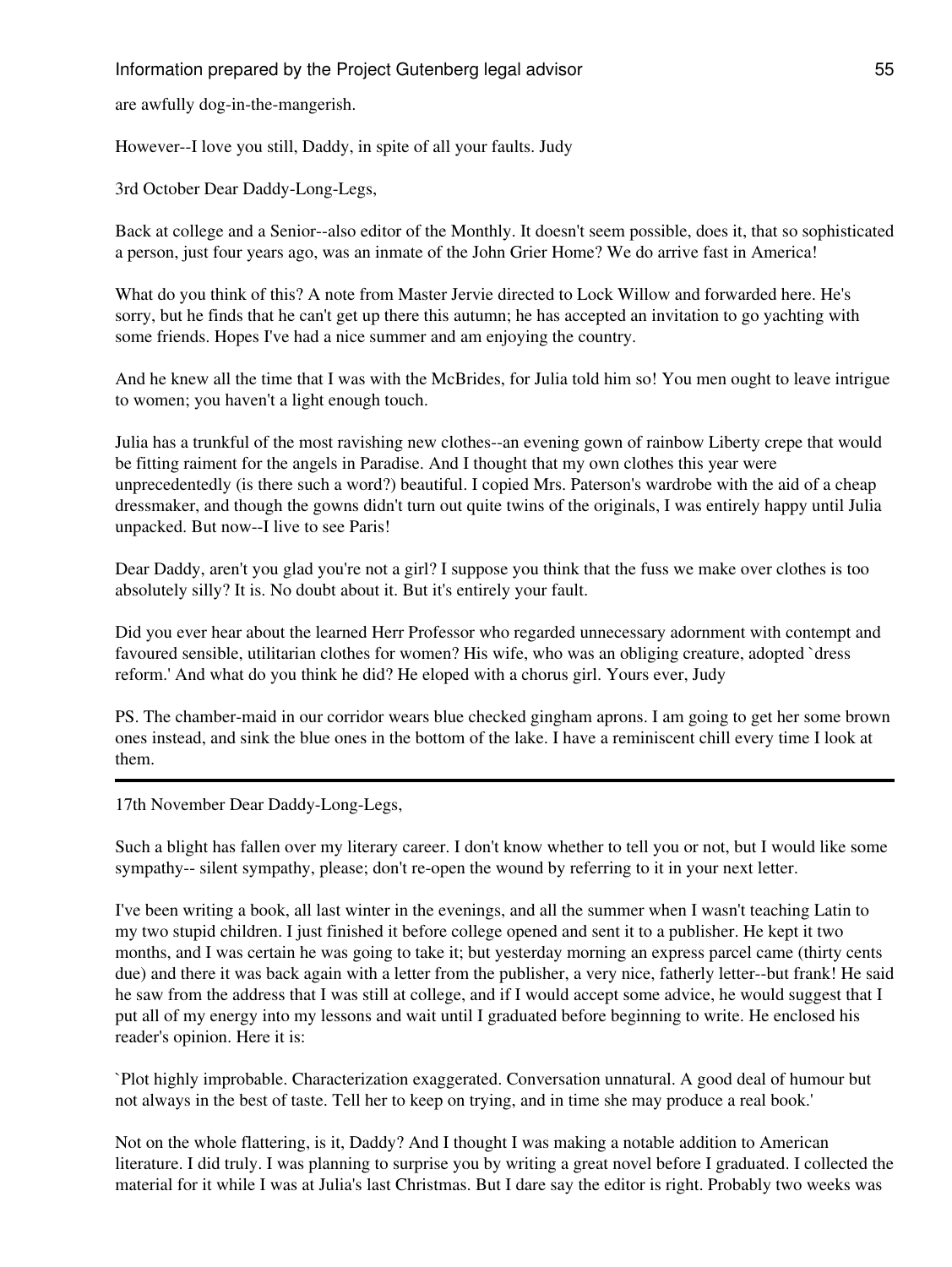are awfully dog-in-the-mangerish.

However--I love you still, Daddy, in spite of all your faults. Judy

3rd October Dear Daddy-Long-Legs,

Back at college and a Senior--also editor of the Monthly. It doesn't seem possible, does it, that so sophisticated a person, just four years ago, was an inmate of the John Grier Home? We do arrive fast in America!

What do you think of this? A note from Master Jervie directed to Lock Willow and forwarded here. He's sorry, but he finds that he can't get up there this autumn; he has accepted an invitation to go yachting with some friends. Hopes I've had a nice summer and am enjoying the country.

And he knew all the time that I was with the McBrides, for Julia told him so! You men ought to leave intrigue to women; you haven't a light enough touch.

Julia has a trunkful of the most ravishing new clothes--an evening gown of rainbow Liberty crepe that would be fitting raiment for the angels in Paradise. And I thought that my own clothes this year were unprecedentedly (is there such a word?) beautiful. I copied Mrs. Paterson's wardrobe with the aid of a cheap dressmaker, and though the gowns didn't turn out quite twins of the originals, I was entirely happy until Julia unpacked. But now--I live to see Paris!

Dear Daddy, aren't you glad you're not a girl? I suppose you think that the fuss we make over clothes is too absolutely silly? It is. No doubt about it. But it's entirely your fault.

Did you ever hear about the learned Herr Professor who regarded unnecessary adornment with contempt and favoured sensible, utilitarian clothes for women? His wife, who was an obliging creature, adopted `dress reform.' And what do you think he did? He eloped with a chorus girl. Yours ever, Judy

PS. The chamber-maid in our corridor wears blue checked gingham aprons. I am going to get her some brown ones instead, and sink the blue ones in the bottom of the lake. I have a reminiscent chill every time I look at them.

17th November Dear Daddy-Long-Legs,

Such a blight has fallen over my literary career. I don't know whether to tell you or not, but I would like some sympathy-- silent sympathy, please; don't re-open the wound by referring to it in your next letter.

I've been writing a book, all last winter in the evenings, and all the summer when I wasn't teaching Latin to my two stupid children. I just finished it before college opened and sent it to a publisher. He kept it two months, and I was certain he was going to take it; but yesterday morning an express parcel came (thirty cents due) and there it was back again with a letter from the publisher, a very nice, fatherly letter--but frank! He said he saw from the address that I was still at college, and if I would accept some advice, he would suggest that I put all of my energy into my lessons and wait until I graduated before beginning to write. He enclosed his reader's opinion. Here it is:

`Plot highly improbable. Characterization exaggerated. Conversation unnatural. A good deal of humour but not always in the best of taste. Tell her to keep on trying, and in time she may produce a real book.'

Not on the whole flattering, is it, Daddy? And I thought I was making a notable addition to American literature. I did truly. I was planning to surprise you by writing a great novel before I graduated. I collected the material for it while I was at Julia's last Christmas. But I dare say the editor is right. Probably two weeks was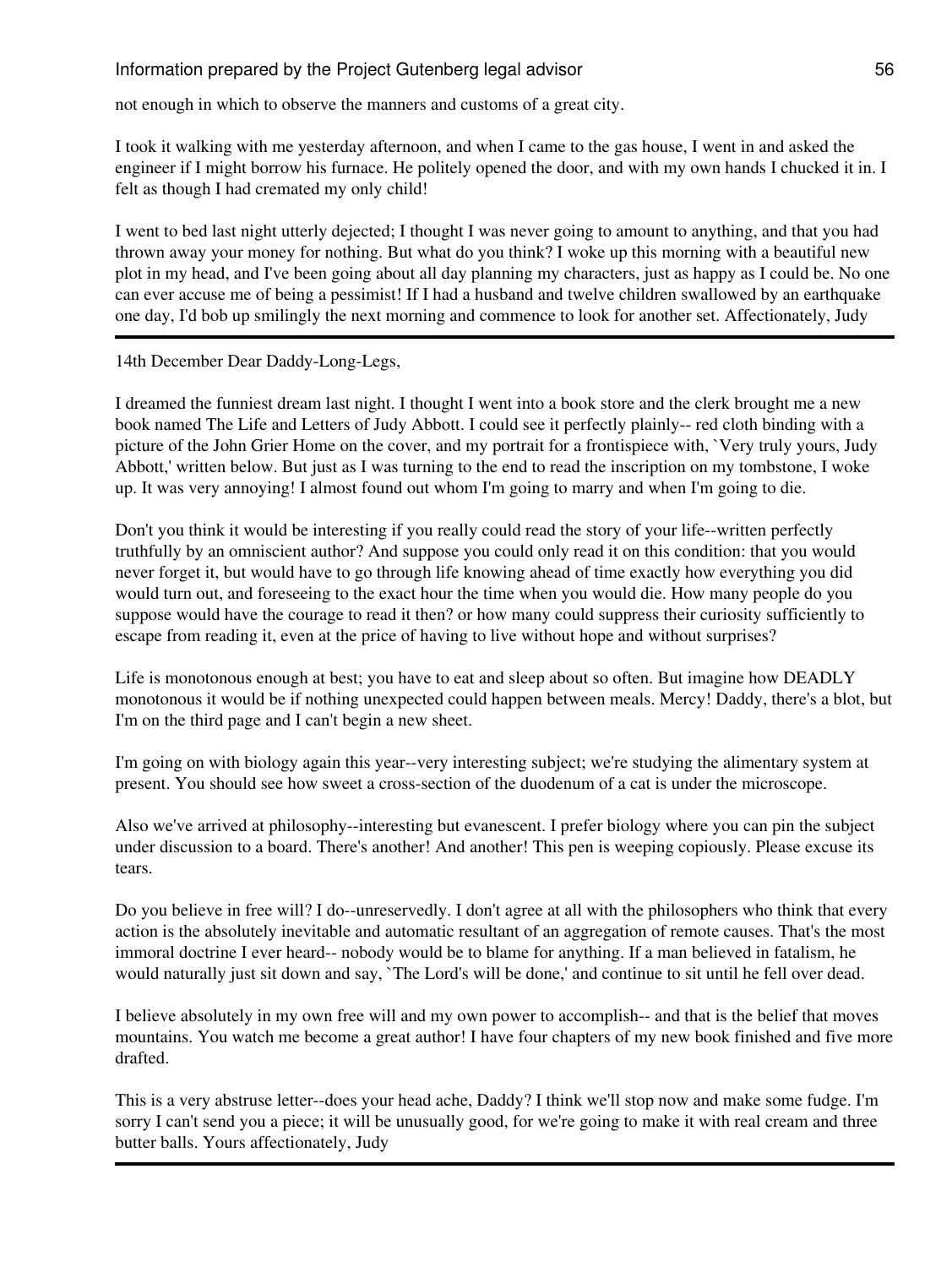not enough in which to observe the manners and customs of a great city.

I took it walking with me yesterday afternoon, and when I came to the gas house, I went in and asked the engineer if I might borrow his furnace. He politely opened the door, and with my own hands I chucked it in. I felt as though I had cremated my only child!

I went to bed last night utterly dejected; I thought I was never going to amount to anything, and that you had thrown away your money for nothing. But what do you think? I woke up this morning with a beautiful new plot in my head, and I've been going about all day planning my characters, just as happy as I could be. No one can ever accuse me of being a pessimist! If I had a husband and twelve children swallowed by an earthquake one day, I'd bob up smilingly the next morning and commence to look for another set. Affectionately, Judy

## 14th December Dear Daddy-Long-Legs,

I dreamed the funniest dream last night. I thought I went into a book store and the clerk brought me a new book named The Life and Letters of Judy Abbott. I could see it perfectly plainly-- red cloth binding with a picture of the John Grier Home on the cover, and my portrait for a frontispiece with, `Very truly yours, Judy Abbott,' written below. But just as I was turning to the end to read the inscription on my tombstone, I woke up. It was very annoying! I almost found out whom I'm going to marry and when I'm going to die.

Don't you think it would be interesting if you really could read the story of your life--written perfectly truthfully by an omniscient author? And suppose you could only read it on this condition: that you would never forget it, but would have to go through life knowing ahead of time exactly how everything you did would turn out, and foreseeing to the exact hour the time when you would die. How many people do you suppose would have the courage to read it then? or how many could suppress their curiosity sufficiently to escape from reading it, even at the price of having to live without hope and without surprises?

Life is monotonous enough at best; you have to eat and sleep about so often. But imagine how DEADLY monotonous it would be if nothing unexpected could happen between meals. Mercy! Daddy, there's a blot, but I'm on the third page and I can't begin a new sheet.

I'm going on with biology again this year--very interesting subject; we're studying the alimentary system at present. You should see how sweet a cross-section of the duodenum of a cat is under the microscope.

Also we've arrived at philosophy--interesting but evanescent. I prefer biology where you can pin the subject under discussion to a board. There's another! And another! This pen is weeping copiously. Please excuse its tears.

Do you believe in free will? I do--unreservedly. I don't agree at all with the philosophers who think that every action is the absolutely inevitable and automatic resultant of an aggregation of remote causes. That's the most immoral doctrine I ever heard-- nobody would be to blame for anything. If a man believed in fatalism, he would naturally just sit down and say, `The Lord's will be done,' and continue to sit until he fell over dead.

I believe absolutely in my own free will and my own power to accomplish-- and that is the belief that moves mountains. You watch me become a great author! I have four chapters of my new book finished and five more drafted.

This is a very abstruse letter--does your head ache, Daddy? I think we'll stop now and make some fudge. I'm sorry I can't send you a piece; it will be unusually good, for we're going to make it with real cream and three butter balls. Yours affectionately, Judy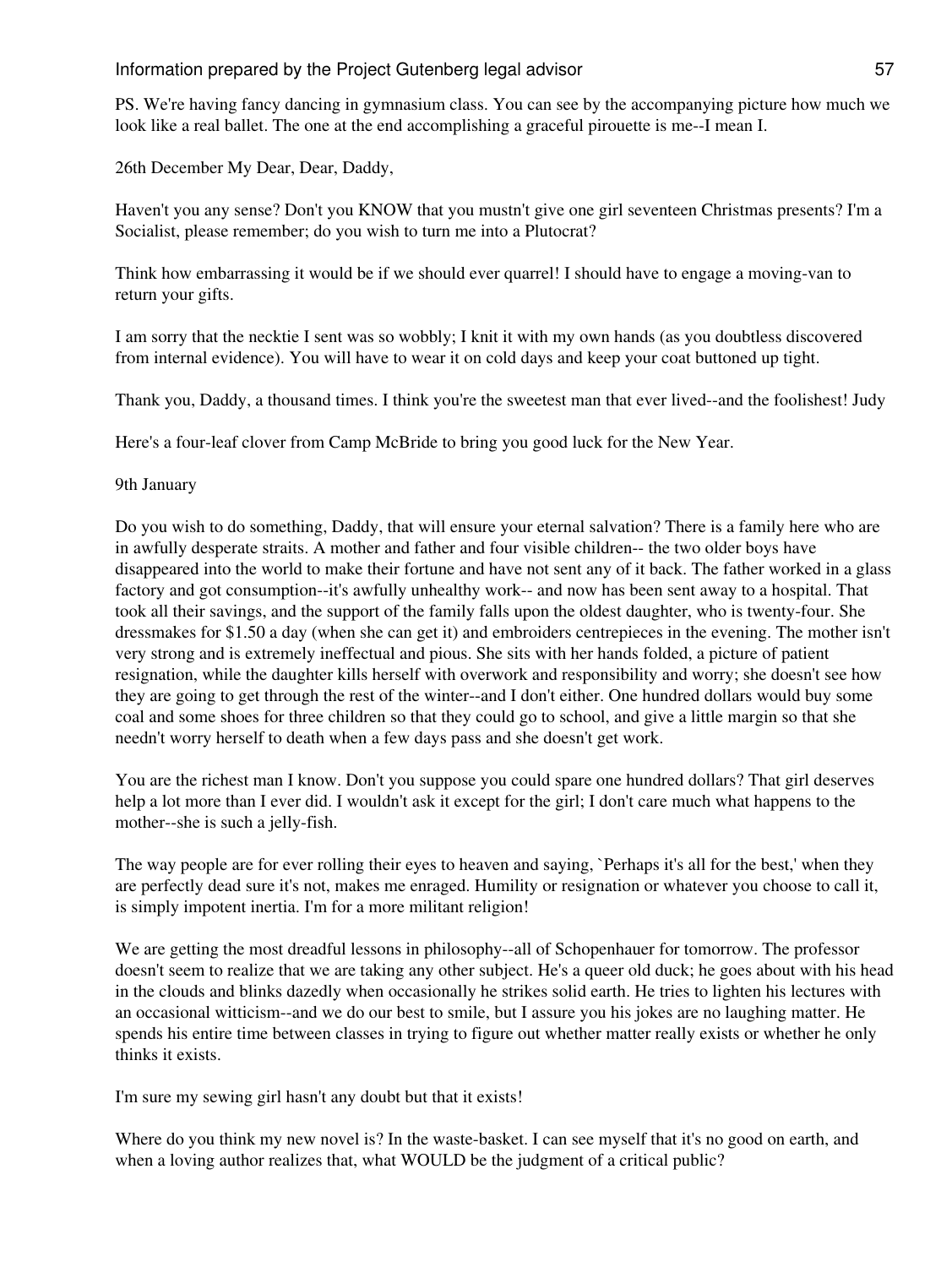PS. We're having fancy dancing in gymnasium class. You can see by the accompanying picture how much we look like a real ballet. The one at the end accomplishing a graceful pirouette is me--I mean I.

26th December My Dear, Dear, Daddy,

Haven't you any sense? Don't you KNOW that you mustn't give one girl seventeen Christmas presents? I'm a Socialist, please remember; do you wish to turn me into a Plutocrat?

Think how embarrassing it would be if we should ever quarrel! I should have to engage a moving-van to return your gifts.

I am sorry that the necktie I sent was so wobbly; I knit it with my own hands (as you doubtless discovered from internal evidence). You will have to wear it on cold days and keep your coat buttoned up tight.

Thank you, Daddy, a thousand times. I think you're the sweetest man that ever lived--and the foolishest! Judy

Here's a four-leaf clover from Camp McBride to bring you good luck for the New Year.

9th January

Do you wish to do something, Daddy, that will ensure your eternal salvation? There is a family here who are in awfully desperate straits. A mother and father and four visible children-- the two older boys have disappeared into the world to make their fortune and have not sent any of it back. The father worked in a glass factory and got consumption--it's awfully unhealthy work-- and now has been sent away to a hospital. That took all their savings, and the support of the family falls upon the oldest daughter, who is twenty-four. She dressmakes for \$1.50 a day (when she can get it) and embroiders centrepieces in the evening. The mother isn't very strong and is extremely ineffectual and pious. She sits with her hands folded, a picture of patient resignation, while the daughter kills herself with overwork and responsibility and worry; she doesn't see how they are going to get through the rest of the winter--and I don't either. One hundred dollars would buy some coal and some shoes for three children so that they could go to school, and give a little margin so that she needn't worry herself to death when a few days pass and she doesn't get work.

You are the richest man I know. Don't you suppose you could spare one hundred dollars? That girl deserves help a lot more than I ever did. I wouldn't ask it except for the girl; I don't care much what happens to the mother--she is such a jelly-fish.

The way people are for ever rolling their eyes to heaven and saying, `Perhaps it's all for the best,' when they are perfectly dead sure it's not, makes me enraged. Humility or resignation or whatever you choose to call it, is simply impotent inertia. I'm for a more militant religion!

We are getting the most dreadful lessons in philosophy--all of Schopenhauer for tomorrow. The professor doesn't seem to realize that we are taking any other subject. He's a queer old duck; he goes about with his head in the clouds and blinks dazedly when occasionally he strikes solid earth. He tries to lighten his lectures with an occasional witticism--and we do our best to smile, but I assure you his jokes are no laughing matter. He spends his entire time between classes in trying to figure out whether matter really exists or whether he only thinks it exists.

I'm sure my sewing girl hasn't any doubt but that it exists!

Where do you think my new novel is? In the waste-basket. I can see myself that it's no good on earth, and when a loving author realizes that, what WOULD be the judgment of a critical public?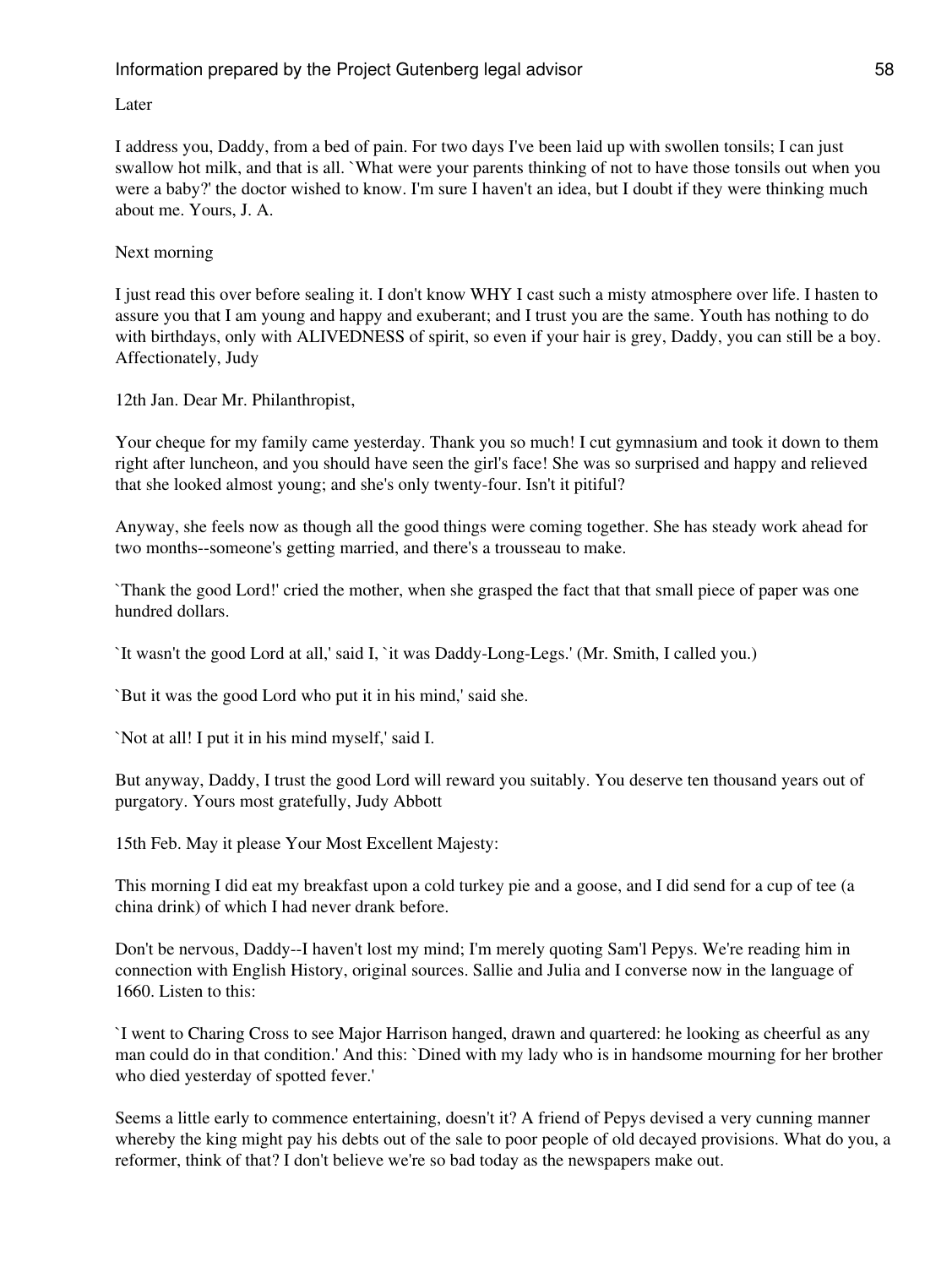Later

I address you, Daddy, from a bed of pain. For two days I've been laid up with swollen tonsils; I can just swallow hot milk, and that is all. `What were your parents thinking of not to have those tonsils out when you were a baby?' the doctor wished to know. I'm sure I haven't an idea, but I doubt if they were thinking much about me. Yours, J. A.

## Next morning

I just read this over before sealing it. I don't know WHY I cast such a misty atmosphere over life. I hasten to assure you that I am young and happy and exuberant; and I trust you are the same. Youth has nothing to do with birthdays, only with ALIVEDNESS of spirit, so even if your hair is grey, Daddy, you can still be a boy. Affectionately, Judy

12th Jan. Dear Mr. Philanthropist,

Your cheque for my family came yesterday. Thank you so much! I cut gymnasium and took it down to them right after luncheon, and you should have seen the girl's face! She was so surprised and happy and relieved that she looked almost young; and she's only twenty-four. Isn't it pitiful?

Anyway, she feels now as though all the good things were coming together. She has steady work ahead for two months--someone's getting married, and there's a trousseau to make.

`Thank the good Lord!' cried the mother, when she grasped the fact that that small piece of paper was one hundred dollars.

`It wasn't the good Lord at all,' said I, `it was Daddy-Long-Legs.' (Mr. Smith, I called you.)

`But it was the good Lord who put it in his mind,' said she.

`Not at all! I put it in his mind myself,' said I.

But anyway, Daddy, I trust the good Lord will reward you suitably. You deserve ten thousand years out of purgatory. Yours most gratefully, Judy Abbott

15th Feb. May it please Your Most Excellent Majesty:

This morning I did eat my breakfast upon a cold turkey pie and a goose, and I did send for a cup of tee (a china drink) of which I had never drank before.

Don't be nervous, Daddy--I haven't lost my mind; I'm merely quoting Sam'l Pepys. We're reading him in connection with English History, original sources. Sallie and Julia and I converse now in the language of 1660. Listen to this:

`I went to Charing Cross to see Major Harrison hanged, drawn and quartered: he looking as cheerful as any man could do in that condition.' And this: `Dined with my lady who is in handsome mourning for her brother who died yesterday of spotted fever.'

Seems a little early to commence entertaining, doesn't it? A friend of Pepys devised a very cunning manner whereby the king might pay his debts out of the sale to poor people of old decayed provisions. What do you, a reformer, think of that? I don't believe we're so bad today as the newspapers make out.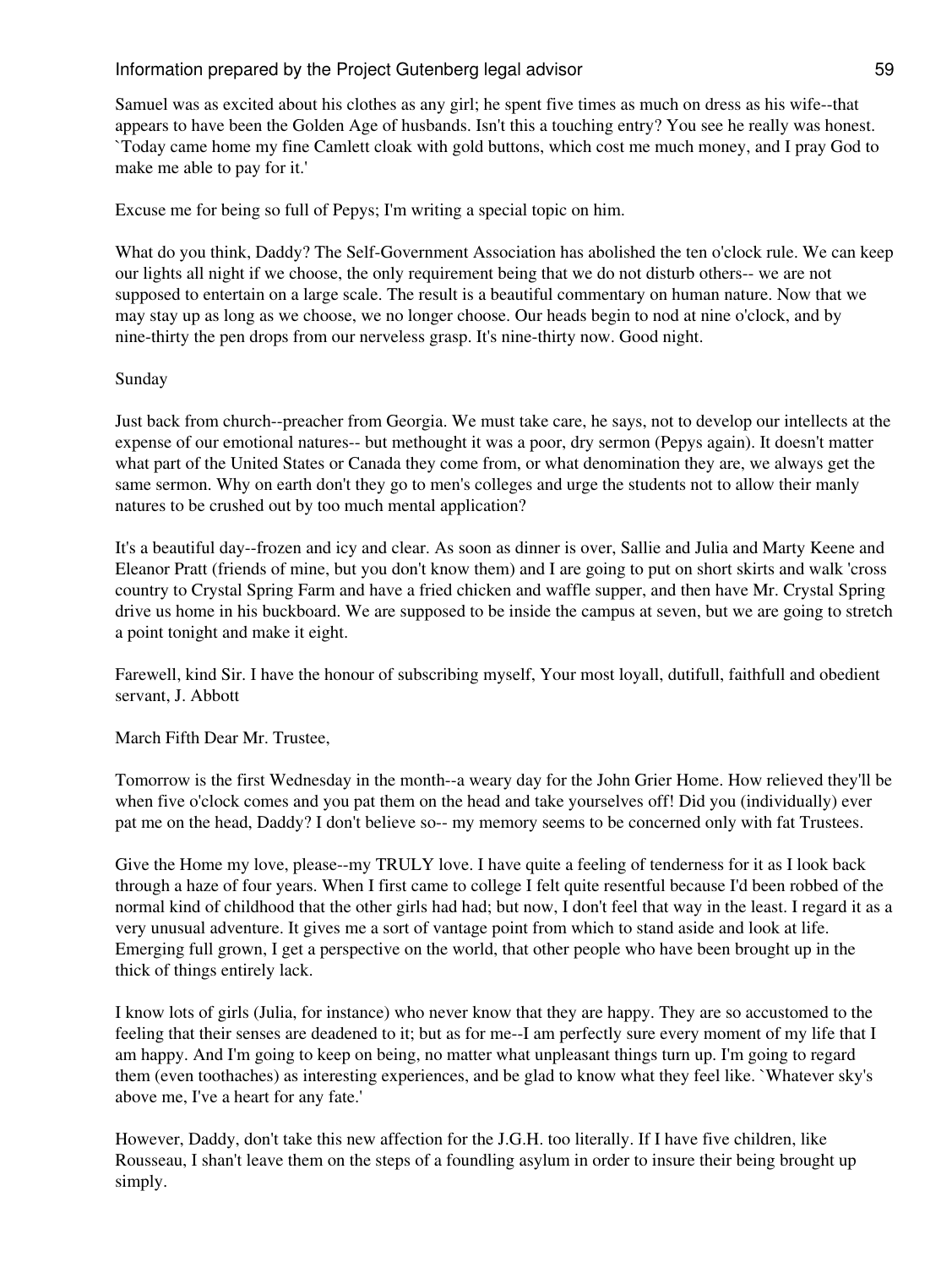Samuel was as excited about his clothes as any girl; he spent five times as much on dress as his wife--that appears to have been the Golden Age of husbands. Isn't this a touching entry? You see he really was honest. `Today came home my fine Camlett cloak with gold buttons, which cost me much money, and I pray God to make me able to pay for it.'

Excuse me for being so full of Pepys; I'm writing a special topic on him.

What do you think, Daddy? The Self-Government Association has abolished the ten o'clock rule. We can keep our lights all night if we choose, the only requirement being that we do not disturb others-- we are not supposed to entertain on a large scale. The result is a beautiful commentary on human nature. Now that we may stay up as long as we choose, we no longer choose. Our heads begin to nod at nine o'clock, and by nine-thirty the pen drops from our nerveless grasp. It's nine-thirty now. Good night.

#### Sunday

Just back from church--preacher from Georgia. We must take care, he says, not to develop our intellects at the expense of our emotional natures-- but methought it was a poor, dry sermon (Pepys again). It doesn't matter what part of the United States or Canada they come from, or what denomination they are, we always get the same sermon. Why on earth don't they go to men's colleges and urge the students not to allow their manly natures to be crushed out by too much mental application?

It's a beautiful day--frozen and icy and clear. As soon as dinner is over, Sallie and Julia and Marty Keene and Eleanor Pratt (friends of mine, but you don't know them) and I are going to put on short skirts and walk 'cross country to Crystal Spring Farm and have a fried chicken and waffle supper, and then have Mr. Crystal Spring drive us home in his buckboard. We are supposed to be inside the campus at seven, but we are going to stretch a point tonight and make it eight.

Farewell, kind Sir. I have the honour of subscribing myself, Your most loyall, dutifull, faithfull and obedient servant, J. Abbott

## March Fifth Dear Mr. Trustee,

Tomorrow is the first Wednesday in the month--a weary day for the John Grier Home. How relieved they'll be when five o'clock comes and you pat them on the head and take yourselves off! Did you (individually) ever pat me on the head, Daddy? I don't believe so-- my memory seems to be concerned only with fat Trustees.

Give the Home my love, please--my TRULY love. I have quite a feeling of tenderness for it as I look back through a haze of four years. When I first came to college I felt quite resentful because I'd been robbed of the normal kind of childhood that the other girls had had; but now, I don't feel that way in the least. I regard it as a very unusual adventure. It gives me a sort of vantage point from which to stand aside and look at life. Emerging full grown, I get a perspective on the world, that other people who have been brought up in the thick of things entirely lack.

I know lots of girls (Julia, for instance) who never know that they are happy. They are so accustomed to the feeling that their senses are deadened to it; but as for me--I am perfectly sure every moment of my life that I am happy. And I'm going to keep on being, no matter what unpleasant things turn up. I'm going to regard them (even toothaches) as interesting experiences, and be glad to know what they feel like. `Whatever sky's above me, I've a heart for any fate.'

However, Daddy, don't take this new affection for the J.G.H. too literally. If I have five children, like Rousseau, I shan't leave them on the steps of a foundling asylum in order to insure their being brought up simply.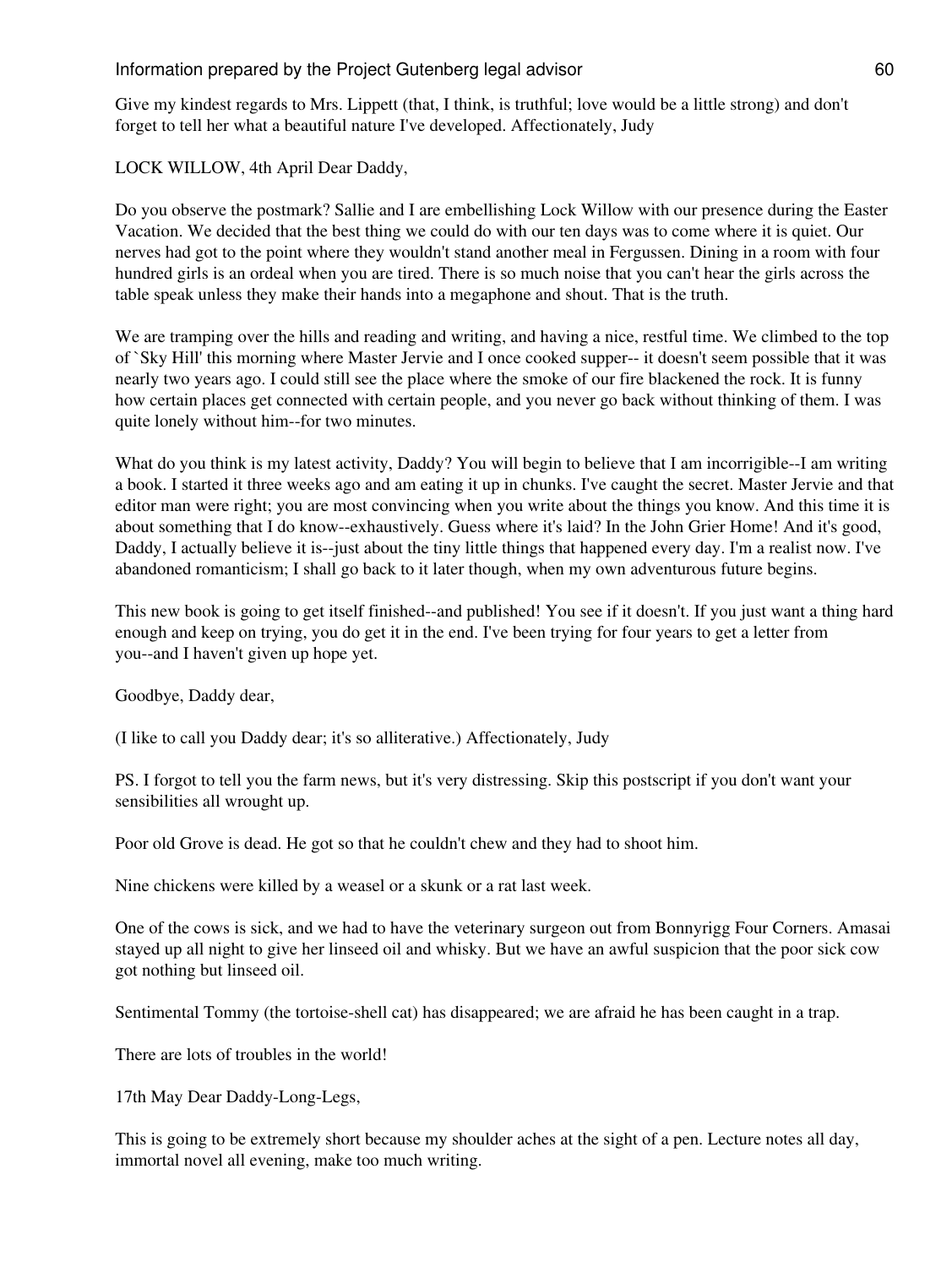Give my kindest regards to Mrs. Lippett (that, I think, is truthful; love would be a little strong) and don't forget to tell her what a beautiful nature I've developed. Affectionately, Judy

LOCK WILLOW, 4th April Dear Daddy,

Do you observe the postmark? Sallie and I are embellishing Lock Willow with our presence during the Easter Vacation. We decided that the best thing we could do with our ten days was to come where it is quiet. Our nerves had got to the point where they wouldn't stand another meal in Fergussen. Dining in a room with four hundred girls is an ordeal when you are tired. There is so much noise that you can't hear the girls across the table speak unless they make their hands into a megaphone and shout. That is the truth.

We are tramping over the hills and reading and writing, and having a nice, restful time. We climbed to the top of `Sky Hill' this morning where Master Jervie and I once cooked supper-- it doesn't seem possible that it was nearly two years ago. I could still see the place where the smoke of our fire blackened the rock. It is funny how certain places get connected with certain people, and you never go back without thinking of them. I was quite lonely without him--for two minutes.

What do you think is my latest activity, Daddy? You will begin to believe that I am incorrigible--I am writing a book. I started it three weeks ago and am eating it up in chunks. I've caught the secret. Master Jervie and that editor man were right; you are most convincing when you write about the things you know. And this time it is about something that I do know--exhaustively. Guess where it's laid? In the John Grier Home! And it's good, Daddy, I actually believe it is--just about the tiny little things that happened every day. I'm a realist now. I've abandoned romanticism; I shall go back to it later though, when my own adventurous future begins.

This new book is going to get itself finished--and published! You see if it doesn't. If you just want a thing hard enough and keep on trying, you do get it in the end. I've been trying for four years to get a letter from you--and I haven't given up hope yet.

Goodbye, Daddy dear,

(I like to call you Daddy dear; it's so alliterative.) Affectionately, Judy

PS. I forgot to tell you the farm news, but it's very distressing. Skip this postscript if you don't want your sensibilities all wrought up.

Poor old Grove is dead. He got so that he couldn't chew and they had to shoot him.

Nine chickens were killed by a weasel or a skunk or a rat last week.

One of the cows is sick, and we had to have the veterinary surgeon out from Bonnyrigg Four Corners. Amasai stayed up all night to give her linseed oil and whisky. But we have an awful suspicion that the poor sick cow got nothing but linseed oil.

Sentimental Tommy (the tortoise-shell cat) has disappeared; we are afraid he has been caught in a trap.

There are lots of troubles in the world!

17th May Dear Daddy-Long-Legs,

This is going to be extremely short because my shoulder aches at the sight of a pen. Lecture notes all day, immortal novel all evening, make too much writing.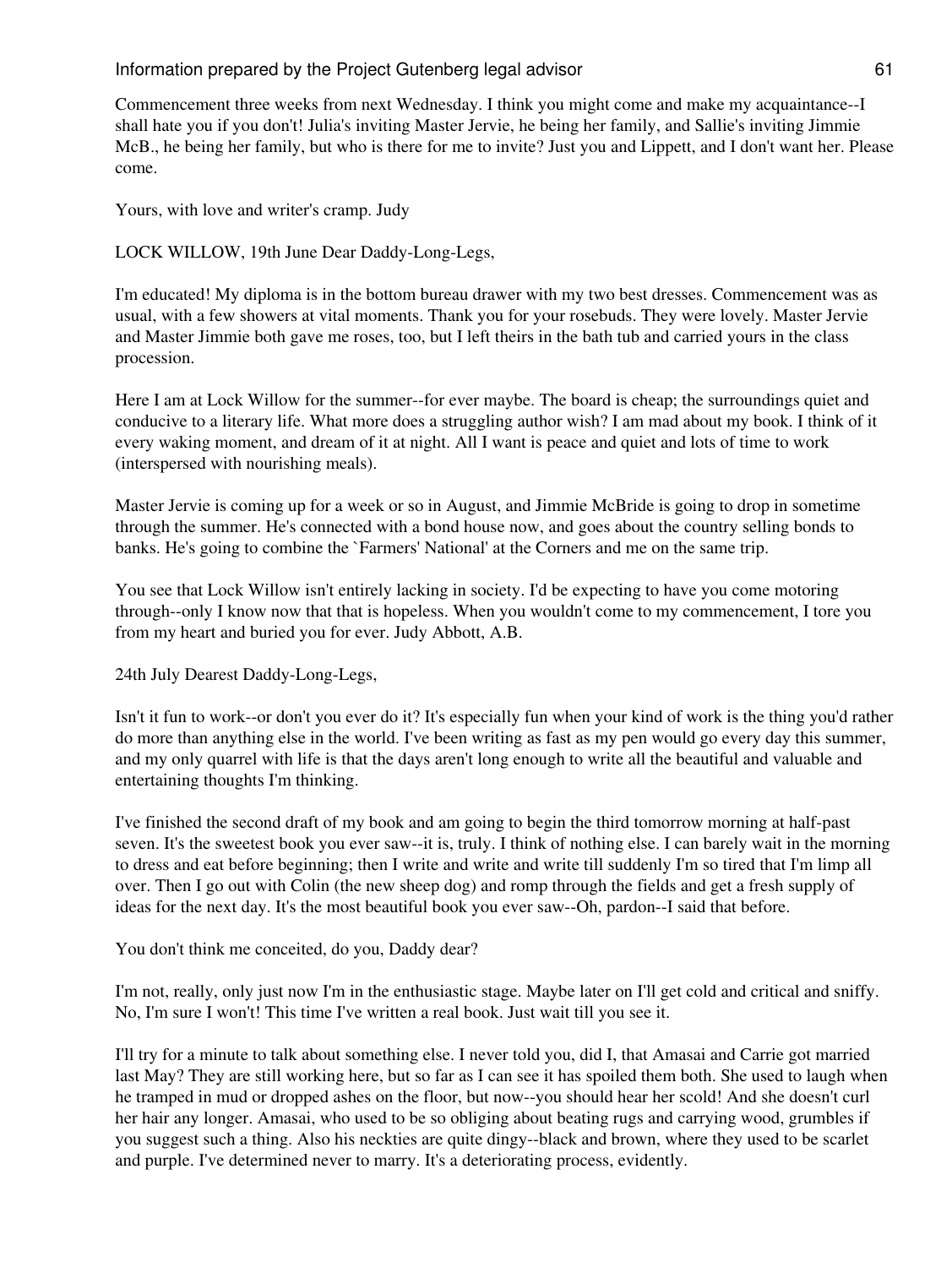Commencement three weeks from next Wednesday. I think you might come and make my acquaintance--I shall hate you if you don't! Julia's inviting Master Jervie, he being her family, and Sallie's inviting Jimmie McB., he being her family, but who is there for me to invite? Just you and Lippett, and I don't want her. Please come.

Yours, with love and writer's cramp. Judy

LOCK WILLOW, 19th June Dear Daddy-Long-Legs,

I'm educated! My diploma is in the bottom bureau drawer with my two best dresses. Commencement was as usual, with a few showers at vital moments. Thank you for your rosebuds. They were lovely. Master Jervie and Master Jimmie both gave me roses, too, but I left theirs in the bath tub and carried yours in the class procession.

Here I am at Lock Willow for the summer--for ever maybe. The board is cheap; the surroundings quiet and conducive to a literary life. What more does a struggling author wish? I am mad about my book. I think of it every waking moment, and dream of it at night. All I want is peace and quiet and lots of time to work (interspersed with nourishing meals).

Master Jervie is coming up for a week or so in August, and Jimmie McBride is going to drop in sometime through the summer. He's connected with a bond house now, and goes about the country selling bonds to banks. He's going to combine the `Farmers' National' at the Corners and me on the same trip.

You see that Lock Willow isn't entirely lacking in society. I'd be expecting to have you come motoring through--only I know now that that is hopeless. When you wouldn't come to my commencement, I tore you from my heart and buried you for ever. Judy Abbott, A.B.

24th July Dearest Daddy-Long-Legs,

Isn't it fun to work--or don't you ever do it? It's especially fun when your kind of work is the thing you'd rather do more than anything else in the world. I've been writing as fast as my pen would go every day this summer, and my only quarrel with life is that the days aren't long enough to write all the beautiful and valuable and entertaining thoughts I'm thinking.

I've finished the second draft of my book and am going to begin the third tomorrow morning at half-past seven. It's the sweetest book you ever saw--it is, truly. I think of nothing else. I can barely wait in the morning to dress and eat before beginning; then I write and write and write till suddenly I'm so tired that I'm limp all over. Then I go out with Colin (the new sheep dog) and romp through the fields and get a fresh supply of ideas for the next day. It's the most beautiful book you ever saw--Oh, pardon--I said that before.

You don't think me conceited, do you, Daddy dear?

I'm not, really, only just now I'm in the enthusiastic stage. Maybe later on I'll get cold and critical and sniffy. No, I'm sure I won't! This time I've written a real book. Just wait till you see it.

I'll try for a minute to talk about something else. I never told you, did I, that Amasai and Carrie got married last May? They are still working here, but so far as I can see it has spoiled them both. She used to laugh when he tramped in mud or dropped ashes on the floor, but now--you should hear her scold! And she doesn't curl her hair any longer. Amasai, who used to be so obliging about beating rugs and carrying wood, grumbles if you suggest such a thing. Also his neckties are quite dingy--black and brown, where they used to be scarlet and purple. I've determined never to marry. It's a deteriorating process, evidently.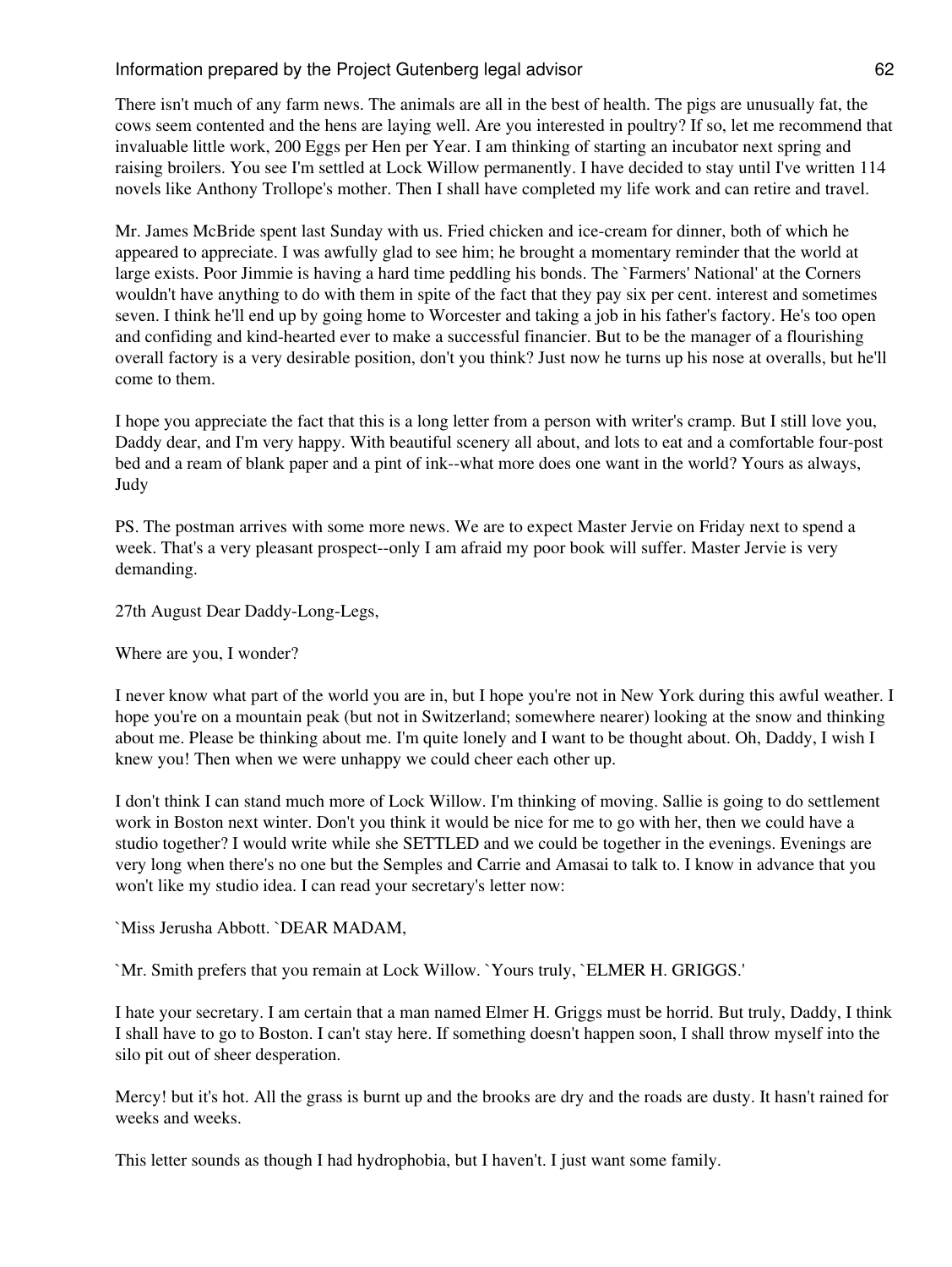There isn't much of any farm news. The animals are all in the best of health. The pigs are unusually fat, the cows seem contented and the hens are laying well. Are you interested in poultry? If so, let me recommend that invaluable little work, 200 Eggs per Hen per Year. I am thinking of starting an incubator next spring and raising broilers. You see I'm settled at Lock Willow permanently. I have decided to stay until I've written 114 novels like Anthony Trollope's mother. Then I shall have completed my life work and can retire and travel.

Mr. James McBride spent last Sunday with us. Fried chicken and ice-cream for dinner, both of which he appeared to appreciate. I was awfully glad to see him; he brought a momentary reminder that the world at large exists. Poor Jimmie is having a hard time peddling his bonds. The `Farmers' National' at the Corners wouldn't have anything to do with them in spite of the fact that they pay six per cent. interest and sometimes seven. I think he'll end up by going home to Worcester and taking a job in his father's factory. He's too open and confiding and kind-hearted ever to make a successful financier. But to be the manager of a flourishing overall factory is a very desirable position, don't you think? Just now he turns up his nose at overalls, but he'll come to them.

I hope you appreciate the fact that this is a long letter from a person with writer's cramp. But I still love you, Daddy dear, and I'm very happy. With beautiful scenery all about, and lots to eat and a comfortable four-post bed and a ream of blank paper and a pint of ink--what more does one want in the world? Yours as always, Judy

PS. The postman arrives with some more news. We are to expect Master Jervie on Friday next to spend a week. That's a very pleasant prospect--only I am afraid my poor book will suffer. Master Jervie is very demanding.

27th August Dear Daddy-Long-Legs,

Where are you, I wonder?

I never know what part of the world you are in, but I hope you're not in New York during this awful weather. I hope you're on a mountain peak (but not in Switzerland; somewhere nearer) looking at the snow and thinking about me. Please be thinking about me. I'm quite lonely and I want to be thought about. Oh, Daddy, I wish I knew you! Then when we were unhappy we could cheer each other up.

I don't think I can stand much more of Lock Willow. I'm thinking of moving. Sallie is going to do settlement work in Boston next winter. Don't you think it would be nice for me to go with her, then we could have a studio together? I would write while she SETTLED and we could be together in the evenings. Evenings are very long when there's no one but the Semples and Carrie and Amasai to talk to. I know in advance that you won't like my studio idea. I can read your secretary's letter now:

`Miss Jerusha Abbott. `DEAR MADAM,

`Mr. Smith prefers that you remain at Lock Willow. `Yours truly, `ELMER H. GRIGGS.'

I hate your secretary. I am certain that a man named Elmer H. Griggs must be horrid. But truly, Daddy, I think I shall have to go to Boston. I can't stay here. If something doesn't happen soon, I shall throw myself into the silo pit out of sheer desperation.

Mercy! but it's hot. All the grass is burnt up and the brooks are dry and the roads are dusty. It hasn't rained for weeks and weeks.

This letter sounds as though I had hydrophobia, but I haven't. I just want some family.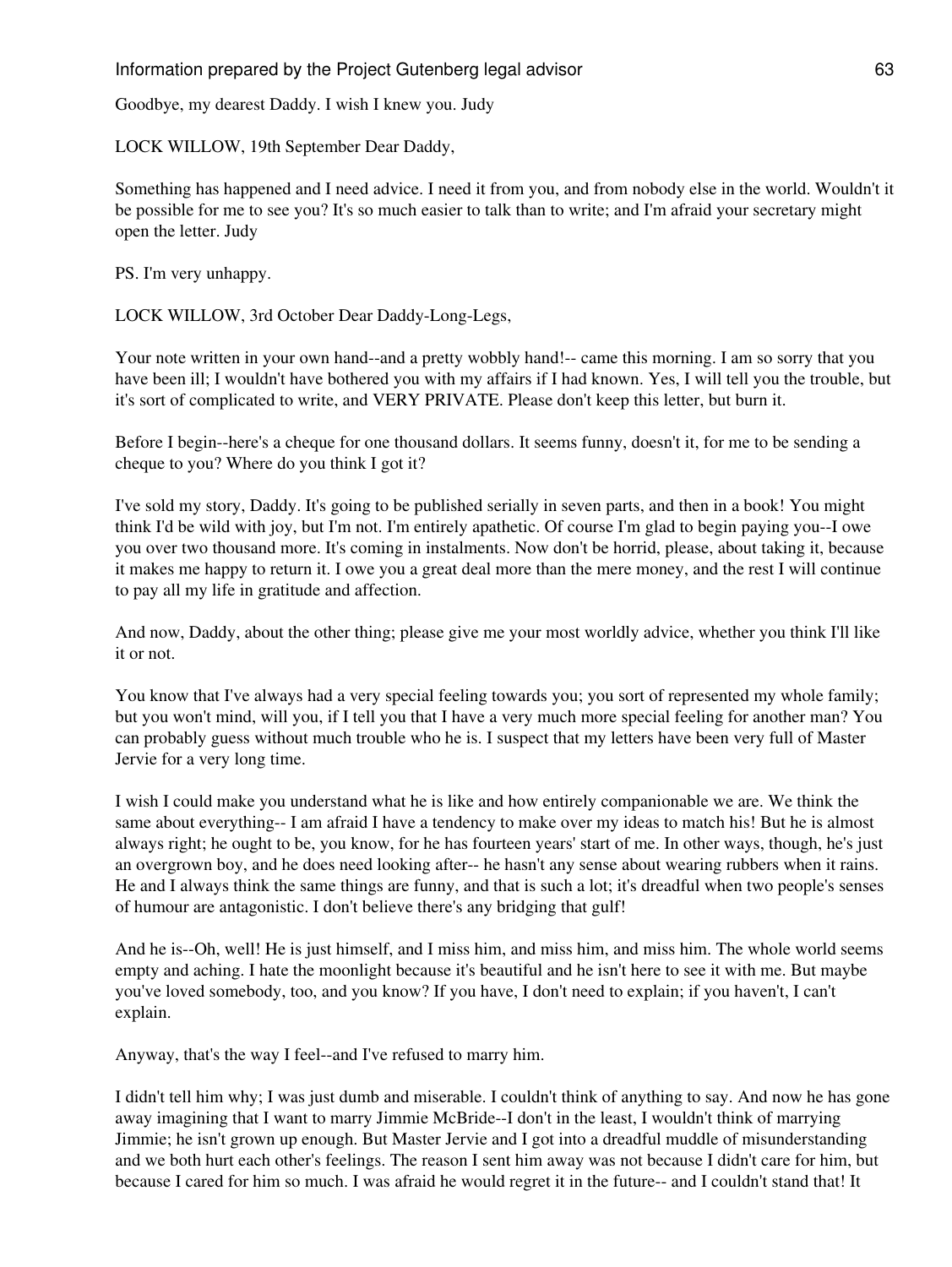Goodbye, my dearest Daddy. I wish I knew you. Judy

LOCK WILLOW, 19th September Dear Daddy,

Something has happened and I need advice. I need it from you, and from nobody else in the world. Wouldn't it be possible for me to see you? It's so much easier to talk than to write; and I'm afraid your secretary might open the letter. Judy

PS. I'm very unhappy.

LOCK WILLOW, 3rd October Dear Daddy-Long-Legs,

Your note written in your own hand--and a pretty wobbly hand!-- came this morning. I am so sorry that you have been ill; I wouldn't have bothered you with my affairs if I had known. Yes, I will tell you the trouble, but it's sort of complicated to write, and VERY PRIVATE. Please don't keep this letter, but burn it.

Before I begin--here's a cheque for one thousand dollars. It seems funny, doesn't it, for me to be sending a cheque to you? Where do you think I got it?

I've sold my story, Daddy. It's going to be published serially in seven parts, and then in a book! You might think I'd be wild with joy, but I'm not. I'm entirely apathetic. Of course I'm glad to begin paying you--I owe you over two thousand more. It's coming in instalments. Now don't be horrid, please, about taking it, because it makes me happy to return it. I owe you a great deal more than the mere money, and the rest I will continue to pay all my life in gratitude and affection.

And now, Daddy, about the other thing; please give me your most worldly advice, whether you think I'll like it or not.

You know that I've always had a very special feeling towards you; you sort of represented my whole family; but you won't mind, will you, if I tell you that I have a very much more special feeling for another man? You can probably guess without much trouble who he is. I suspect that my letters have been very full of Master Jervie for a very long time.

I wish I could make you understand what he is like and how entirely companionable we are. We think the same about everything-- I am afraid I have a tendency to make over my ideas to match his! But he is almost always right; he ought to be, you know, for he has fourteen years' start of me. In other ways, though, he's just an overgrown boy, and he does need looking after-- he hasn't any sense about wearing rubbers when it rains. He and I always think the same things are funny, and that is such a lot; it's dreadful when two people's senses of humour are antagonistic. I don't believe there's any bridging that gulf!

And he is--Oh, well! He is just himself, and I miss him, and miss him, and miss him. The whole world seems empty and aching. I hate the moonlight because it's beautiful and he isn't here to see it with me. But maybe you've loved somebody, too, and you know? If you have, I don't need to explain; if you haven't, I can't explain.

Anyway, that's the way I feel--and I've refused to marry him.

I didn't tell him why; I was just dumb and miserable. I couldn't think of anything to say. And now he has gone away imagining that I want to marry Jimmie McBride--I don't in the least, I wouldn't think of marrying Jimmie; he isn't grown up enough. But Master Jervie and I got into a dreadful muddle of misunderstanding and we both hurt each other's feelings. The reason I sent him away was not because I didn't care for him, but because I cared for him so much. I was afraid he would regret it in the future-- and I couldn't stand that! It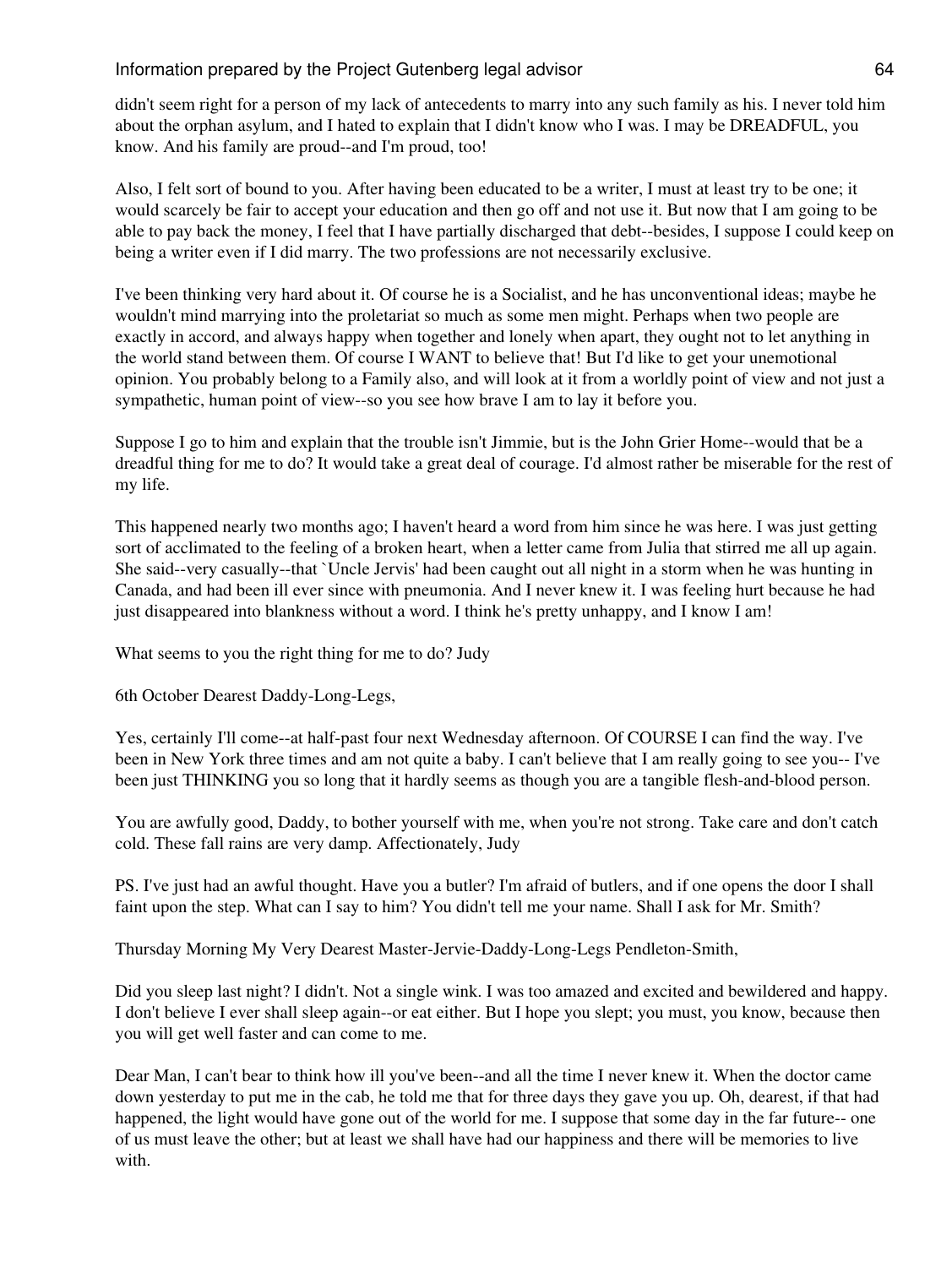didn't seem right for a person of my lack of antecedents to marry into any such family as his. I never told him about the orphan asylum, and I hated to explain that I didn't know who I was. I may be DREADFUL, you know. And his family are proud--and I'm proud, too!

Also, I felt sort of bound to you. After having been educated to be a writer, I must at least try to be one; it would scarcely be fair to accept your education and then go off and not use it. But now that I am going to be able to pay back the money, I feel that I have partially discharged that debt--besides, I suppose I could keep on being a writer even if I did marry. The two professions are not necessarily exclusive.

I've been thinking very hard about it. Of course he is a Socialist, and he has unconventional ideas; maybe he wouldn't mind marrying into the proletariat so much as some men might. Perhaps when two people are exactly in accord, and always happy when together and lonely when apart, they ought not to let anything in the world stand between them. Of course I WANT to believe that! But I'd like to get your unemotional opinion. You probably belong to a Family also, and will look at it from a worldly point of view and not just a sympathetic, human point of view--so you see how brave I am to lay it before you.

Suppose I go to him and explain that the trouble isn't Jimmie, but is the John Grier Home--would that be a dreadful thing for me to do? It would take a great deal of courage. I'd almost rather be miserable for the rest of my life.

This happened nearly two months ago; I haven't heard a word from him since he was here. I was just getting sort of acclimated to the feeling of a broken heart, when a letter came from Julia that stirred me all up again. She said--very casually--that `Uncle Jervis' had been caught out all night in a storm when he was hunting in Canada, and had been ill ever since with pneumonia. And I never knew it. I was feeling hurt because he had just disappeared into blankness without a word. I think he's pretty unhappy, and I know I am!

What seems to you the right thing for me to do? Judy

6th October Dearest Daddy-Long-Legs,

Yes, certainly I'll come--at half-past four next Wednesday afternoon. Of COURSE I can find the way. I've been in New York three times and am not quite a baby. I can't believe that I am really going to see you-- I've been just THINKING you so long that it hardly seems as though you are a tangible flesh-and-blood person.

You are awfully good, Daddy, to bother yourself with me, when you're not strong. Take care and don't catch cold. These fall rains are very damp. Affectionately, Judy

PS. I've just had an awful thought. Have you a butler? I'm afraid of butlers, and if one opens the door I shall faint upon the step. What can I say to him? You didn't tell me your name. Shall I ask for Mr. Smith?

Thursday Morning My Very Dearest Master-Jervie-Daddy-Long-Legs Pendleton-Smith,

Did you sleep last night? I didn't. Not a single wink. I was too amazed and excited and bewildered and happy. I don't believe I ever shall sleep again--or eat either. But I hope you slept; you must, you know, because then you will get well faster and can come to me.

Dear Man, I can't bear to think how ill you've been--and all the time I never knew it. When the doctor came down yesterday to put me in the cab, he told me that for three days they gave you up. Oh, dearest, if that had happened, the light would have gone out of the world for me. I suppose that some day in the far future-- one of us must leave the other; but at least we shall have had our happiness and there will be memories to live with.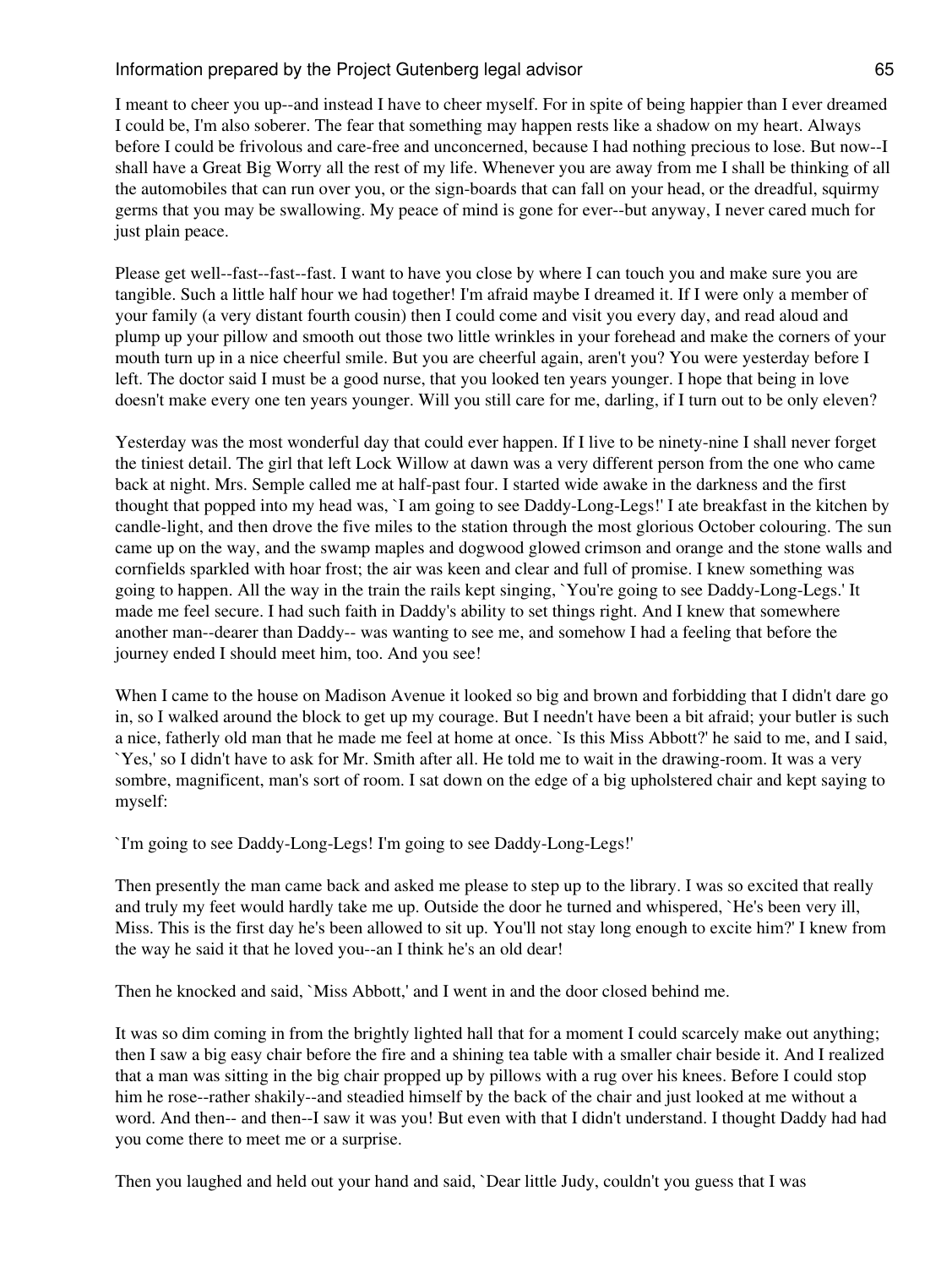I meant to cheer you up--and instead I have to cheer myself. For in spite of being happier than I ever dreamed I could be, I'm also soberer. The fear that something may happen rests like a shadow on my heart. Always before I could be frivolous and care-free and unconcerned, because I had nothing precious to lose. But now--I shall have a Great Big Worry all the rest of my life. Whenever you are away from me I shall be thinking of all the automobiles that can run over you, or the sign-boards that can fall on your head, or the dreadful, squirmy germs that you may be swallowing. My peace of mind is gone for ever--but anyway, I never cared much for just plain peace.

Please get well--fast--fast--fast. I want to have you close by where I can touch you and make sure you are tangible. Such a little half hour we had together! I'm afraid maybe I dreamed it. If I were only a member of your family (a very distant fourth cousin) then I could come and visit you every day, and read aloud and plump up your pillow and smooth out those two little wrinkles in your forehead and make the corners of your mouth turn up in a nice cheerful smile. But you are cheerful again, aren't you? You were yesterday before I left. The doctor said I must be a good nurse, that you looked ten years younger. I hope that being in love doesn't make every one ten years younger. Will you still care for me, darling, if I turn out to be only eleven?

Yesterday was the most wonderful day that could ever happen. If I live to be ninety-nine I shall never forget the tiniest detail. The girl that left Lock Willow at dawn was a very different person from the one who came back at night. Mrs. Semple called me at half-past four. I started wide awake in the darkness and the first thought that popped into my head was, `I am going to see Daddy-Long-Legs!' I ate breakfast in the kitchen by candle-light, and then drove the five miles to the station through the most glorious October colouring. The sun came up on the way, and the swamp maples and dogwood glowed crimson and orange and the stone walls and cornfields sparkled with hoar frost; the air was keen and clear and full of promise. I knew something was going to happen. All the way in the train the rails kept singing, `You're going to see Daddy-Long-Legs.' It made me feel secure. I had such faith in Daddy's ability to set things right. And I knew that somewhere another man--dearer than Daddy-- was wanting to see me, and somehow I had a feeling that before the journey ended I should meet him, too. And you see!

When I came to the house on Madison Avenue it looked so big and brown and forbidding that I didn't dare go in, so I walked around the block to get up my courage. But I needn't have been a bit afraid; your butler is such a nice, fatherly old man that he made me feel at home at once. `Is this Miss Abbott?' he said to me, and I said, `Yes,' so I didn't have to ask for Mr. Smith after all. He told me to wait in the drawing-room. It was a very sombre, magnificent, man's sort of room. I sat down on the edge of a big upholstered chair and kept saying to myself:

`I'm going to see Daddy-Long-Legs! I'm going to see Daddy-Long-Legs!'

Then presently the man came back and asked me please to step up to the library. I was so excited that really and truly my feet would hardly take me up. Outside the door he turned and whispered, `He's been very ill, Miss. This is the first day he's been allowed to sit up. You'll not stay long enough to excite him?' I knew from the way he said it that he loved you--an I think he's an old dear!

Then he knocked and said, `Miss Abbott,' and I went in and the door closed behind me.

It was so dim coming in from the brightly lighted hall that for a moment I could scarcely make out anything; then I saw a big easy chair before the fire and a shining tea table with a smaller chair beside it. And I realized that a man was sitting in the big chair propped up by pillows with a rug over his knees. Before I could stop him he rose--rather shakily--and steadied himself by the back of the chair and just looked at me without a word. And then-- and then--I saw it was you! But even with that I didn't understand. I thought Daddy had had you come there to meet me or a surprise.

Then you laughed and held out your hand and said, `Dear little Judy, couldn't you guess that I was